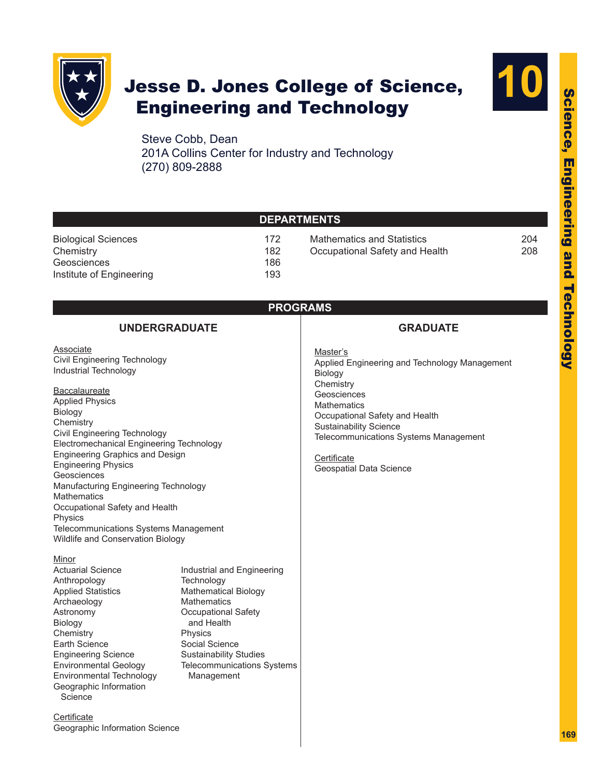

# Jesse D. Jones College of Science, Engineering and Technology



Steve Cobb, Dean 201A Collins Center for Industry and Technology (270) 809-2888

|                                                                                                                                                                                                                                                                                                                                                                                                                                                                                                                                                                                                                                                                                                                                                                                                | <b>DEPARTMENTS</b>                                                                                                                                                                                                                                  |                                                                                                                                                                                                                                                                              |            |
|------------------------------------------------------------------------------------------------------------------------------------------------------------------------------------------------------------------------------------------------------------------------------------------------------------------------------------------------------------------------------------------------------------------------------------------------------------------------------------------------------------------------------------------------------------------------------------------------------------------------------------------------------------------------------------------------------------------------------------------------------------------------------------------------|-----------------------------------------------------------------------------------------------------------------------------------------------------------------------------------------------------------------------------------------------------|------------------------------------------------------------------------------------------------------------------------------------------------------------------------------------------------------------------------------------------------------------------------------|------------|
| 172<br><b>Biological Sciences</b><br>Chemistry<br>182<br>Geosciences<br>186<br>Institute of Engineering<br>193                                                                                                                                                                                                                                                                                                                                                                                                                                                                                                                                                                                                                                                                                 |                                                                                                                                                                                                                                                     | <b>Mathematics and Statistics</b><br>Occupational Safety and Health                                                                                                                                                                                                          | 204<br>208 |
| <b>UNDERGRADUATE</b>                                                                                                                                                                                                                                                                                                                                                                                                                                                                                                                                                                                                                                                                                                                                                                           | <b>PROGRAMS</b>                                                                                                                                                                                                                                     | <b>GRADUATE</b>                                                                                                                                                                                                                                                              |            |
| Associate<br>Civil Engineering Technology<br>Industrial Technology<br>Baccalaureate<br><b>Applied Physics</b><br>Biology<br>Chemistry<br>Civil Engineering Technology<br>Electromechanical Engineering Technology<br>Engineering Graphics and Design<br><b>Engineering Physics</b><br>Geosciences<br>Manufacturing Engineering Technology<br><b>Mathematics</b><br>Occupational Safety and Health<br>Physics<br>Telecommunications Systems Management<br>Wildlife and Conservation Biology<br>Minor<br><b>Actuarial Science</b><br>Anthropology<br><b>Applied Statistics</b><br>Archaeology<br>Astronomy<br><b>Biology</b><br>Chemistry<br>Earth Science<br><b>Engineering Science</b><br><b>Environmental Geology</b><br><b>Environmental Technology</b><br>Geographic Information<br>Science | Industrial and Engineering<br>Technology<br><b>Mathematical Biology</b><br><b>Mathematics</b><br><b>Occupational Safety</b><br>and Health<br>Physics<br>Social Science<br><b>Sustainability Studies</b><br>Telecommunications Systems<br>Management | Master's<br>Applied Engineering and Technology Management<br>Biology<br>Chemistry<br>Geosciences<br><b>Mathematics</b><br>Occupational Safety and Health<br><b>Sustainability Science</b><br>Telecommunications Systems Management<br>Certificate<br>Geospatial Data Science |            |
| Certificate<br>Geographic Information Science                                                                                                                                                                                                                                                                                                                                                                                                                                                                                                                                                                                                                                                                                                                                                  |                                                                                                                                                                                                                                                     |                                                                                                                                                                                                                                                                              |            |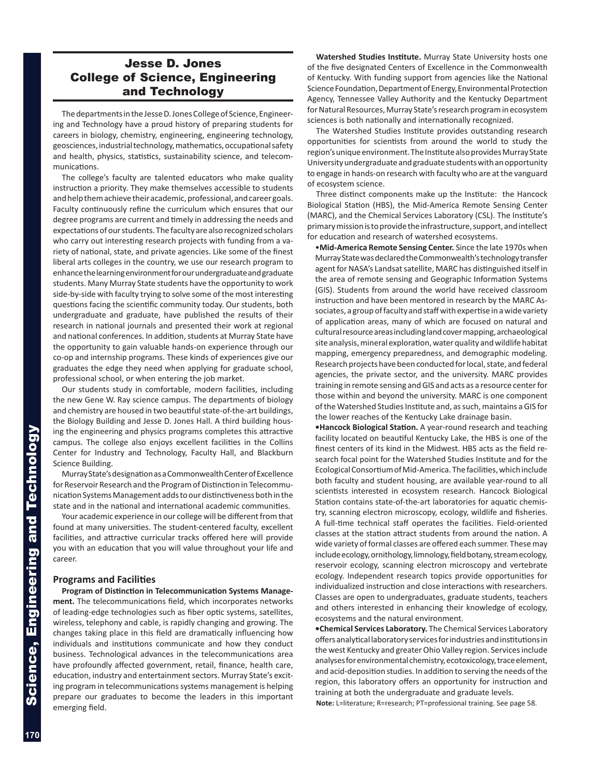## Jesse D. Jones College of Science, Engineering and Technology

The departments in the Jesse D. Jones College of Science, Engineer ing and Technology have a proud history of preparing students for careers in biology, chemistry, engineering, engineering technology, geosciences, industrial technology, mathematics, occupational safety and health, physics, statistics, sustainability science, and telecom munications.

The college's faculty are talented educators who make quality instruction a priority. They make themselves accessible to students and help them achieve their academic, professional, and career goals. Faculty continuously refine the curriculum which ensures that our degree programs are current and timely in addressing the needs and expectations of our students. The faculty are also recognized scholars who carry out interesting research projects with funding from a va riety of national, state, and private agencies. Like some of the finest liberal arts colleges in the country, we use our research program to enhance the learning environment for our undergraduate and graduate students. Many Murray State students have the opportunity to work side-by-side with faculty trying to solve some of the most interesting questions facing the scientific community today. Our students, both undergraduate and graduate, have published the results of their research in national journals and presented their work at regional and national conferences. In addition, students at Murray State have the opportunity to gain valuable hands-on experience through our co-op and internship programs. These kinds of experiences give our graduates the edge they need when applying for graduate school, professional school, or when entering the job market.

Our students study in comfortable, modern facilities, including the new Gene W. Ray science campus. The departments of biology and chemistry are housed in two beautiful state-of-the-art buildings, the Biology Building and Jesse D. Jones Hall. A third building hous ing the engineering and physics programs completes this attractive campus. The college also enjoys excellent facilities in the Collins Center for Industry and Technology, Faculty Hall, and Blackburn Science Building.

Murray State's designation as a Commonwealth Center of Excellence for Reservoir Research and the Program of Distinction in Telecommu nication Systems Management adds to our distinctiveness both in the state and in the national and international academic communities.

Your academic experience in our college will be different from that found at many universities. The student-centered faculty, excellent facilities, and attractive curricular tracks offered here will provide you with an education that you will value throughout your life and career.

### **Programs and Facilities**

**Program of Distinction in Telecommunication Systems Manage ment.** The telecommunications field, which incorporates networks of leading-edge technologies such as fiber optic systems, satellites, wireless, telephony and cable, is rapidly changing and growing. The changes taking place in this field are dramatically influencing how individuals and institutions communicate and how they conduct business. Technological advances in the telecommunications area have profoundly affected government, retail, finance, health care, education, industry and entertainment sectors. Murray State's excit ing program in telecommunications systems management is helping prepare our graduates to become the leaders in this important emerging field.

**Watershed Studies Institute.** Murray State University hosts one of the five designated Centers of Excellence in the Commonwealth of Kentucky. With funding support from agencies like the National Science Foundation, Department of Energy, Environmental Protection Agency, Tennessee Valley Authority and the Kentucky Department for Natural Resources, Murray State's research program in ecosystem sciences is both nationally and internationally recognized.

The Watershed Studies Institute provides outstanding research opportunities for scientists from around the world to study the region's unique environment. The Institute also provides Murray State University undergraduate and graduate students with an opportunity to engage in hands-on research with faculty who are at the vanguard of ecosystem science.

Three distinct components make up the Institute: the Hancock Biological Station (HBS), the Mid-America Remote Sensing Center (MARC), and the Chemical Services Laboratory (CSL). The Institute's primary mission is to provide the infrastructure, support, and intellect for education and research of watershed ecosystems.

•**Mid-America Remote Sensing Center.** Since the late 1970s when Murray State was declared the Commonwealth's technology transfer agent for NASA's Landsat satellite, MARC has distinguished itself in the area of remote sensing and Geographic Information Systems (GIS). Students from around the world have received classroom instruction and have been mentored in research by the MARC As sociates, a group of faculty and staff with expertise in a wide variety of application areas, many of which are focused on natural and cultural resource areas including land cover mapping, archaeological site analysis, mineral exploration, water quality and wildlife habitat mapping, emergency preparedness, and demographic modeling. Research projects have been conducted for local, state, and federal agencies, the private sector, and the university. MARC provides training in remote sensing and GIS and acts as a resource center for those within and beyond the university. MARC is one component of the Watershed Studies Institute and, as such, maintains a GIS for the lower reaches of the Kentucky Lake drainage basin.

**•Hancock Biological Station.** A year-round research and teaching facility located on beautiful Kentucky Lake, the HBS is one of the finest centers of its kind in the Midwest. HBS acts as the field research focal point for the Watershed Studies Institute and for the Ecological Consortium of Mid-America. The facilities, which include both faculty and student housing, are available year-round to all scientists interested in ecosystem research. Hancock Biological Station contains state-of-the-art laboratories for aquatic chemis try, scanning electron microscopy, ecology, wildlife and fisheries. A full-time technical staff operates the facilities. Field-oriented classes at the station attract students from around the nation. A wide variety of formal classes are offered each summer. These may include ecology, ornithology, limnology, field botany, stream ecology, reservoir ecology, scanning electron microscopy and vertebrate ecology. Independent research topics provide opportunities for individualized instruction and close interactions with researchers. Classes are open to undergraduates, graduate students, teachers and others interested in enhancing their knowledge of ecology, ecosystems and the natural environment.

**•Chemical Services Laboratory.** The Chemical Services Laboratory offers analytical laboratory services for industries and institutions in the west Kentucky and greater Ohio Valley region. Services include analyses for environmental chemistry, ecotoxicology, trace element, and acid-deposition studies. In addition to serving the needs of the region, this laboratory offers an opportunity for instruction and training at both the undergraduate and graduate levels.

**Note:** L=literature; R=research; PT=professional training. See page 58.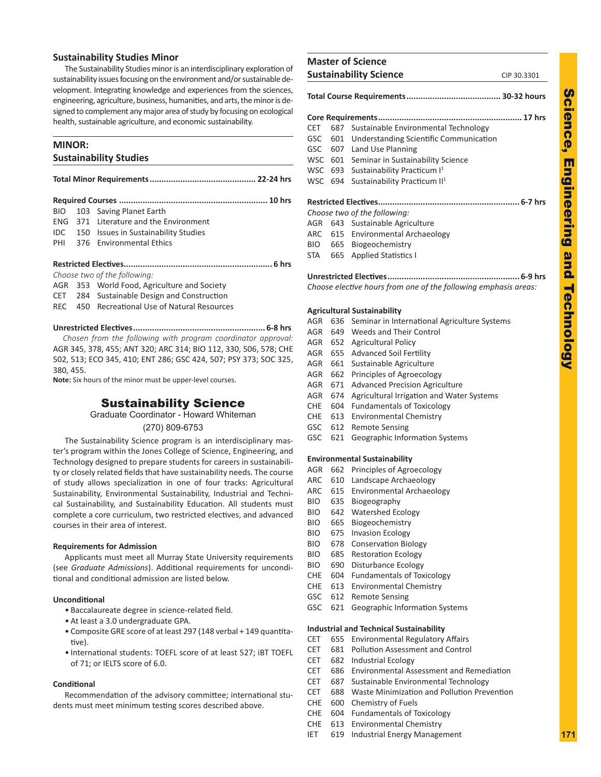### **Sustainability Studies Minor**

The Sustainability Studies minor is an interdisciplinary exploration of sustainability issues focusing on the environment and/or sustainable development. Integrating knowledge and experiences from the sciences, engineering, agriculture, business, humanities, and arts, the minor is de signed to complement any major area of study by focusing on ecological health, sustainable agriculture, and economic sustainability.

### **MINOR:**

### **Sustainability Studies**

| <b>BIO</b> | 103 Saving Planet Earth                         |  |
|------------|-------------------------------------------------|--|
|            | ENG 371 Literature and the Environment          |  |
|            | <b>IDC</b> 150 Issues in Sustainability Studies |  |
|            | PHI 376 Environmental Ethics                    |  |
|            |                                                 |  |
|            |                                                 |  |
|            | Choose two of the following:                    |  |
|            | AGR 353 World Food, Agriculture and Society     |  |
|            | CET 284 Sustainable Design and Construction     |  |
|            | REC 450 Recreational Use of Natural Resources   |  |
|            |                                                 |  |
|            |                                                 |  |

**Unrestricted Electives........................................................ 6-8 hrs**  *Chosen from the following with program coordinator approval:*  AGR 345, 378, 455; ANT 320; ARC 314; BIO 112, 330, 506, 578; CHE 502, 513; ECO 345, 410; ENT 286; GSC 424, 507; PSY 373; SOC 325, 380, 455.

**Note:** Six hours of the minor must be upper-level courses.

### Sustainability Science

Graduate Coordinator - Howard Whiteman

(270) 809-6753

The Sustainability Science program is an interdisciplinary mas ter's program within the Jones College of Science, Engineering, and Technology designed to prepare students for careers in sustainabili ty or closely related fields that have sustainability needs. The course of study allows specialization in one of four tracks: Agricultural Sustainability, Environmental Sustainability, Industrial and Techni cal Sustainability, and Sustainability Education. All students must complete a core curriculum, two restricted electives, and advanced courses in their area of interest.

#### **Requirements for Admission**

Applicants must meet all Murray State University requirements (see *Graduate Admissions*). Additional requirements for uncondi tional and conditional admission are listed below.

### **Unconditional**

- Baccalaureate degree in science-related field.
- At least a 3.0 undergraduate GPA.
- Composite GRE score of at least 297 (148 verbal + 149 quantita tive).
- International students: TOEFL score of at least 527; iBT TOEFL of 71; or IELTS score of 6.0.

### **Conditional**

Recommendation of the advisory committee; international stu dents must meet minimum testing scores described above.

| <b>Master of Science</b>      |             |
|-------------------------------|-------------|
| <b>Sustainability Science</b> | CIP 30.3301 |

### **Total Course Requirements........................................ 30-32 hours Core Requirements............................................................. 17 hrs** CET 687 Sustainable Environmental Technology GSC 601 Understanding Scientific Communication GSC 607 Land Use Planning

- WSC 601 Seminar in Sustainability Science
- WSC 693 Sustainability Practicum I<sup>1</sup>
- WSC 694 Sustainability Practicum II<sup>1</sup>

### **Restricted Electives............................................................ 6-7 hrs**

*Choose two of the following:*

- AGR 643 Sustainable Agriculture
- ARC 615 Environmental Archaeology
- BIO 665 Biogeochemistry
- STA 665 Applied Statistics I

**Unrestricted Electives........................................................ 6-9 hrs** *Choose elective hours from one of the following emphasis areas:*

### **Agricultural Sustainability**

- AGR 636 Seminar in International Agriculture Systems
- AGR 649 Weeds and Their Control
- AGR 652 Agricultural Policy
- AGR 655 Advanced Soil Fertility
- AGR 661 Sustainable Agriculture
- AGR 662 Principles of Agroecology
- AGR 671 Advanced Precision Agriculture
- AGR 674 Agricultural Irrigation and Water Systems
- CHE 604 Fundamentals of Toxicology
- CHE 613 Environmental Chemistry
- GSC 612 Remote Sensing
- GSC 621 Geographic Information Systems

### **Environmental Sustainability**

- AGR 662 Principles of Agroecology
- ARC 610 Landscape Archaeology
- ARC 615 Environmental Archaeology
- BIO 635 Biogeography
- BIO 642 Watershed Ecology
- BIO 665 Biogeochemistry
- BIO 675 Invasion Ecology
- BIO 678 Conservation Biology
- BIO 685 Restoration Ecology
- BIO 690 Disturbance Ecology
- CHE 604 Fundamentals of Toxicology
- CHE 613 Environmental Chemistry
- GSC 612 Remote Sensing
- GSC 621 Geographic Information Systems

#### **Industrial and Technical Sustainability**

- CET 655 Environmental Regulatory Affairs
- CET 681 Pollution Assessment and Control
- CET 682 Industrial Ecology
- CET 686 Environmental Assessment and Remediation
- CET 687 Sustainable Environmental Technology
- CET 688 Waste Minimization and Pollution Prevention
- CHE 600 Chemistry of Fuels
- CHE 604 Fundamentals of Toxicology
- CHE 613 Environmental Chemistry
- IET 619 Industrial Energy Management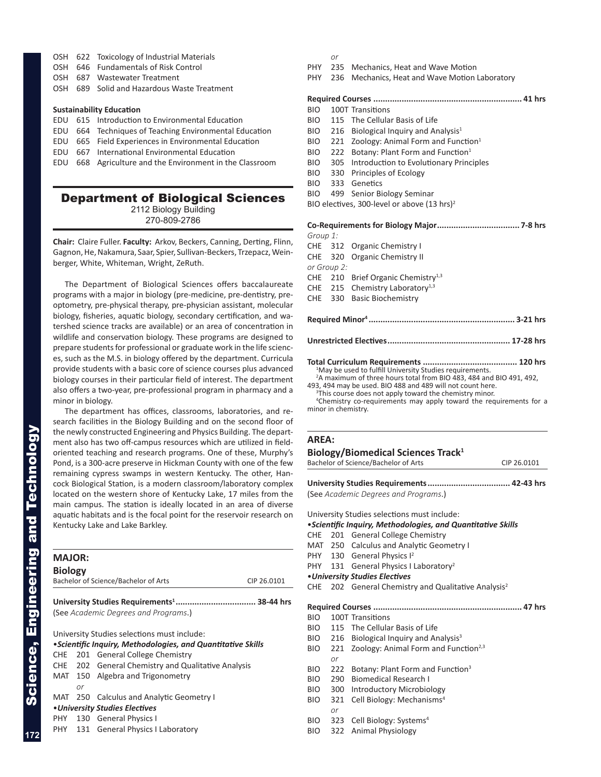- OSH 622 Toxicology of Industrial Materials
- OSH 646 Fundamentals of Risk Control
- OSH 687 Wastewater Treatment
- OSH 689 Solid and Hazardous Waste Treatment

### **Sustainability Education**

- EDU 615 Introduction to Environmental Education
- EDU 664 Techniques of Teaching Environmental Education
- EDU 665 Field Experiences in Environmental Education
- EDU 667 International Environmental Education
- EDU 668 Agriculture and the Environment in the Classroom

### Department of Biological Sciences 2112 Biology Building

270-809-2786

**Chair:** Claire Fuller. **Faculty:** Arkov, Beckers, Canning, Derting, Flinn, Gagnon, He, Nakamura, Saar, Spier, Sullivan-Beckers, Trzepacz, Wein berger, White, Whiteman, Wright, ZeRuth.

The Department of Biological Sciences offers baccalaureate programs with a major in biology (pre-medicine, pre-dentistry, preoptometry, pre-physical therapy, pre-physician assistant, molecular biology, fisheries, aquatic biology, secondary certification, and wa tershed science tracks are available) or an area of concentration in wildlife and conservation biology. These programs are designed to prepare students for professional or graduate work in the life scienc es, such as the M.S. in biology offered by the department. Curricula provide students with a basic core of science courses plus advanced biology courses in their particular field of interest. The department also offers a two-year, pre-professional program in pharmacy and a minor in biology.

The department has offices, classrooms, laboratories, and re search facilities in the Biology Building and on the second floor of the newly constructed Engineering and Physics Building. The depart ment also has two off-campus resources which are utilized in fieldoriented teaching and research programs. One of these, Murphy's Pond, is a 300-acre preserve in Hickman County with one of the few remaining cypress swamps in western Kentucky. The other, Han cock Biological Station, is a modern classroom/laboratory complex located on the western shore of Kentucky Lake, 17 miles from the main campus. The station is ideally located in an area of diverse aquatic habitats and is the focal point for the reservoir research on Kentucky Lake and Lake Barkley.

| <b>MAJOR:</b>  |     |                                                              |             |
|----------------|-----|--------------------------------------------------------------|-------------|
| <b>Biology</b> |     |                                                              |             |
|                |     | Bachelor of Science/Bachelor of Arts                         | CIP 26.0101 |
|                |     |                                                              |             |
|                |     | (See Academic Degrees and Programs.)                         |             |
|                |     | University Studies selections must include:                  |             |
|                |     | • Scientific Inquiry, Methodologies, and Quantitative Skills |             |
| CHE            | 201 | <b>General College Chemistry</b>                             |             |
|                |     | CHE 202 General Chemistry and Qualitative Analysis           |             |
|                |     | MAT 150 Algebra and Trigonometry                             |             |
|                | or  |                                                              |             |
|                |     | MAT 250 Calculus and Analytic Geometry I                     |             |
|                |     | •University Studies Electives                                |             |
|                |     | PHY 130 General Physics I                                    |             |
|                |     | PHY 131 General Physics I Laboratory                         |             |
|                |     |                                                              |             |

### *or*

- PHY 235 Mechanics, Heat and Wave Motion
- PHY 236 Mechanics, Heat and Wave Motion Laboratory

### **Required Courses ............................................................... 41 hrs**

- BIO 100T Transitions
- BIO 115 The Cellular Basis of Life
- $BIO$  216 Biological Inquiry and Analysis<sup>1</sup>
- BIO 221 Zoology: Animal Form and Function<sup>1</sup>
- BIO 222 Botany: Plant Form and Function<sup>1</sup>
- BIO 305 Introduction to Evolutionary Principles
- BIO 330 Principles of Ecology
- BIO 333 Genetics
- BIO 499 Senior Biology Seminar

BIO electives, 300-level or above (13 hrs)<sup>2</sup>

#### **Co-Requirements for Biology Major................................... 7-8 hrs** *Group 1:*

| UI VUN 1. |             |                                                                      |  |
|-----------|-------------|----------------------------------------------------------------------|--|
|           |             | CHE 312 Organic Chemistry I                                          |  |
|           |             | CHE 320 Organic Chemistry II                                         |  |
|           | or Group 2: |                                                                      |  |
|           |             | CHE 210 Brief Organic Chemistry <sup>1,3</sup>                       |  |
|           |             | CHE 215 Chemistry Laboratory <sup>1,3</sup>                          |  |
|           |             | CHE 330 Basic Biochemistry                                           |  |
|           |             |                                                                      |  |
|           |             |                                                                      |  |
|           |             |                                                                      |  |
|           |             |                                                                      |  |
|           |             |                                                                      |  |
|           |             |                                                                      |  |
|           |             | <sup>1</sup> May be used to fulfill University Studies requirements. |  |

May be used to fulfill University Studies requirements. 2 A maximum of three hours total from BIO 483, 484 and BIO 491, 492, 493, 494 may be used. BIO 488 and 489 will not count here.

<sup>3</sup>This course does not apply toward the chemistry minor.

4 Chemistry co-requirements may apply toward the requirements for a minor in chemistry.

### **AREA:**

| Biology/Biomedical Sciences Track <sup>1</sup> |  |
|------------------------------------------------|--|
| Bachelor of Science/Bachelor of Arts           |  |
|                                                |  |

**University Studies Requirements................................... 42-43 hrs** (See *Academic Degrees and Programs*.)

CIP 26.0101

University Studies selections must include:

•*Scientific Inquiry, Methodologies, and Quantitative Skills*

- CHE 201 General College Chemistry
- MAT 250 Calculus and Analytic Geometry I
- PHY 130 General Physics I<sup>2</sup>
- PHY 131 General Physics I Laboratory<sup>2</sup>
- •*University Studies Electives*
- CHE 202 General Chemistry and Qualitative Analysis<sup>2</sup>

**Required Courses ............................................................... 47 hrs** BIO 100T Transitions BIO 115 The Cellular Basis of Life BIO 216 Biological Inquiry and Analysis<sup>3</sup> BIO 221 Zoology: Animal Form and Function<sup>2,3</sup> *or* BIO 222 Botany: Plant Form and Function<sup>3</sup> BIO 290 Biomedical Research I BIO 300 Introductory Microbiology BIO 321 Cell Biology: Mechanisms 4 *or*

- BIO 323 Cell Biology: Systems<sup>4</sup>
- BIO 322 Animal Physiology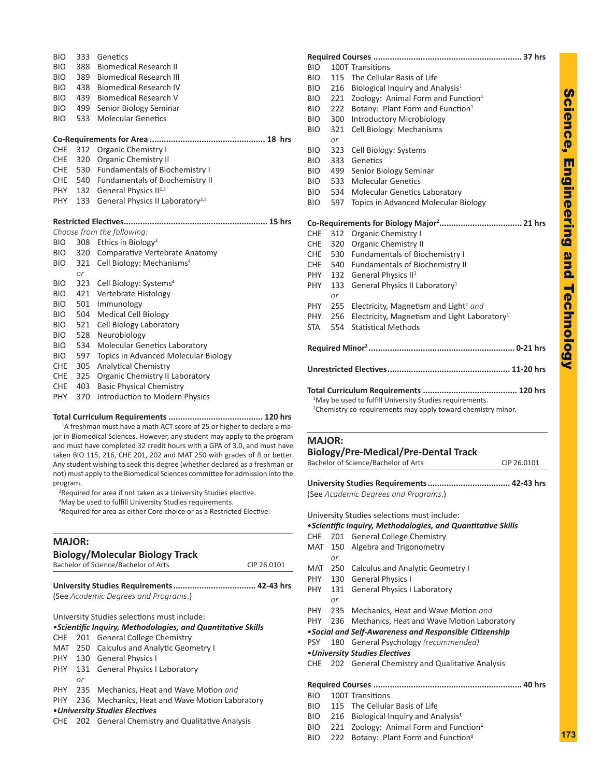| 333<br>388<br>389<br>438<br>439<br>499 | Genetics<br><b>Biomedical Research II</b><br><b>Biomedical Research III</b><br><b>Biomedical Research IV</b><br><b>Biomedical Research V</b><br>Senior Biology Seminar<br><b>Molecular Genetics</b> |
|----------------------------------------|-----------------------------------------------------------------------------------------------------------------------------------------------------------------------------------------------------|
|                                        |                                                                                                                                                                                                     |
|                                        |                                                                                                                                                                                                     |
|                                        | <b>Organic Chemistry I</b>                                                                                                                                                                          |
|                                        | <b>Organic Chemistry II</b>                                                                                                                                                                         |
|                                        | <b>Fundamentals of Biochemistry I</b>                                                                                                                                                               |
|                                        | 540 Fundamentals of Biochemistry II                                                                                                                                                                 |
|                                        | 132 General Physics II <sup>2,3</sup>                                                                                                                                                               |
|                                        | General Physics II Laboratory <sup>2,3</sup>                                                                                                                                                        |
|                                        |                                                                                                                                                                                                     |
|                                        | Choose from the following:                                                                                                                                                                          |
| 308                                    | Ethics in Biology <sup>3</sup>                                                                                                                                                                      |
|                                        | 320 Comparative Vertebrate Anatomy                                                                                                                                                                  |
|                                        |                                                                                                                                                                                                     |
| 321                                    | Cell Biology: Mechanisms <sup>4</sup>                                                                                                                                                               |
| or                                     |                                                                                                                                                                                                     |
| 323                                    | Cell Biology: Systems <sup>4</sup>                                                                                                                                                                  |
| 421                                    | Vertebrate Histology                                                                                                                                                                                |
| 501                                    | Immunology                                                                                                                                                                                          |
| 504                                    | <b>Medical Cell Biology</b>                                                                                                                                                                         |
| 521                                    | Cell Biology Laboratory                                                                                                                                                                             |
| 528                                    | Neurobiology                                                                                                                                                                                        |
| 534                                    | <b>Molecular Genetics Laboratory</b>                                                                                                                                                                |
| 597                                    | Topics in Advanced Molecular Biology                                                                                                                                                                |
| 305                                    | <b>Analytical Chemistry</b>                                                                                                                                                                         |
| 325                                    | Organic Chemistry II Laboratory                                                                                                                                                                     |
| 403<br>370                             | <b>Basic Physical Chemistry</b><br>Introduction to Modern Physics                                                                                                                                   |
|                                        | 533<br>312<br>320<br>530<br>PHY<br>133                                                                                                                                                              |

### **Total Curriculum Requirements ........................................ 120 hrs**

<sup>1</sup>A freshman must have a math ACT score of 25 or higher to declare a major in Biomedical Sciences. However, any student may apply to the program and must have completed 32 credit hours with a GPA of 3.0, and must have taken BIO 115, 216, CHE 201, 202 and MAT 250 with grades of *B* or better. Any student wishing to seek this degree (whether declared as a freshman or not) must apply to the Biomedical Sciences committee for admission into the program.

<sup>2</sup>Required for area if not taken as a University Studies elective.

<sup>3</sup>May be used to fulfill University Studies requirements.

4 Required for area as either Core choice or as a Restricted Elective.

### **MAJOR:**

|     |     | <b>Biology/Molecular Biology Track</b><br>Bachelor of Science/Bachelor of Arts | CIP 26.0101 |
|-----|-----|--------------------------------------------------------------------------------|-------------|
|     |     |                                                                                |             |
|     |     | (See Academic Degrees and Programs.)                                           |             |
|     |     | University Studies selections must include:                                    |             |
|     |     | • Scientific Inquiry, Methodologies, and Quantitative Skills                   |             |
| CHE | 201 | <b>General College Chemistry</b>                                               |             |
| MAT | 250 | <b>Calculus and Analytic Geometry I</b>                                        |             |
|     |     | PHY 130 General Physics I                                                      |             |
| PHY |     | 131 General Physics I Laboratory                                               |             |
|     | or  |                                                                                |             |
| PHY | 235 | Mechanics, Heat and Wave Motion and                                            |             |
| PHY | 236 | Mechanics, Heat and Wave Motion Laboratory                                     |             |
|     |     | • University Studies Electives                                                 |             |
| CHE |     | 202 General Chemistry and Qualitative Analysis                                 |             |

| <b>BIO</b> |           | 100T Transitions                                                                                                                                 |  |
|------------|-----------|--------------------------------------------------------------------------------------------------------------------------------------------------|--|
| BIO        | 115       | The Cellular Basis of Life                                                                                                                       |  |
| BIO        | 216       | Biological Inquiry and Analysis <sup>1</sup>                                                                                                     |  |
| BIO        | 221       | Zoology: Animal Form and Function <sup>1</sup>                                                                                                   |  |
| BIO        | 222       | Botany: Plant Form and Function <sup>1</sup>                                                                                                     |  |
| BIO        | 300       | <b>Introductory Microbiology</b>                                                                                                                 |  |
| BIO        | 321       | Cell Biology: Mechanisms                                                                                                                         |  |
|            | or        |                                                                                                                                                  |  |
| BIO        | 323       | Cell Biology: Systems                                                                                                                            |  |
| BIO        | 333       | Genetics                                                                                                                                         |  |
| <b>BIO</b> | 499       | Senior Biology Seminar                                                                                                                           |  |
| <b>BIO</b> | 533       | <b>Molecular Genetics</b>                                                                                                                        |  |
| BIO        | 534       | <b>Molecular Genetics Laboratory</b>                                                                                                             |  |
| BIO        | 597       | <b>Topics in Advanced Molecular Biology</b>                                                                                                      |  |
|            |           |                                                                                                                                                  |  |
| CHE        | 312       | <b>Organic Chemistry I</b>                                                                                                                       |  |
| CHE        | 320       | <b>Organic Chemistry II</b>                                                                                                                      |  |
| CHE        | 530       | <b>Fundamentals of Biochemistry I</b>                                                                                                            |  |
| CHE        |           | 540 Fundamentals of Biochemistry II                                                                                                              |  |
| PHY -      | 132       | General Physics II <sup>1</sup>                                                                                                                  |  |
| PHY        | 133<br>or | General Physics II Laboratory <sup>1</sup>                                                                                                       |  |
| PHY.       | 255       | Electricity, Magnetism and Light <sup>1</sup> and                                                                                                |  |
| PHY.       | 256       | Electricity, Magnetism and Light Laboratory <sup>1</sup>                                                                                         |  |
| STA        | 554       | <b>Statistical Methods</b>                                                                                                                       |  |
|            |           |                                                                                                                                                  |  |
|            |           |                                                                                                                                                  |  |
|            |           | <sup>1</sup> May be used to fulfill University Studies requirements.<br><sup>2</sup> Chemistry co-requirements may apply toward chemistry minor. |  |

### **MAJOR:**

|  | <b>Biology/Pre-Medical/Pre-Dental Track</b><br>Bachelor of Science/Bachelor of Arts<br>CIP 26.0101 |                                                              |  |  |  |
|--|----------------------------------------------------------------------------------------------------|--------------------------------------------------------------|--|--|--|
|  |                                                                                                    |                                                              |  |  |  |
|  |                                                                                                    |                                                              |  |  |  |
|  |                                                                                                    |                                                              |  |  |  |
|  |                                                                                                    | (See Academic Degrees and Programs.)                         |  |  |  |
|  |                                                                                                    |                                                              |  |  |  |
|  |                                                                                                    | University Studies selections must include:                  |  |  |  |
|  |                                                                                                    | • Scientific Inquiry, Methodologies, and Quantitative Skills |  |  |  |
|  |                                                                                                    | CHE 201 General College Chemistry                            |  |  |  |
|  |                                                                                                    | MAT 150 Algebra and Trigonometry                             |  |  |  |
|  | or                                                                                                 |                                                              |  |  |  |
|  |                                                                                                    | MAT 250 Calculus and Analytic Geometry I                     |  |  |  |
|  |                                                                                                    | PHY 130 General Physics I                                    |  |  |  |
|  |                                                                                                    | PHY 131 General Physics I Laboratory                         |  |  |  |
|  | or                                                                                                 |                                                              |  |  |  |

PHY 235 Mechanics, Heat and Wave Motion *and*

- PHY 236 Mechanics, Heat and Wave Motion Laboratory
- •*Social and Self-Awareness and Responsible Citizenship*

PSY 180 General Psychology *(recommended)*

### •*University Studies Electives*

CHE 202 General Chemistry and Qualitative Analysis

### **Required Courses ............................................................... 40 hrs**

BIO 100T Transitions

- BIO 115 The Cellular Basis of Life
- BIO 216 Biological Inquiry and Analysis **1**
- BIO 221 Zoology: Animal Form and Function **1**
- BIO 222 Botany: Plant Form and Function **1**

Science, Engineering and Technology

Science, Engineering and Technology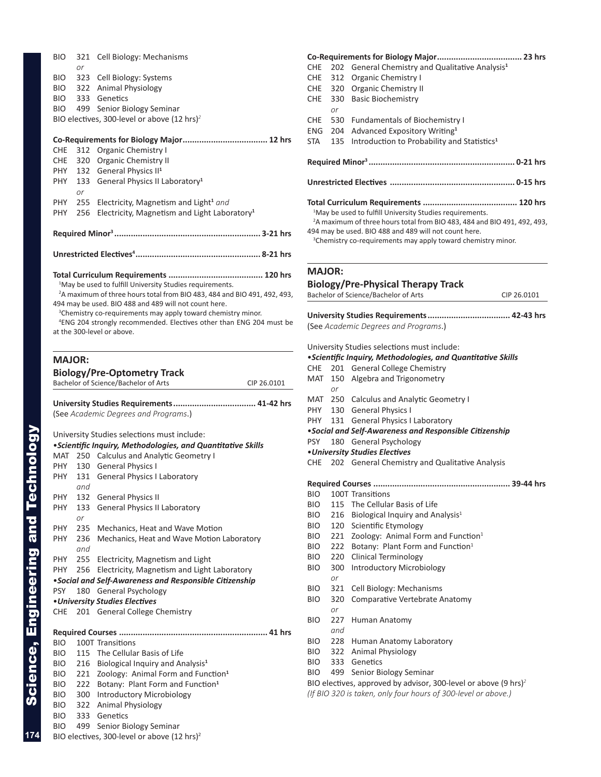| BIO           | 321       | Cell Biology: Mechanisms                                                             |
|---------------|-----------|--------------------------------------------------------------------------------------|
|               | or        |                                                                                      |
| <b>BIO</b>    |           | 323 Cell Biology: Systems                                                            |
| BIO           |           | 322 Animal Physiology                                                                |
| BIO           |           | 333 Genetics                                                                         |
| <b>BIO</b>    | 499       | Senior Biology Seminar                                                               |
|               |           | BIO electives, 300-level or above $(12 \text{ hrs})^2$                               |
|               |           |                                                                                      |
| <b>CHE</b>    | 312       | Organic Chemistry I                                                                  |
| CHE           |           | 320 Organic Chemistry II                                                             |
| PHY           |           | 132 General Physics II <sup>1</sup>                                                  |
| PHY           | 133<br>or | General Physics II Laboratory <sup>1</sup>                                           |
| PHY           | 255       | Electricity, Magnetism and Light <sup>1</sup> and                                    |
| PHY           | 256       | Electricity, Magnetism and Light Laboratory <sup>1</sup>                             |
|               |           |                                                                                      |
|               |           |                                                                                      |
|               |           |                                                                                      |
|               |           |                                                                                      |
|               |           | <sup>1</sup> May be used to fulfill University Studies requirements.                 |
|               |           | <sup>2</sup> A maximum of three hours total from BIO 483, 484 and BIO 491, 492, 493, |
|               |           | 494 may be used. BIO 488 and 489 will not count here.                                |
|               |           | <sup>3</sup> Chemistry co-requirements may apply toward chemistry minor.             |
|               |           | <sup>4</sup> ENG 204 strongly recommended. Electives other than ENG 204 must be      |
|               |           | at the 300-level or above.                                                           |
|               |           |                                                                                      |
| <b>MAJOR:</b> |           |                                                                                      |
|               |           | <b>Biology/Pre-Optometry Track</b>                                                   |
|               |           | Bachelor of Science/Bachelor of Arts<br>CIP 26.0101                                  |
|               |           |                                                                                      |
|               |           | (See Academic Degrees and Programs.)                                                 |
|               |           | University Studies selections must include:                                          |
|               |           | ·Scientific Inquiry, Methodologies, and Quantitative Skills                          |
|               |           | MAT 250 Calculus and Analytic Geometry I                                             |
| PHY           |           | 130 General Physics I                                                                |
| PHY           |           | 131 General Physics I Laboratory                                                     |
|               | and       |                                                                                      |
| PHY           | 132       | <b>General Physics II</b>                                                            |
| PHY.          | 133       | General Physics II Laboratory                                                        |
|               | or        |                                                                                      |
| PHY           | 235       | Mechanics, Heat and Wave Motion                                                      |
| <b>PHY</b>    | 236       | Mechanics, Heat and Wave Motion Laboratory                                           |
|               | and       |                                                                                      |
| PHY           | 255       | Electricity, Magnetism and Light                                                     |
| PHY           | 256       | Electricity, Magnetism and Light Laboratory                                          |
|               |           | . Social and Self-Awareness and Responsible Citizenship                              |
| <b>PSY</b>    | 180       | General Psychology                                                                   |
|               |           | • University Studies Electives                                                       |
| CHE           | 201       | <b>General College Chemistry</b>                                                     |
|               |           |                                                                                      |
| <b>BIO</b>    |           | 100T Transitions                                                                     |
| BIO.          |           | 115 The Cellular Basis of Life                                                       |
| BIO.          | 216       | Biological Inquiry and Analysis <sup>1</sup>                                         |
| BIO.          |           | 221 Zoology: Animal Form and Function <sup>1</sup>                                   |
| BIO           | 222       | Botany: Plant Form and Function <sup>1</sup>                                         |
| BIO.          |           | 300 Introductory Microbiology                                                        |
| BIO           |           | 322 Animal Physiology                                                                |
| BIO.          | 333       | Genetics                                                                             |
| BIO           | 499       | Senior Biology Seminar                                                               |
|               |           | BIO electives, 300-level or above (12 hrs) <sup>2</sup>                              |

|               |           | Co-Requirements for Biology Major<br>23 hrs                                                                                                                                                                                                                                                       |  |  |  |  |
|---------------|-----------|---------------------------------------------------------------------------------------------------------------------------------------------------------------------------------------------------------------------------------------------------------------------------------------------------|--|--|--|--|
| <b>CHE</b>    | 202       | General Chemistry and Qualitative Analysis <sup>1</sup>                                                                                                                                                                                                                                           |  |  |  |  |
| <b>CHE</b>    | 312       | <b>Organic Chemistry I</b>                                                                                                                                                                                                                                                                        |  |  |  |  |
| CHE           | 320       | <b>Organic Chemistry II</b>                                                                                                                                                                                                                                                                       |  |  |  |  |
| CHE           | 330       | <b>Basic Biochemistry</b>                                                                                                                                                                                                                                                                         |  |  |  |  |
|               | or        |                                                                                                                                                                                                                                                                                                   |  |  |  |  |
| CHE           | 530       | <b>Fundamentals of Biochemistry I</b>                                                                                                                                                                                                                                                             |  |  |  |  |
| ENG           | 204       | Advanced Expository Writing <sup>1</sup>                                                                                                                                                                                                                                                          |  |  |  |  |
| STA           | 135       | Introduction to Probability and Statistics <sup>1</sup>                                                                                                                                                                                                                                           |  |  |  |  |
|               |           |                                                                                                                                                                                                                                                                                                   |  |  |  |  |
|               |           |                                                                                                                                                                                                                                                                                                   |  |  |  |  |
|               |           | <sup>1</sup> May be used to fulfill University Studies requirements.<br><sup>2</sup> A maximum of three hours total from BIO 483, 484 and BIO 491, 492, 493,<br>494 may be used. BIO 488 and 489 will not count here.<br><sup>3</sup> Chemistry co-requirements may apply toward chemistry minor. |  |  |  |  |
| <b>MAJOR:</b> |           |                                                                                                                                                                                                                                                                                                   |  |  |  |  |
|               |           | <b>Biology/Pre-Physical Therapy Track</b>                                                                                                                                                                                                                                                         |  |  |  |  |
|               |           | Bachelor of Science/Bachelor of Arts<br>CIP 26.0101                                                                                                                                                                                                                                               |  |  |  |  |
|               |           |                                                                                                                                                                                                                                                                                                   |  |  |  |  |
|               |           | (See Academic Degrees and Programs.)                                                                                                                                                                                                                                                              |  |  |  |  |
|               |           | University Studies selections must include:                                                                                                                                                                                                                                                       |  |  |  |  |
|               |           | <i>·Scientific Inquiry, Methodologies, and Quantitative Skills</i>                                                                                                                                                                                                                                |  |  |  |  |
| CHE           |           | 201 General College Chemistry                                                                                                                                                                                                                                                                     |  |  |  |  |
| MAT           | 150<br>or | Algebra and Trigonometry                                                                                                                                                                                                                                                                          |  |  |  |  |
| MAT           | 250       | Calculus and Analytic Geometry I                                                                                                                                                                                                                                                                  |  |  |  |  |
| PHY           | 130       | <b>General Physics I</b>                                                                                                                                                                                                                                                                          |  |  |  |  |
| PHY           | 131       | <b>General Physics I Laboratory</b>                                                                                                                                                                                                                                                               |  |  |  |  |
|               |           | • Social and Self-Awareness and Responsible Citizenship                                                                                                                                                                                                                                           |  |  |  |  |
| <b>PSY</b>    | 180       | <b>General Psychology</b>                                                                                                                                                                                                                                                                         |  |  |  |  |
|               |           | • University Studies Electives                                                                                                                                                                                                                                                                    |  |  |  |  |
| CHE           | 202       | General Chemistry and Qualitative Analysis                                                                                                                                                                                                                                                        |  |  |  |  |
|               |           |                                                                                                                                                                                                                                                                                                   |  |  |  |  |
|               |           |                                                                                                                                                                                                                                                                                                   |  |  |  |  |
| BIO.          |           | 1001 Transitions                                                                                                                                                                                                                                                                                  |  |  |  |  |
| BIO           | 115       | The Cellular Basis of Life                                                                                                                                                                                                                                                                        |  |  |  |  |
| BIO.          | 216       | Biological Inquiry and Analysis <sup>1</sup>                                                                                                                                                                                                                                                      |  |  |  |  |
| BIO.          | 120       | Scientific Etymology                                                                                                                                                                                                                                                                              |  |  |  |  |
| BIO.          | 221       | Zoology: Animal Form and Function <sup>1</sup>                                                                                                                                                                                                                                                    |  |  |  |  |
| BIO.          | 222       | Botany: Plant Form and Function <sup>1</sup>                                                                                                                                                                                                                                                      |  |  |  |  |
| BIO.          | 220       | <b>Clinical Terminology</b>                                                                                                                                                                                                                                                                       |  |  |  |  |
| BIO.          | 300<br>or | <b>Introductory Microbiology</b>                                                                                                                                                                                                                                                                  |  |  |  |  |
| BIO.          | 321       | Cell Biology: Mechanisms                                                                                                                                                                                                                                                                          |  |  |  |  |
| BIO.          | 320       | Comparative Vertebrate Anatomy                                                                                                                                                                                                                                                                    |  |  |  |  |
|               | or        |                                                                                                                                                                                                                                                                                                   |  |  |  |  |
| BIO.          | 227       | Human Anatomy                                                                                                                                                                                                                                                                                     |  |  |  |  |
|               | and       |                                                                                                                                                                                                                                                                                                   |  |  |  |  |
| BIO.          | 228       | Human Anatomy Laboratory                                                                                                                                                                                                                                                                          |  |  |  |  |

- BIO 322 Animal Physiology
- BIO 333 Genetics
- BIO 499 Senior Biology Seminar

BIO electives, approved by advisor, 300-level or above (9 hrs) *2 (If BIO 320 is taken, only four hours of 300-level or above.)*

**174**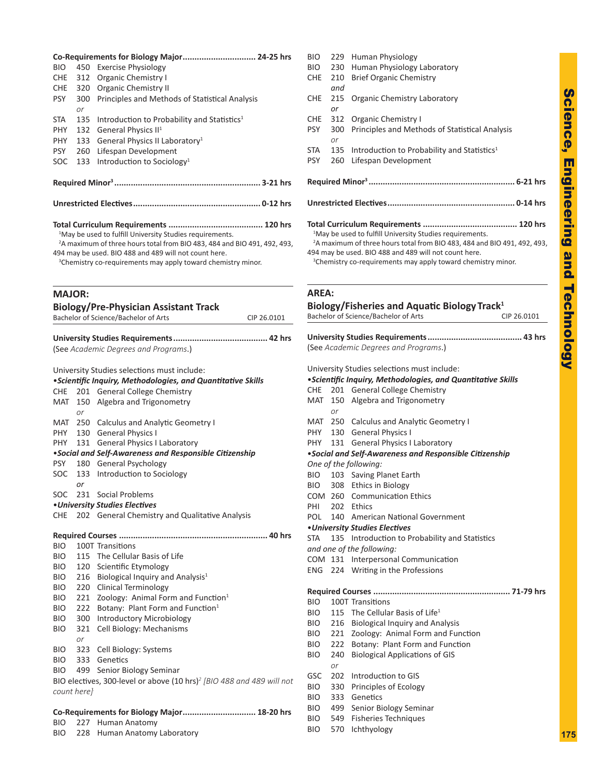**175**

| BIO.          |             | Co-Requirements for Biology Major 24-25 hrs<br>450 Exercise Physiology                                                                                       |  |
|---------------|-------------|--------------------------------------------------------------------------------------------------------------------------------------------------------------|--|
| <b>CHE</b>    | 312         | Organic Chemistry I                                                                                                                                          |  |
| CHE           | 320         | <b>Organic Chemistry II</b>                                                                                                                                  |  |
| <b>PSY</b>    | 300         | Principles and Methods of Statistical Analysis                                                                                                               |  |
|               | or          |                                                                                                                                                              |  |
| <b>STA</b>    | 135         | Introduction to Probability and Statistics <sup>1</sup>                                                                                                      |  |
| PHY           | 132         | General Physics II <sup>1</sup>                                                                                                                              |  |
| PHY           | 133         | General Physics II Laboratory <sup>1</sup>                                                                                                                   |  |
| <b>PSY</b>    | 260         | Lifespan Development                                                                                                                                         |  |
| SOC           | 133         | Introduction to Sociology <sup>1</sup>                                                                                                                       |  |
|               |             |                                                                                                                                                              |  |
|               |             |                                                                                                                                                              |  |
|               |             |                                                                                                                                                              |  |
|               |             |                                                                                                                                                              |  |
|               |             | <sup>1</sup> May be used to fulfill University Studies requirements.<br><sup>2</sup> A maximum of three hours total from BIO 483, 484 and BIO 491, 492, 493, |  |
|               |             | 494 may be used. BIO 488 and 489 will not count here.                                                                                                        |  |
|               |             | <sup>3</sup> Chemistry co-requirements may apply toward chemistry minor.                                                                                     |  |
|               |             |                                                                                                                                                              |  |
|               |             |                                                                                                                                                              |  |
| <b>MAJOR:</b> |             |                                                                                                                                                              |  |
|               |             | <b>Biology/Pre-Physician Assistant Track</b><br>Bachelor of Science/Bachelor of Arts<br>CIP 26.0101                                                          |  |
|               |             |                                                                                                                                                              |  |
|               |             |                                                                                                                                                              |  |
|               |             | (See Academic Degrees and Programs.)                                                                                                                         |  |
|               |             |                                                                                                                                                              |  |
|               |             | University Studies selections must include:                                                                                                                  |  |
|               |             | <i>·Scientific Inquiry, Methodologies, and Quantitative Skills</i>                                                                                           |  |
| CHE           |             | 201 General College Chemistry                                                                                                                                |  |
| MAT           |             | 150 Algebra and Trigonometry                                                                                                                                 |  |
|               | or          |                                                                                                                                                              |  |
| MAT<br>PHY    | 250         | <b>Calculus and Analytic Geometry I</b><br>130 General Physics I                                                                                             |  |
| PHY.          | 131         | <b>General Physics I Laboratory</b>                                                                                                                          |  |
|               |             | . Social and Self-Awareness and Responsible Citizenship                                                                                                      |  |
| PSY           | 180         | <b>General Psychology</b>                                                                                                                                    |  |
| SOC           | 133         | Introduction to Sociology                                                                                                                                    |  |
|               | nr          |                                                                                                                                                              |  |
| SOC           |             | 231 Social Problems                                                                                                                                          |  |
|               |             | • University Studies Electives                                                                                                                               |  |
| CHE           |             | 202 General Chemistry and Qualitative Analysis                                                                                                               |  |
|               |             |                                                                                                                                                              |  |
| BIO           |             | 100T Transitions                                                                                                                                             |  |
| <b>BIO</b>    |             | 115 The Cellular Basis of Life                                                                                                                               |  |
| BIO.          |             | 120 Scientific Etymology                                                                                                                                     |  |
| BIO.          |             | 216 Biological Inquiry and Analysis <sup>1</sup>                                                                                                             |  |
| BIO           |             | 220 Clinical Terminology                                                                                                                                     |  |
| BIO.          |             | 221 Zoology: Animal Form and Function <sup>1</sup>                                                                                                           |  |
| BIO           |             | 222 Botany: Plant Form and Function <sup>1</sup>                                                                                                             |  |
| BIO           | 300         | <b>Introductory Microbiology</b>                                                                                                                             |  |
| BIO.          | 321         | Cell Biology: Mechanisms                                                                                                                                     |  |
|               | or          |                                                                                                                                                              |  |
| BIO.          |             | 323 Cell Biology: Systems                                                                                                                                    |  |
| BIO.          |             | 333 Genetics                                                                                                                                                 |  |
| BIO.          |             | 499 Senior Biology Seminar<br>BIO electives, 300-level or above (10 hrs) <sup>2</sup> [BIO 488 and 489 will not                                              |  |
|               | count here] |                                                                                                                                                              |  |
|               |             |                                                                                                                                                              |  |
|               |             | Co-Requirements for Biology Major 18-20 hrs                                                                                                                  |  |

BIO 227 Human Anatomy BIO 228 Human Anatomy Laboratory

| BIO<br>CHE | 230<br>210                                                                                                                                                                                                                                                                                        | Human Physiology Laboratory<br><b>Brief Organic Chemistry</b>                                                   |  |  |  |
|------------|---------------------------------------------------------------------------------------------------------------------------------------------------------------------------------------------------------------------------------------------------------------------------------------------------|-----------------------------------------------------------------------------------------------------------------|--|--|--|
|            | and                                                                                                                                                                                                                                                                                               |                                                                                                                 |  |  |  |
| <b>CHE</b> | 215<br>or                                                                                                                                                                                                                                                                                         | Organic Chemistry Laboratory                                                                                    |  |  |  |
| CHE        | 312                                                                                                                                                                                                                                                                                               | <b>Organic Chemistry I</b>                                                                                      |  |  |  |
| PSY        | 300<br>or                                                                                                                                                                                                                                                                                         | Principles and Methods of Statistical Analysis                                                                  |  |  |  |
| STA        | 135                                                                                                                                                                                                                                                                                               | Introduction to Probability and Statistics <sup>1</sup>                                                         |  |  |  |
| <b>PSY</b> | 260                                                                                                                                                                                                                                                                                               | Lifespan Development                                                                                            |  |  |  |
|            |                                                                                                                                                                                                                                                                                                   |                                                                                                                 |  |  |  |
|            |                                                                                                                                                                                                                                                                                                   |                                                                                                                 |  |  |  |
|            | <sup>1</sup> May be used to fulfill University Studies requirements.<br><sup>2</sup> A maximum of three hours total from BIO 483, 484 and BIO 491, 492, 493,<br>494 may be used. BIO 488 and 489 will not count here.<br><sup>3</sup> Chemistry co-requirements may apply toward chemistry minor. |                                                                                                                 |  |  |  |
| AREA:      |                                                                                                                                                                                                                                                                                                   |                                                                                                                 |  |  |  |
|            |                                                                                                                                                                                                                                                                                                   | Biology/Fisheries and Aquatic Biology Track <sup>1</sup><br>Bachelor of Science/Bachelor of Arts<br>CIP 26.0101 |  |  |  |
|            |                                                                                                                                                                                                                                                                                                   |                                                                                                                 |  |  |  |
|            |                                                                                                                                                                                                                                                                                                   | (See Academic Degrees and Programs.)                                                                            |  |  |  |
|            |                                                                                                                                                                                                                                                                                                   | University Studies selections must include:                                                                     |  |  |  |
|            |                                                                                                                                                                                                                                                                                                   | <i>·Scientific Inquiry, Methodologies, and Quantitative Skills</i>                                              |  |  |  |
| CHE        |                                                                                                                                                                                                                                                                                                   | 201 General College Chemistry                                                                                   |  |  |  |
| MAT        | 150                                                                                                                                                                                                                                                                                               | Algebra and Trigonometry                                                                                        |  |  |  |
|            | or                                                                                                                                                                                                                                                                                                |                                                                                                                 |  |  |  |
| MAT        |                                                                                                                                                                                                                                                                                                   | 250 Calculus and Analytic Geometry I                                                                            |  |  |  |
| PHY        | 130                                                                                                                                                                                                                                                                                               | <b>General Physics I</b>                                                                                        |  |  |  |
| PHY.       | 131                                                                                                                                                                                                                                                                                               | <b>General Physics I Laboratory</b>                                                                             |  |  |  |
|            |                                                                                                                                                                                                                                                                                                   | • Social and Self-Awareness and Responsible Citizenship                                                         |  |  |  |
|            |                                                                                                                                                                                                                                                                                                   | One of the following:                                                                                           |  |  |  |
| BIO        |                                                                                                                                                                                                                                                                                                   | 103 Saving Planet Earth                                                                                         |  |  |  |
| BIO.       |                                                                                                                                                                                                                                                                                                   | 308 Ethics in Biology                                                                                           |  |  |  |
|            |                                                                                                                                                                                                                                                                                                   | COM 260 Communication Ethics                                                                                    |  |  |  |
| PHI        | 202                                                                                                                                                                                                                                                                                               | Ethics                                                                                                          |  |  |  |
| POL        | 140                                                                                                                                                                                                                                                                                               | American National Government                                                                                    |  |  |  |
|            |                                                                                                                                                                                                                                                                                                   | • University Studies Electives                                                                                  |  |  |  |
| STA        | 135                                                                                                                                                                                                                                                                                               | Introduction to Probability and Statistics                                                                      |  |  |  |
|            |                                                                                                                                                                                                                                                                                                   | and one of the following:                                                                                       |  |  |  |
| COM        | 131                                                                                                                                                                                                                                                                                               | Interpersonal Communication                                                                                     |  |  |  |
| ENG        | 224                                                                                                                                                                                                                                                                                               | Writing in the Professions                                                                                      |  |  |  |
|            |                                                                                                                                                                                                                                                                                                   |                                                                                                                 |  |  |  |
| BIO        |                                                                                                                                                                                                                                                                                                   | 100T Transitions                                                                                                |  |  |  |
| <b>BIO</b> | 115                                                                                                                                                                                                                                                                                               | The Cellular Basis of Life <sup>1</sup>                                                                         |  |  |  |
| <b>BIO</b> | 216                                                                                                                                                                                                                                                                                               | <b>Biological Inquiry and Analysis</b>                                                                          |  |  |  |
| BIO.       | 221                                                                                                                                                                                                                                                                                               | Zoology: Animal Form and Function                                                                               |  |  |  |
| BIO.       | 222                                                                                                                                                                                                                                                                                               | Botany: Plant Form and Function                                                                                 |  |  |  |
| BIO        | 240                                                                                                                                                                                                                                                                                               | <b>Biological Applications of GIS</b>                                                                           |  |  |  |
| GSC        | or<br>202                                                                                                                                                                                                                                                                                         | Introduction to GIS                                                                                             |  |  |  |
| BIO.       | 330                                                                                                                                                                                                                                                                                               | Principles of Ecology                                                                                           |  |  |  |
| BIO        | 333                                                                                                                                                                                                                                                                                               | Genetics                                                                                                        |  |  |  |
| BIO        | 499                                                                                                                                                                                                                                                                                               | Senior Biology Seminar                                                                                          |  |  |  |
| BIO        | 549                                                                                                                                                                                                                                                                                               | <b>Fisheries Techniques</b>                                                                                     |  |  |  |
| BIO        | 570                                                                                                                                                                                                                                                                                               | Ichthyology                                                                                                     |  |  |  |
|            |                                                                                                                                                                                                                                                                                                   |                                                                                                                 |  |  |  |
|            |                                                                                                                                                                                                                                                                                                   |                                                                                                                 |  |  |  |

BIO 229 Human Physiology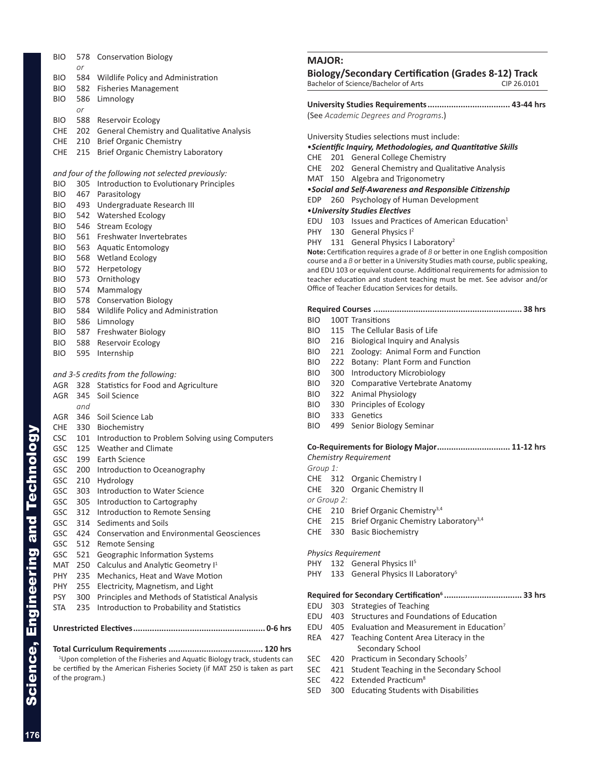|                             | BIO.         |                  | 578 Conservation Biology                                                              |
|-----------------------------|--------------|------------------|---------------------------------------------------------------------------------------|
|                             |              | or               |                                                                                       |
|                             | BIO -<br>BIO |                  | 584 Wildlife Policy and Administration<br>582 Fisheries Management                    |
|                             | BIO          |                  | 586 Limnology                                                                         |
|                             |              | or               |                                                                                       |
|                             | BIO          |                  | 588 Reservoir Ecology                                                                 |
|                             | CHE          |                  | 202 General Chemistry and Qualitative Analysis                                        |
|                             | CHE          |                  | 210 Brief Organic Chemistry                                                           |
|                             | CHE          | 215              | Brief Organic Chemistry Laboratory                                                    |
|                             |              |                  | and four of the following not selected previously:                                    |
|                             | <b>BIO</b>   | 305              | Introduction to Evolutionary Principles                                               |
|                             | BIO          |                  | 467 Parasitology                                                                      |
|                             | BIO          |                  | 493 Undergraduate Research III                                                        |
|                             | BIO          |                  | 542 Watershed Ecology                                                                 |
|                             | BIO<br>BIO   |                  | 546 Stream Ecology<br>561 Freshwater Invertebrates                                    |
|                             | BIO          |                  | 563 Aquatic Entomology                                                                |
|                             | BIO          |                  | 568 Wetland Ecology                                                                   |
|                             | BIO          |                  | 572 Herpetology                                                                       |
|                             | BIO          |                  | 573 Ornithology                                                                       |
|                             |              |                  | BIO 574 Mammalogy                                                                     |
|                             |              |                  | BIO 578 Conservation Biology                                                          |
|                             | BIO          |                  | 584 Wildlife Policy and Administration                                                |
|                             | BIO          |                  | 586 Limnology                                                                         |
|                             |              |                  | BIO 587 Freshwater Biology                                                            |
|                             | BIO<br>BIO   |                  | 588 Reservoir Ecology<br>595 Internship                                               |
|                             |              |                  |                                                                                       |
|                             |              |                  | and 3-5 credits from the following:                                                   |
|                             | AGR          | 328              | Statistics for Food and Agriculture                                                   |
|                             | AGR          | 345<br>and       | Soil Science                                                                          |
|                             | AGR          | 346              | Soil Science Lab                                                                      |
|                             | CHE          |                  | 330 Biochemistry                                                                      |
|                             | <b>CSC</b>   |                  | 101 Introduction to Problem Solving using Computers                                   |
| <u> Xibolouu</u> s          | GSC          |                  | 125 Weather and Climate                                                               |
|                             | <b>GSC</b>   |                  | 199 Earth Science                                                                     |
|                             | GSC          | 200              | Introduction to Oceanography                                                          |
|                             | GSC          | 210              | Hydrology                                                                             |
|                             | GSC<br>GSC   | 303<br>305       | Introduction to Water Science<br>Introduction to Cartography                          |
|                             | GSC          | 312              | Introduction to Remote Sensing                                                        |
|                             | GSC          | 314              | Sediments and Soils                                                                   |
|                             | <b>GSC</b>   | 424              | <b>Conservation and Environmental Geosciences</b>                                     |
|                             | GSC          | 512              | <b>Remote Sensing</b>                                                                 |
|                             | GSC          | 521              | Geographic Information Systems                                                        |
|                             | MAT          | 250              | Calculus and Analytic Geometry I <sup>1</sup>                                         |
|                             | PHY          | 235              | Mechanics, Heat and Wave Motion                                                       |
|                             | PHY<br>PSY   | 255<br>300       | Electricity, Magnetism, and Light<br>Principles and Methods of Statistical Analysis   |
|                             | STA          | 235              | Introduction to Probability and Statistics                                            |
|                             |              |                  |                                                                                       |
| Science, Engineering and Te |              |                  |                                                                                       |
|                             |              |                  |                                                                                       |
|                             |              |                  | <sup>1</sup> Upon completion of the Fisheries and Aquatic Biology track, students can |
|                             |              | of the program.) | be certified by the American Fisheries Society (if MAT 250 is taken as part           |
|                             |              |                  |                                                                                       |
|                             |              |                  |                                                                                       |
|                             |              |                  |                                                                                       |

### **MAJOR:**

|         | <b>IVIAJUK:</b>                |             |                                                                                                                                                                                                                                                                                                                                                                                 |  |
|---------|--------------------------------|-------------|---------------------------------------------------------------------------------------------------------------------------------------------------------------------------------------------------------------------------------------------------------------------------------------------------------------------------------------------------------------------------------|--|
|         |                                |             | <b>Biology/Secondary Certification (Grades 8-12) Track</b><br>Bachelor of Science/Bachelor of Arts<br>CIP 26.0101                                                                                                                                                                                                                                                               |  |
|         |                                |             | (See Academic Degrees and Programs.)                                                                                                                                                                                                                                                                                                                                            |  |
|         |                                |             | University Studies selections must include:                                                                                                                                                                                                                                                                                                                                     |  |
|         |                                |             | • Scientific Inquiry, Methodologies, and Quantitative Skills                                                                                                                                                                                                                                                                                                                    |  |
|         | CHE                            |             | 201 General College Chemistry                                                                                                                                                                                                                                                                                                                                                   |  |
|         | CHE.                           |             | 202 General Chemistry and Qualitative Analysis                                                                                                                                                                                                                                                                                                                                  |  |
|         |                                |             | MAT 150 Algebra and Trigonometry                                                                                                                                                                                                                                                                                                                                                |  |
|         |                                |             | • Social and Self-Awareness and Responsible Citizenship                                                                                                                                                                                                                                                                                                                         |  |
|         | EDP.                           |             | 260 Psychology of Human Development                                                                                                                                                                                                                                                                                                                                             |  |
|         | • University Studies Electives |             |                                                                                                                                                                                                                                                                                                                                                                                 |  |
|         | EDU                            |             | 103 Issues and Practices of American Education <sup>1</sup>                                                                                                                                                                                                                                                                                                                     |  |
|         | <b>PHY</b>                     | 130         | General Physics I <sup>2</sup>                                                                                                                                                                                                                                                                                                                                                  |  |
|         | PHY                            |             | 131 General Physics I Laboratory <sup>2</sup>                                                                                                                                                                                                                                                                                                                                   |  |
|         |                                |             | Note: Certification requires a grade of $B$ or better in one English composition<br>course and a B or better in a University Studies math course, public speaking,<br>and EDU 103 or equivalent course. Additional requirements for admission to<br>teacher education and student teaching must be met. See advisor and/or<br>Office of Teacher Education Services for details. |  |
|         |                                |             |                                                                                                                                                                                                                                                                                                                                                                                 |  |
|         | <b>BIO</b>                     |             | 100T Transitions                                                                                                                                                                                                                                                                                                                                                                |  |
|         | BIO.                           |             | 115 The Cellular Basis of Life                                                                                                                                                                                                                                                                                                                                                  |  |
|         | BIO                            |             | 216 Biological Inquiry and Analysis                                                                                                                                                                                                                                                                                                                                             |  |
|         | BIO                            | 221         | Zoology: Animal Form and Function                                                                                                                                                                                                                                                                                                                                               |  |
|         | BIO.                           | 222         | Botany: Plant Form and Function                                                                                                                                                                                                                                                                                                                                                 |  |
|         | BIO.                           |             | 300 Introductory Microbiology                                                                                                                                                                                                                                                                                                                                                   |  |
|         | <b>BIO</b>                     |             | 320 Comparative Vertebrate Anatomy                                                                                                                                                                                                                                                                                                                                              |  |
|         |                                |             |                                                                                                                                                                                                                                                                                                                                                                                 |  |
|         | BIO                            |             | 322 Animal Physiology                                                                                                                                                                                                                                                                                                                                                           |  |
|         | <b>BIO</b>                     |             | 330 Principles of Ecology                                                                                                                                                                                                                                                                                                                                                       |  |
|         | BIO                            | 333         | Genetics                                                                                                                                                                                                                                                                                                                                                                        |  |
|         | BIO.                           | 499         | Senior Biology Seminar                                                                                                                                                                                                                                                                                                                                                          |  |
|         |                                |             | Co-Requirements for Biology Major 11-12 hrs                                                                                                                                                                                                                                                                                                                                     |  |
|         |                                |             | <b>Chemistry Requirement</b>                                                                                                                                                                                                                                                                                                                                                    |  |
|         | Group 1:                       |             |                                                                                                                                                                                                                                                                                                                                                                                 |  |
|         | CHE                            |             | 312 Organic Chemistry I                                                                                                                                                                                                                                                                                                                                                         |  |
|         |                                |             | CHE 320 Organic Chemistry II                                                                                                                                                                                                                                                                                                                                                    |  |
|         |                                | or Group 2: |                                                                                                                                                                                                                                                                                                                                                                                 |  |
|         | CHE                            |             | 210 Brief Organic Chemistry <sup>3,4</sup>                                                                                                                                                                                                                                                                                                                                      |  |
|         | CHE                            | 215         | Brief Organic Chemistry Laboratory <sup>3,4</sup>                                                                                                                                                                                                                                                                                                                               |  |
|         | CHE                            | 330         | <b>Basic Biochemistry</b>                                                                                                                                                                                                                                                                                                                                                       |  |
|         |                                |             |                                                                                                                                                                                                                                                                                                                                                                                 |  |
|         |                                |             | <b>Physics Requirement</b>                                                                                                                                                                                                                                                                                                                                                      |  |
|         | PHY.                           | 132         | General Physics II <sup>5</sup>                                                                                                                                                                                                                                                                                                                                                 |  |
|         | PHY                            | 133         | General Physics II Laboratory <sup>5</sup>                                                                                                                                                                                                                                                                                                                                      |  |
|         |                                |             |                                                                                                                                                                                                                                                                                                                                                                                 |  |
|         |                                |             | Required for Secondary Certification <sup>6</sup> 33 hrs                                                                                                                                                                                                                                                                                                                        |  |
|         | EDU                            | 303         | <b>Strategies of Teaching</b>                                                                                                                                                                                                                                                                                                                                                   |  |
|         | EDU                            | 403         | Structures and Foundations of Education                                                                                                                                                                                                                                                                                                                                         |  |
|         | EDU                            | 405         | Evaluation and Measurement in Education <sup>7</sup>                                                                                                                                                                                                                                                                                                                            |  |
|         | REA                            | 427         | Teaching Content Area Literacy in the                                                                                                                                                                                                                                                                                                                                           |  |
|         |                                |             | Secondary School                                                                                                                                                                                                                                                                                                                                                                |  |
|         | <b>SEC</b>                     | 420         | Practicum in Secondary Schools7                                                                                                                                                                                                                                                                                                                                                 |  |
| as part | SEC                            | 421         | Student Teaching in the Secondary School                                                                                                                                                                                                                                                                                                                                        |  |
|         | <b>SEC</b>                     |             | 422 Extended Practicum <sup>8</sup>                                                                                                                                                                                                                                                                                                                                             |  |

- 
- SED 300 Educating Students with Disabilities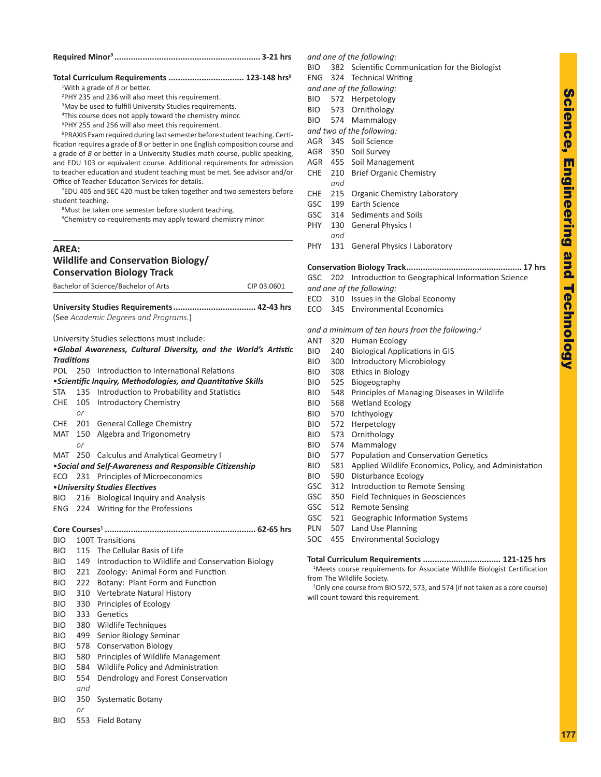### **Required Minor <sup>9</sup> .............................................................. 3-21 hrs**

### **Total Curriculum Requirements ................................ 123-148 hrs 9**

<sup>1</sup>With a grade of *B* or better.

2 PHY 235 and 236 will also meet this requirement.

<sup>3</sup>May be used to fulfill University Studies requirements.

4 This course does not apply toward the chemistry minor.

<sup>5</sup>PHY 255 and 256 will also meet this requirement.

6 PRAXIS Exam required during last semester before student teaching. Certi fication requires a grade of B or better in one English composition course and a grade of *B* or better in a University Studies math course, public speaking, and EDU 103 or equivalent course. Additional requirements for admission to teacher education and student teaching must be met. See advisor and/or Office of Teacher Education Services for details.

7 EDU 405 and SEC 420 must be taken together and two semesters before student teaching.

<sup>8</sup>Must be taken one semester before student teaching.

<sup>9</sup>Chemistry co-requirements may apply toward chemistry minor.

### **AREA: Wildlife and Conservation Biology/ Conservation Biology Track**

Bachelor of Science/Bachelor of Arts CIP 03.0601

| (See Academic Degrees and Programs.) |  |
|--------------------------------------|--|
|                                      |  |

University Studies selections must include:

|                   |                                                    | .Global Awareness, Cultural Diversity, and the World's Artistic                                                                                                                                                                                                                                                                                                               |  |  |  |  |
|-------------------|----------------------------------------------------|-------------------------------------------------------------------------------------------------------------------------------------------------------------------------------------------------------------------------------------------------------------------------------------------------------------------------------------------------------------------------------|--|--|--|--|
| <b>Traditions</b> |                                                    |                                                                                                                                                                                                                                                                                                                                                                               |  |  |  |  |
|                   | 250 Introduction to International Relations<br>POL |                                                                                                                                                                                                                                                                                                                                                                               |  |  |  |  |
|                   |                                                    | • Scientific Inquiry, Methodologies, and Quantitative Skills                                                                                                                                                                                                                                                                                                                  |  |  |  |  |
| STA               |                                                    | 135 Introduction to Probability and Statistics                                                                                                                                                                                                                                                                                                                                |  |  |  |  |
| CHE               |                                                    | 105 Introductory Chemistry                                                                                                                                                                                                                                                                                                                                                    |  |  |  |  |
|                   | $\alpha$ r                                         |                                                                                                                                                                                                                                                                                                                                                                               |  |  |  |  |
|                   |                                                    | CHE 201 General College Chemistry                                                                                                                                                                                                                                                                                                                                             |  |  |  |  |
|                   |                                                    | MAT 150 Algebra and Trigonometry                                                                                                                                                                                                                                                                                                                                              |  |  |  |  |
|                   | or                                                 |                                                                                                                                                                                                                                                                                                                                                                               |  |  |  |  |
|                   |                                                    | MAT 250 Calculus and Analytical Geometry I                                                                                                                                                                                                                                                                                                                                    |  |  |  |  |
|                   |                                                    | •Social and Self-Awareness and Responsible Citizenship                                                                                                                                                                                                                                                                                                                        |  |  |  |  |
|                   |                                                    | ECO 231 Principles of Microeconomics                                                                                                                                                                                                                                                                                                                                          |  |  |  |  |
|                   |                                                    | • University Studies Electives                                                                                                                                                                                                                                                                                                                                                |  |  |  |  |
|                   |                                                    | BIO 216 Biological Inquiry and Analysis                                                                                                                                                                                                                                                                                                                                       |  |  |  |  |
|                   |                                                    | ENG 224 Writing for the Professions                                                                                                                                                                                                                                                                                                                                           |  |  |  |  |
|                   |                                                    |                                                                                                                                                                                                                                                                                                                                                                               |  |  |  |  |
|                   |                                                    |                                                                                                                                                                                                                                                                                                                                                                               |  |  |  |  |
| <b>BIO</b>        |                                                    | 100T Transitions                                                                                                                                                                                                                                                                                                                                                              |  |  |  |  |
| BIO               |                                                    | 115 The Cellular Basis of Life                                                                                                                                                                                                                                                                                                                                                |  |  |  |  |
| <b>BIO</b>        |                                                    | 149 Introduction to Wildlife and Conservation Biology                                                                                                                                                                                                                                                                                                                         |  |  |  |  |
| <b>BIO</b>        |                                                    | 221 Zoology: Animal Form and Function                                                                                                                                                                                                                                                                                                                                         |  |  |  |  |
| <b>BIO</b>        |                                                    | 222 Botany: Plant Form and Function                                                                                                                                                                                                                                                                                                                                           |  |  |  |  |
| <b>BIO</b>        |                                                    | 310 Vertebrate Natural History                                                                                                                                                                                                                                                                                                                                                |  |  |  |  |
| <b>BIO</b>        |                                                    | 330 Principles of Ecology                                                                                                                                                                                                                                                                                                                                                     |  |  |  |  |
| <b>BIO</b>        | 333                                                | Genetics                                                                                                                                                                                                                                                                                                                                                                      |  |  |  |  |
| הוח               |                                                    | $200 \pm 11! \cdot 11! \cdot 11! \cdot 12! \cdot 13! \cdot 14! \cdot 15! \cdot 16! \cdot 16! \cdot 19! \cdot 19! \cdot 19! \cdot 19! \cdot 19! \cdot 19! \cdot 19! \cdot 19! \cdot 19! \cdot 19! \cdot 19! \cdot 19! \cdot 19! \cdot 19! \cdot 19! \cdot 19! \cdot 19! \cdot 19! \cdot 19! \cdot 19! \cdot 19! \cdot 19! \cdot 19! \cdot 19! \cdot 19! \cdot 19! \cdot 19! \$ |  |  |  |  |

- BIO 380 Wildlife Techniques
- BIO 499 Senior Biology Seminar
- BIO 578 Conservation Biology
- BIO 580 Principles of Wildlife Management
- BIO 584 Wildlife Policy and Administration
- BIO 554 Dendrology and Forest Conservation *and*
- BIO 350 Systematic Botany
	- *or*
- BIO 553 Field Botany

### *and one of the following:*

BIO 382 Scientific Communication for the Biologist

ENG 324 Technical Writing

- *and one of the following:*
- BIO 572 Herpetology
- BIO 573 Ornithology
- BIO 574 Mammalogy
- *and two of the following:*
- AGR 345 Soil Science
- AGR 350 Soil Survey
- AGR 455 Soil Management
- CHE 210 Brief Organic Chemistry *and*
- CHE 215 Organic Chemistry Laboratory
- GSC 199 Earth Science
- GSC 314 Sediments and Soils
- PHY 130 General Physics I *and*
- PHY 131 General Physics I Laboratory

### **Conservation Biology Track................................................. 17 hrs**

GSC 202 Introduction to Geographical Information Science

- *and one of the following:*
- ECO 310 Issues in the Global Economy
- ECO 345 Environmental Economics

*and a minimum of ten hours from the following: 2*

- ANT 320 Human Ecology
- BIO 240 Biological Applications in GIS
- BIO 300 Introductory Microbiology
- BIO 308 Ethics in Biology
- BIO 525 Biogeography
- BIO 548 Principles of Managing Diseases in Wildlife
- BIO 568 Wetland Ecology
- BIO 570 Ichthyology
- BIO 572 Herpetology
- BIO 573 Ornithology
- BIO 574 Mammalogy
- BIO 577 Population and Conservation Genetics
- BIO 581 Applied Wildlife Economics, Policy, and Administation
- BIO 590 Disturbance Ecology
- GSC 312 Introduction to Remote Sensing
- GSC 350 Field Techniques in Geosciences
- GSC 512 Remote Sensing
- GSC 521 Geographic Information Systems
- PLN 507 Land Use Planning
- SOC 455 Environmental Sociology

### **Total Curriculum Requirements ................................. 121-125 hrs**

<sup>1</sup>Meets course requirements for Associate Wildlife Biologist Certification from The Wildlife Society.

2 Only one course from BIO 572, 573, and 574 (if not taken as a core course) will count toward this requirement.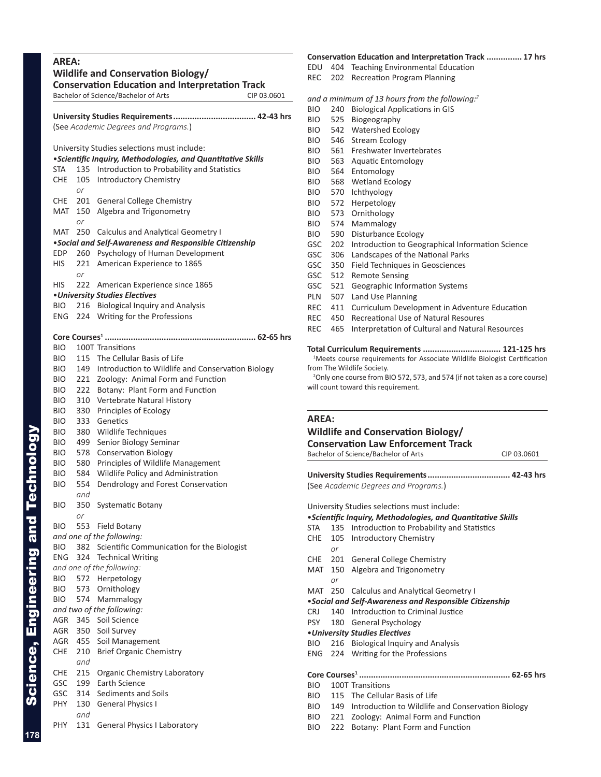### **AREA:**

|              |            | <b>Wildlife and Conservation Biology/</b><br><b>Conservation Education and Interpretation Track</b><br>Bachelor of Science/Bachelor of Arts<br>CIP 03.0601 |
|--------------|------------|------------------------------------------------------------------------------------------------------------------------------------------------------------|
|              |            |                                                                                                                                                            |
|              |            | (See Academic Degrees and Programs.)                                                                                                                       |
|              |            | University Studies selections must include:                                                                                                                |
|              |            | <i>·Scientific Inquiry, Methodologies, and Quantitative Skills</i>                                                                                         |
| STA<br>CHE   | 105        | 135 Introduction to Probability and Statistics<br><b>Introductory Chemistry</b>                                                                            |
|              | or         |                                                                                                                                                            |
| CHE.         | 201        | <b>General College Chemistry</b>                                                                                                                           |
| MAT          | 150<br>or  | Algebra and Trigonometry                                                                                                                                   |
| MAT          | 250        | <b>Calculus and Analytical Geometry I</b>                                                                                                                  |
|              |            | . Social and Self-Awareness and Responsible Citizenship                                                                                                    |
| EDP          | 260        | Psychology of Human Development                                                                                                                            |
| HIS          | 221        | American Experience to 1865                                                                                                                                |
| HIS          | or<br>222  | American Experience since 1865                                                                                                                             |
|              |            | • University Studies Electives                                                                                                                             |
| BIO.         | 216        | <b>Biological Inquiry and Analysis</b>                                                                                                                     |
| ENG          | 224        | Writing for the Professions                                                                                                                                |
|              |            |                                                                                                                                                            |
| <b>BIO</b>   |            | 100T Transitions                                                                                                                                           |
| BIO.         | 115        | The Cellular Basis of Life                                                                                                                                 |
| BIO.         |            | 149 Introduction to Wildlife and Conservation Biology                                                                                                      |
| BIO.         | 221        | Zoology: Animal Form and Function                                                                                                                          |
| BIO.         | 222        | Botany: Plant Form and Function                                                                                                                            |
| BIO          | 310        | Vertebrate Natural History                                                                                                                                 |
| BIO.         | 330        | Principles of Ecology                                                                                                                                      |
| BIO.         | 333        | Genetics                                                                                                                                                   |
| BIO.         | 380        | Wildlife Techniques                                                                                                                                        |
| BIO.         | 499        | Senior Biology Seminar                                                                                                                                     |
| BIO.         | 578        | <b>Conservation Biology</b>                                                                                                                                |
| BIO.<br>BIO. | 580<br>584 | Principles of Wildlife Management<br>Wildlife Policy and Administration                                                                                    |
| BIO          | 554        | Dendrology and Forest Conservation                                                                                                                         |
|              | and        |                                                                                                                                                            |
| BIO          | 350        | <b>Systematic Botany</b>                                                                                                                                   |
|              | or         |                                                                                                                                                            |
| BIO          | 553        | Field Botany                                                                                                                                               |
| <b>BIO</b>   | 382        | and one of the following:<br>Scientific Communication for the Biologist                                                                                    |
| <b>ENG</b>   | 324        | <b>Technical Writing</b>                                                                                                                                   |
|              |            | and one of the following:                                                                                                                                  |
| BIO.         |            | 572 Herpetology                                                                                                                                            |
| BIO          |            | 573 Ornithology                                                                                                                                            |
| BIO          |            | 574 Mammalogy                                                                                                                                              |
|              |            | and two of the following:                                                                                                                                  |
| AGR.         |            | 345 Soil Science                                                                                                                                           |
| AGR          | 350        | Soil Survey                                                                                                                                                |
| AGR          | 455        | Soil Management                                                                                                                                            |
| CHE          | 210<br>and | <b>Brief Organic Chemistry</b>                                                                                                                             |
| CHE          | 215        | Organic Chemistry Laboratory                                                                                                                               |
| GSC          | 199        | Earth Science                                                                                                                                              |
| GSC          | 314        | Sediments and Soils                                                                                                                                        |
| PHY          | 130        | <b>General Physics I</b>                                                                                                                                   |
|              | and        |                                                                                                                                                            |
| PHY          | 131        | <b>General Physics I Laboratory</b>                                                                                                                        |

#### **Conservation Education and Interpretation Track ............... 17 hrs**

- EDU 404 Teaching Environmental Education
- REC 202 Recreation Program Planning

### *and a minimum of 13 hours from the following: 2*

- BIO 240 Biological Applications in GIS
- BIO 525 Biogeography
- BIO 542 Watershed Ecology
- BIO 546 Stream Ecology
- BIO 561 Freshwater Invertebrates
- BIO 563 Aquatic Entomology
- BIO 564 Entomology
- BIO 568 Wetland Ecology
- BIO 570 Ichthyology
- BIO 572 Herpetology
- BIO 573 Ornithology
- BIO 574 Mammalogy
- BIO 590 Disturbance Ecology
- GSC 202 Introduction to Geographical Information Science
- GSC 306 Landscapes of the National Parks
- GSC 350 Field Techniques in Geosciences
- GSC 512 Remote Sensing
- GSC 521 Geographic Information Systems
- PLN 507 Land Use Planning
- REC 411 Curriculum Development in Adventure Education
- REC 450 Recreational Use of Natural Resoures
- REC 465 Interpretation of Cultural and Natural Resources

#### **Total Curriculum Requirements ................................. 121-125 hrs**

<sup>1</sup>Meets course requirements for Associate Wildlife Biologist Certification from The Wildlife Society.

<sup>2</sup>Only one course from BIO 572, 573, and 574 (if not taken as a core course) will count toward this requirement.

#### **AREA:**

### **Wildlife and Conservation Biology/**

### **Conservation Law Enforcement Track**

Bachelor of Science/Bachelor of Arts CIP 03.0601

**University Studies Requirements................................... 42-43 hrs** (See *Academic Degrees and Programs.* )

University Studies selections must include: •*Scientific Inquiry, Methodologies, and Quantitative Skills* STA 135 Introduction to Probability and Statistics CHE 105 Introductory Chemistry *or* CHE 201 General College Chemistry MAT 150 Algebra and Trigonometry *or* MAT 250 Calculus and Analytical Geometry I •*Social and Self-Awareness and Responsible Citizenship* CRJ 140 Introduction to Criminal Justice PSY 180 General Psychology •*University Studies Electives* BIO 216 Biological Inquiry and Analysis ENG 224 Writing for the Professions **Core Courses <sup>1</sup> ................................................................ 62-65 hrs** BIO 100T Transitions BIO 115 The Cellular Basis of Life BIO 149 Introduction to Wildlife and Conservation Biology BIO 221 Zoology: Animal Form and Function BIO 222 Botany: Plant Form and Function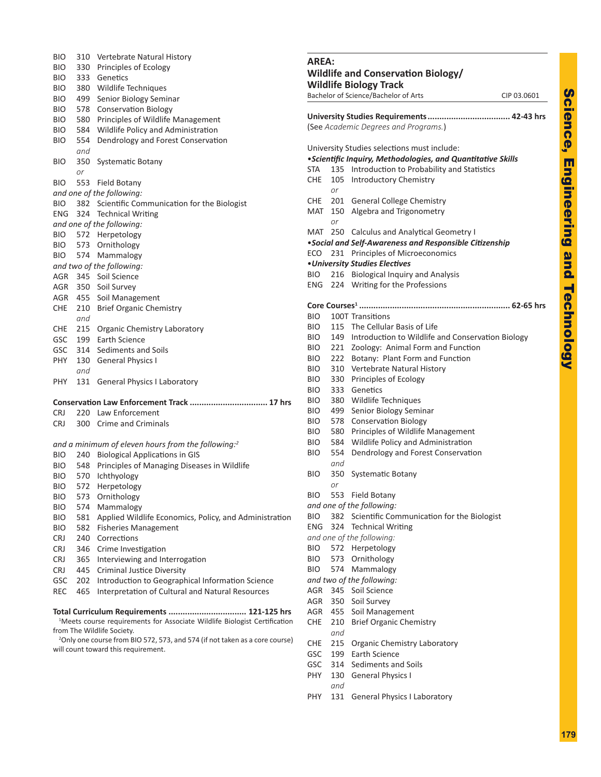| <b>Service Service</b>                                                                                                            |
|-----------------------------------------------------------------------------------------------------------------------------------|
|                                                                                                                                   |
|                                                                                                                                   |
|                                                                                                                                   |
|                                                                                                                                   |
|                                                                                                                                   |
|                                                                                                                                   |
|                                                                                                                                   |
|                                                                                                                                   |
| I                                                                                                                                 |
| l                                                                                                                                 |
| l<br>l                                                                                                                            |
| ī<br>$\mathcal{L}(\mathcal{L})$ and $\mathcal{L}(\mathcal{L})$ and $\mathcal{L}(\mathcal{L})$ and $\mathcal{L}(\mathcal{L})$<br>ı |
|                                                                                                                                   |
|                                                                                                                                   |
|                                                                                                                                   |
|                                                                                                                                   |
|                                                                                                                                   |
|                                                                                                                                   |
|                                                                                                                                   |
|                                                                                                                                   |
| ł<br><b>Service Service</b>                                                                                                       |
| l,                                                                                                                                |
| ŀ                                                                                                                                 |
| ļ<br>j                                                                                                                            |
|                                                                                                                                   |
| E                                                                                                                                 |
|                                                                                                                                   |
|                                                                                                                                   |
|                                                                                                                                   |
|                                                                                                                                   |
|                                                                                                                                   |
|                                                                                                                                   |
|                                                                                                                                   |
| $\mathcal{L}^{\text{max}}_{\text{max}}$ and $\mathcal{L}^{\text{max}}_{\text{max}}$ and $\mathcal{L}^{\text{max}}_{\text{max}}$   |
|                                                                                                                                   |
|                                                                                                                                   |
|                                                                                                                                   |
|                                                                                                                                   |
|                                                                                                                                   |
|                                                                                                                                   |
|                                                                                                                                   |

| <b>BIO</b><br><b>BIO</b> | 330 | 310 Vertebrate Natural History<br>Principles of Ecology                                 | <b>AREA:</b>    |                         |
|--------------------------|-----|-----------------------------------------------------------------------------------------|-----------------|-------------------------|
| <b>BIO</b>               | 333 | Genetics                                                                                | Wildli          |                         |
| <b>BIO</b>               | 380 | Wildlife Techniques                                                                     | Wildli          |                         |
| <b>BIO</b>               | 499 | Senior Biology Seminar                                                                  | <b>Bachelor</b> |                         |
| <b>BIO</b>               | 578 | <b>Conservation Biology</b>                                                             |                 |                         |
| <b>BIO</b>               | 580 | Principles of Wildlife Management                                                       | Univers         |                         |
|                          | 584 |                                                                                         | (See Ac         |                         |
| <b>BIO</b>               |     | Wildlife Policy and Administration                                                      |                 |                         |
| <b>BIO</b>               | 554 | Dendrology and Forest Conservation                                                      | Univers         |                         |
|                          | and |                                                                                         | •Scient         |                         |
| BIO                      | 350 | <b>Systematic Botany</b>                                                                | <b>STA</b>      | 1                       |
|                          | or  |                                                                                         | <b>CHE</b>      | 1                       |
| <b>BIO</b>               | 553 | Field Botany                                                                            |                 | C                       |
|                          |     | and one of the following:                                                               | CHE             | 2                       |
| <b>BIO</b>               | 382 | Scientific Communication for the Biologist                                              | MAT             | 1                       |
| <b>ENG</b>               | 324 | <b>Technical Writing</b>                                                                |                 | C                       |
|                          |     | and one of the following:                                                               | MAT             | $\overline{2}$          |
| BIO.                     |     | 572 Herpetology                                                                         | •Social         |                         |
| BIO.                     |     | 573 Ornithology                                                                         | ECO             |                         |
| BIO.                     |     | 574 Mammalogy                                                                           |                 | 2                       |
|                          |     | and two of the following:                                                               | · Univer        |                         |
| AGR                      | 345 | Soil Science                                                                            | <b>BIO</b>      | 2                       |
| AGR                      |     | 350 Soil Survey                                                                         | <b>ENG</b>      | 2                       |
|                          |     | AGR 455 Soil Management                                                                 |                 |                         |
| CHE                      | 210 | <b>Brief Organic Chemistry</b>                                                          | Core Co         |                         |
|                          | and |                                                                                         | BIO             | 1                       |
| CHE                      | 215 | <b>Organic Chemistry Laboratory</b>                                                     | <b>BIO</b>      | 1                       |
| <b>GSC</b>               | 199 | Earth Science                                                                           | BIO.            | 1                       |
| <b>GSC</b>               | 314 | Sediments and Soils                                                                     | BIO.            | 2                       |
| <b>PHY</b>               | 130 | <b>General Physics I</b>                                                                | BIO.            | 2                       |
|                          | and |                                                                                         | BIO.            | 3                       |
| <b>PHY</b>               | 131 | <b>General Physics I Laboratory</b>                                                     | BIO.            | 3                       |
|                          |     |                                                                                         | BIO.            | 3                       |
|                          |     | Conservation Law Enforcement Track  17 hrs                                              | BIO             | 3                       |
| <b>CRJ</b>               |     | 220 Law Enforcement                                                                     | BIO.            | 4                       |
| <b>CRJ</b>               | 300 | <b>Crime and Criminals</b>                                                              | BIO.            | 5                       |
|                          |     |                                                                                         | BIO.            | 5                       |
|                          |     | and a minimum of eleven hours from the following: <sup>2</sup>                          | BIO.            | 5                       |
| BIO.                     |     | 240 Biological Applications in GIS                                                      | BIO             | 5                       |
| <b>BIO</b>               | 548 | Principles of Managing Diseases in Wildlife                                             |                 | G                       |
| <b>BIO</b>               | 570 | <b>Ichthyology</b>                                                                      | <b>BIO</b>      | 3                       |
| <b>BIO</b>               |     | 572 Herpetology                                                                         |                 | $\sqrt{2}$              |
| <b>BIO</b>               | 573 | Ornithology                                                                             | BIO             | 5                       |
| <b>BIO</b>               | 574 | Mammalogy                                                                               | and one         |                         |
| BIO                      | 581 | Applied Wildlife Economics, Policy, and Administration                                  | <b>BIO</b>      | 3                       |
| <b>BIO</b>               | 582 | <b>Fisheries Management</b>                                                             | <b>ENG</b>      | 3                       |
| CRJ                      | 240 | Corrections                                                                             | and one         |                         |
| CRJ                      | 346 | Crime Investigation                                                                     | <b>BIO</b>      | 5                       |
| CRJ                      | 365 | Interviewing and Interrogation                                                          | BIO             | 5                       |
| <b>CRJ</b>               | 445 | <b>Criminal Justice Diversity</b>                                                       | BIO             | 5                       |
| GSC                      | 202 | Introduction to Geographical Information Science                                        | and two         |                         |
| <b>REC</b>               | 465 | Interpretation of Cultural and Natural Resources                                        | AGR             | 3                       |
|                          |     |                                                                                         | AGR             | 3                       |
|                          |     | Total Curriculum Requirements  121-125 hrs                                              | AGR             | 4                       |
|                          |     | <sup>1</sup> Meets course requirements for Associate Wildlife Biologist Certification   | CHE             | $\overline{\mathbf{c}}$ |
|                          |     | from The Wildlife Society.                                                              |                 | G                       |
|                          |     | <sup>2</sup> Only one course from BIO 572, 573, and 574 (if not taken as a core course) | CHE             | 2                       |
|                          |     | will count toward this requirement.                                                     | GSC             | 1                       |
|                          |     |                                                                                         | GSC             | 3                       |
|                          |     |                                                                                         | <b>PHY</b>      | 1                       |

| AREA:<br>Wildlife and Conservation Biology/<br><b>Wildlife Biology Track</b> |            |                                                                                                                                                                     |             |  |
|------------------------------------------------------------------------------|------------|---------------------------------------------------------------------------------------------------------------------------------------------------------------------|-------------|--|
|                                                                              |            | Bachelor of Science/Bachelor of Arts                                                                                                                                | CIP 03.0601 |  |
|                                                                              |            |                                                                                                                                                                     |             |  |
|                                                                              |            | (See Academic Degrees and Programs.)                                                                                                                                |             |  |
| STA                                                                          |            | University Studies selections must include:<br><i>·Scientific Inquiry, Methodologies, and Quantitative Skills</i><br>135 Introduction to Probability and Statistics |             |  |
| CHE                                                                          | or         | 105 Introductory Chemistry                                                                                                                                          |             |  |
| CHE<br>MAT                                                                   |            | 201 General College Chemistry<br>150 Algebra and Trigonometry                                                                                                       |             |  |
| MAT                                                                          | or         | 250 Calculus and Analytical Geometry I                                                                                                                              |             |  |
|                                                                              |            | • Social and Self-Awareness and Responsible Citizenship                                                                                                             |             |  |
| ECO                                                                          | 231        | Principles of Microeconomics                                                                                                                                        |             |  |
|                                                                              |            | • University Studies Electives                                                                                                                                      |             |  |
| BIO DI                                                                       | 216        | <b>Biological Inquiry and Analysis</b>                                                                                                                              |             |  |
| ENG.                                                                         |            | 224 Writing for the Professions                                                                                                                                     |             |  |
|                                                                              |            |                                                                                                                                                                     |             |  |
| <b>BIO</b>                                                                   |            | 100T Transitions                                                                                                                                                    |             |  |
| <b>BIO</b>                                                                   |            | 115 The Cellular Basis of Life                                                                                                                                      |             |  |
| BIO                                                                          |            | 149 Introduction to Wildlife and Conservation Biology                                                                                                               |             |  |
| <b>BIO</b>                                                                   |            | 221 Zoology: Animal Form and Function                                                                                                                               |             |  |
| <b>BIO</b>                                                                   |            | 222 Botany: Plant Form and Function                                                                                                                                 |             |  |
| <b>BIO</b>                                                                   |            | 310 Vertebrate Natural History                                                                                                                                      |             |  |
| <b>BIO</b>                                                                   |            | 330 Principles of Ecology                                                                                                                                           |             |  |
| <b>BIO</b>                                                                   |            | 333 Genetics                                                                                                                                                        |             |  |
| <b>BIO</b>                                                                   |            | 380 Wildlife Techniques                                                                                                                                             |             |  |
| BIO                                                                          | 499        | Senior Biology Seminar                                                                                                                                              |             |  |
| BIO                                                                          | 578        | <b>Conservation Biology</b>                                                                                                                                         |             |  |
| <b>BIO</b>                                                                   | 580        | Principles of Wildlife Management                                                                                                                                   |             |  |
| <b>BIO</b>                                                                   | 584        | Wildlife Policy and Administration                                                                                                                                  |             |  |
| <b>BIO</b>                                                                   | 554<br>and | Dendrology and Forest Conservation                                                                                                                                  |             |  |
| BIO                                                                          | 350        | Systematic Botany                                                                                                                                                   |             |  |
| <b>BIO</b>                                                                   | or<br>553  | Field Botany                                                                                                                                                        |             |  |
|                                                                              |            | and one of the following:                                                                                                                                           |             |  |
| BIO.                                                                         | 382        | Scientific Communication for the Biologist                                                                                                                          |             |  |
| ENG.                                                                         | 324        | <b>Technical Writing</b>                                                                                                                                            |             |  |
|                                                                              |            | and one of the following:                                                                                                                                           |             |  |
| BIO.                                                                         |            | 572 Herpetology                                                                                                                                                     |             |  |
| BIO.                                                                         |            | 573 Ornithology                                                                                                                                                     |             |  |
| BIO                                                                          |            | 574 Mammalogy                                                                                                                                                       |             |  |
|                                                                              |            | and two of the following:                                                                                                                                           |             |  |
| AGR                                                                          |            | 345 Soil Science                                                                                                                                                    |             |  |
| AGR                                                                          |            | 350 Soil Survey                                                                                                                                                     |             |  |
| AGR                                                                          |            | Soil Management                                                                                                                                                     |             |  |
|                                                                              | 455        |                                                                                                                                                                     |             |  |
| CHE                                                                          | 210<br>and | <b>Brief Organic Chemistry</b>                                                                                                                                      |             |  |
| CHE                                                                          | 215        | Organic Chemistry Laboratory                                                                                                                                        |             |  |
| GSC                                                                          |            | 199 Earth Science                                                                                                                                                   |             |  |
| GSC                                                                          | 314        | Sediments and Soils                                                                                                                                                 |             |  |
| PHY                                                                          | 130        | <b>General Physics I</b>                                                                                                                                            |             |  |
| PHY                                                                          | and<br>131 | <b>General Physics I Laboratory</b>                                                                                                                                 |             |  |
|                                                                              |            |                                                                                                                                                                     |             |  |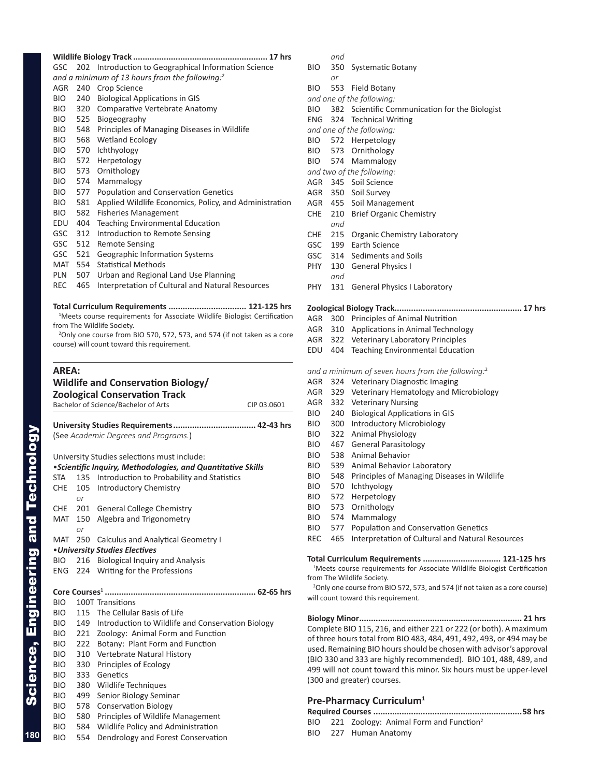|            |     | GSC 202 Introduction to Geographical Information Science   |
|------------|-----|------------------------------------------------------------|
|            |     | and a minimum of 13 hours from the following: <sup>2</sup> |
| AGR        |     | 240 Crop Science                                           |
| BIO        |     | 240 Biological Applications in GIS                         |
| BIO DI     |     | 320 Comparative Vertebrate Anatomy                         |
| <b>BIO</b> | 525 | Biogeography                                               |
|            |     | BIO 548 Principles of Managing Diseases in Wildlife        |
|            |     | BIO 568 Wetland Ecology                                    |
|            |     | BIO 570 Ichthyology                                        |
|            |     | BIO 572 Herpetology                                        |
|            |     | BIO 573 Ornithology                                        |
|            |     | BIO 574 Mammalogy                                          |
| <b>BIO</b> | 577 | Population and Conservation Genetics                       |
| BIO        | 581 | Applied Wildlife Economics, Policy, and Administration     |
| BIO.       | 582 | <b>Fisheries Management</b>                                |
| EDU        | 404 | <b>Teaching Environmental Education</b>                    |
| GSC        | 312 | Introduction to Remote Sensing                             |
| GSC 512    |     | <b>Remote Sensing</b>                                      |
| GSC 521    |     | <b>Geographic Information Systems</b>                      |
| MAT 554    |     | <b>Statistical Methods</b>                                 |
| PLN        | 507 | Urban and Regional Land Use Planning                       |
| <b>REC</b> | 465 | Interpretation of Cultural and Natural Resources           |
|            |     |                                                            |

**Total Curriculum Requirements ................................. 121-125 hrs** <sup>1</sup>Meets course requirements for Associate Wildlife Biologist Certification from The Wildlife Society.

2 Only one course from BIO 570, 572, 573, and 574 (if not taken as a core course) will count toward this requirement.

### **AREA: Wildlife and Conservation Biology/ Zoological Conservation Track** Bachelor of Science/Bachelor of Arts CIP 03.0601

|            |                                             | (See Academic Degrees and Programs.)                         |  |  |  |  |
|------------|---------------------------------------------|--------------------------------------------------------------|--|--|--|--|
|            | University Studies selections must include: |                                                              |  |  |  |  |
|            |                                             | • Scientific Inquiry, Methodologies, and Quantitative Skills |  |  |  |  |
| STA        |                                             | 135 Introduction to Probability and Statistics               |  |  |  |  |
| CHE        | or                                          | 105 Introductory Chemistry                                   |  |  |  |  |
|            |                                             | CHE 201 General College Chemistry                            |  |  |  |  |
| MAT        |                                             | 150 Algebra and Trigonometry                                 |  |  |  |  |
|            | or                                          |                                                              |  |  |  |  |
| MAT        |                                             | 250 Calculus and Analytical Geometry I                       |  |  |  |  |
|            |                                             | • University Studies Electives                               |  |  |  |  |
| BIO        |                                             | 216 Biological Inquiry and Analysis                          |  |  |  |  |
|            |                                             | ENG 224 Writing for the Professions                          |  |  |  |  |
|            |                                             |                                                              |  |  |  |  |
| <b>BIO</b> |                                             | 100T Transitions                                             |  |  |  |  |
| <b>BIO</b> |                                             | 115 The Cellular Basis of Life                               |  |  |  |  |
| <b>BIO</b> |                                             | 149 Introduction to Wildlife and Conservation Biology        |  |  |  |  |
| <b>BIO</b> |                                             | 221 Zoology: Animal Form and Function                        |  |  |  |  |
| <b>BIO</b> |                                             | 222 Botany: Plant Form and Function                          |  |  |  |  |
| <b>BIO</b> |                                             | 310 Vertebrate Natural History                               |  |  |  |  |
| <b>BIO</b> | 330                                         | Principles of Ecology                                        |  |  |  |  |
| <b>BIO</b> | 333                                         | Genetics                                                     |  |  |  |  |
| <b>BIO</b> |                                             | 380 Wildlife Techniques                                      |  |  |  |  |
| <b>BIO</b> | 499                                         | Senior Biology Seminar                                       |  |  |  |  |
| <b>BIO</b> |                                             | 578 Conservation Biology                                     |  |  |  |  |
| BIO        | 580                                         | Principles of Wildlife Management                            |  |  |  |  |
| <b>BIO</b> | 584                                         | Wildlife Policy and Administration                           |  |  |  |  |

| DIU | <b>SOU Principles Of Wildhe Management</b> |
|-----|--------------------------------------------|
|     | BIO 584 Wildlife Policy and Administration |
| BIO | 554 Dendrology and Forest Conservation     |

- BIO 350 Systematic Botany
- *or*  BIO 553 Field Botany
- *and one of the following:*
- BIO 382 Scientific Communication for the Biologist
- ENG 324 Technical Writing
- *and one of the following:*
- BIO 572 Herpetology
- BIO 573 Ornithology
- BIO 574 Mammalogy
- *and two of the following:*
- AGR 345 Soil Science
- AGR 350 Soil Survey
- AGR 455 Soil Management
- CHE 210 Brief Organic Chemistry
- *and*
- CHE 215 Organic Chemistry Laboratory
- GSC 199 Earth Science
- GSC 314 Sediments and Soils
- PHY 130 General Physics I *and*
- PHY 131 General Physics I Laboratory

### **Zoological Biology Track...................................................... 17 hrs**

- AGR 300 Principles of Animal Nutrition
- AGR 310 Applications in Animal Technology
- AGR 322 Veterinary Laboratory Principles
- EDU 404 Teaching Environmental Education

### *and a minimum of seven hours from the following:* 2

- AGR 324 Veterinary Diagnostic Imaging
- AGR 329 Veterinary Hematology and Microbiology
- AGR 332 Veterinary Nursing
- BIO 240 Biological Applications in GIS
- BIO 300 Introductory Microbiology
- BIO 322 Animal Physiology
- BIO 467 General Parasitology
- BIO 538 Animal Behavior
- BIO 539 Animal Behavior Laboratory
- BIO 548 Principles of Managing Diseases in Wildlife
- BIO 570 Ichthyology
- BIO 572 Herpetology
- BIO 573 Ornithology
- BIO 574 Mammalogy
- BIO 577 Population and Conservation Genetics
- REC 465 Interpretation of Cultural and Natural Resources

#### **Total Curriculum Requirements ................................. 121-125 hrs** <sup>1</sup>Meets course requirements for Associate Wildlife Biologist Certification from The Wildlife Society.

2 Only one course from BIO 572, 573, and 574 (if not taken as a core course) will count toward this requirement.

**Biology Minor..................................................................... 21 hrs** Complete BIO 115, 216, and either 221 or 222 (or both). A maximum of three hours total from BIO 483, 484, 491, 492, 493, or 494 may be used. Remaining BIO hours should be chosen with advisor's approval (BIO 330 and 333 are highly recommended). BIO 101, 488, 489, and 499 will not count toward this minor. Six hours must be upper-level (300 and greater) courses.

### **Pre-Pharmacy Curriculum 1**

- **Required Courses ...............................................................58 hrs** BIO 221 Zoology: Animal Form and Function<sup>2</sup>
- BIO 227 Human Anatomy

**180**

Science, Engineering and Technology

Science, Engineering and Technology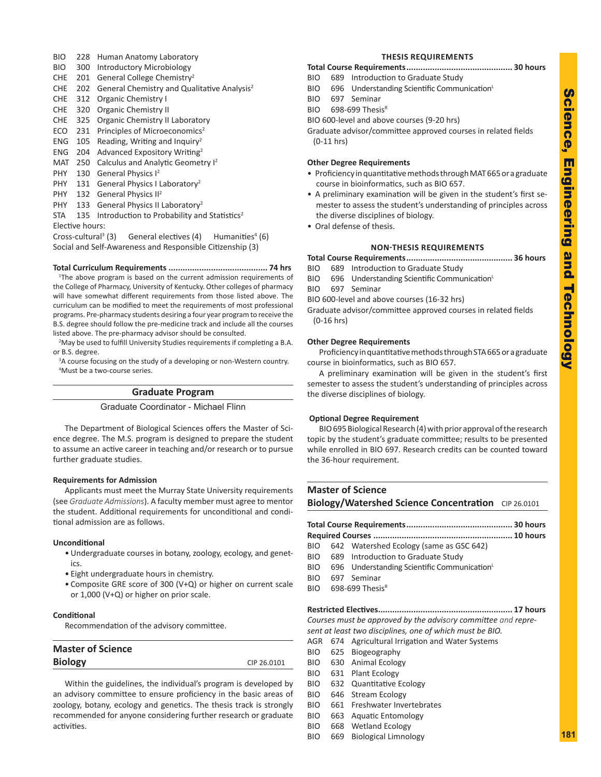- BIO 228 Human Anatomy Laboratory
- BIO 300 Introductory Microbiology
- CHE 201 General College Chemistry<sup>2</sup>
- CHE 202 General Chemistry and Qualitative Analysis<sup>2</sup>
- CHE 312 Organic Chemistry I
- CHE 320 Organic Chemistry II
- CHE 325 Organic Chemistry II Laboratory
- ECO 231 Principles of Microeconomics<sup>2</sup>
- ENG  $105$  Reading, Writing and Inquiry<sup>2</sup>
- ENG 204 Advanced Expository Writing<sup>2</sup>
- MAT 250 Calculus and Analytic Geometry I<sup>2</sup>
- PHY 130 General Physics I<sup>2</sup>
- PHY 131 General Physics I Laboratory<sup>2</sup>
- PHY 132 General Physics II<sup>2</sup>
- PHY 133 General Physics II Laboratory<sup>2</sup>

 $STA$  135 Introduction to Probability and Statistics<sup>2</sup> Elective hours:

Cross-cultural<sup>3</sup> General electives (4)  $(6)$ Social and Self-Awareness and Responsible Citizenship (3)

### **Total Curriculum Requirements .......................................... 74 hrs**

<sup>1</sup>The above program is based on the current admission requirements of the College of Pharmacy, University of Kentucky. Other colleges of pharmacy will have somewhat different requirements from those listed above. The curriculum can be modified to meet the requirements of most professional programs. Pre-pharmacy students desiring a four year program to receive the B.S. degree should follow the pre-medicine track and include all the courses listed above. The pre-pharmacy advisor should be consulted.

<sup>2</sup>May be used to fulfill University Studies requirements if completing a B.A. or B.S. degree.

<sup>3</sup>A course focusing on the study of a developing or non-Western country. 4 Must be a two-course series.

### **Graduate Program**

### Graduate Coordinator - Michael Flinn

The Department of Biological Sciences offers the Master of Sci ence degree. The M.S. program is designed to prepare the student to assume an active career in teaching and/or research or to pursue further graduate studies.

#### **Requirements for Admission**

Applicants must meet the Murray State University requirements (see *Graduate Admissions*). A faculty member must agree to mentor the student. Additional requirements for unconditional and condi tional admission are as follows.

### **Unconditional**

- Undergraduate courses in botany, zoology, ecology, and genet ics.
- Eight undergraduate hours in chemistry.
- Composite GRE score of 300 (V+Q) or higher on current scale or 1,000 (V+Q) or higher on prior scale.

### **Conditional**

Recommendation of the advisory committee.

| CIP 26.0101 |
|-------------|
|             |

Within the guidelines, the individual's program is developed by an advisory committee to ensure proficiency in the basic areas of zoology, botany, ecology and genetics. The thesis track is strongly recommended for anyone considering further research or graduate activities.

### **THESIS REQUIREMENTS**

- **Total Course Requirements............................................. 30 hours**
- BIO 689 Introduction to Graduate Study
- BIO 696 Understanding Scientific Communication<sup>L</sup>
- BIO 697 Seminar
- BIO 698-699 ThesisR
- BIO 600-level and above courses (9-20 hrs)

Graduate advisor/committee approved courses in related fields (0-11 hrs)

### **Other Degree Requirements**

- Proficiency in quantitative methods through MAT 665 or a graduate course in bioinformatics, such as BIO 657.
- A preliminary examination will be given in the student's first se mester to assess the student's understanding of principles across the diverse disciplines of biology.
- Oral defense of thesis.

### **NON-THESIS REQUIREMENTS**

**Total Course Requirements............................................. 36 hours**

- BIO 689 Introduction to Graduate Study
- BIO 696 Understanding Scientific Communication<sup>L</sup>
- BIO 697 Seminar
- BIO 600-level and above courses (16-32 hrs)

Graduate advisor/committee approved courses in related fields (0-16 hrs)

### **Other Degree Requirements**

Proficiency in quantitative methods through STA 665 or a graduate course in bioinformatics, such as BIO 657.

A preliminary examination will be given in the student's first semester to assess the student's understanding of principles across the diverse disciplines of biology.

#### **Optional Degree Requirement**

BIO 695 Biological Research (4) with prior approval of the research topic by the student's graduate committee; results to be presented while enrolled in BIO 697. Research credits can be counted toward the 36-hour requirement.

### **Master of Science Biology/Watershed Science Concentration** CIP 26.0101

- BIO 642 Watershed Ecology (same as GSC 642) BIO 689 Introduction to Graduate Study
- BIO 696 Understanding Scientific Communication<sup>L</sup>
- BIO 697 Seminar
- BIO 698-699 ThesisR

### **Restricted Electives......................................................... 17 hours**

*Courses must be approved by the advisory committee and repre -*

- *sent at least two disciplines, one of which must be BIO.*
- AGR 674 Agricultural Irrigation and Water Systems
- BIO 625 Biogeography BIO 630 Animal Ecology
- BIO 631 Plant Ecology
- BIO 632 Quantitative Ecology
- BIO 646 Stream Ecology
- BIO 661 Freshwater Invertebrates
- 
- BIO 663 Aquatic Entomology
- BIO 668 Wetland Ecology
- BIO 669 Biological Limnology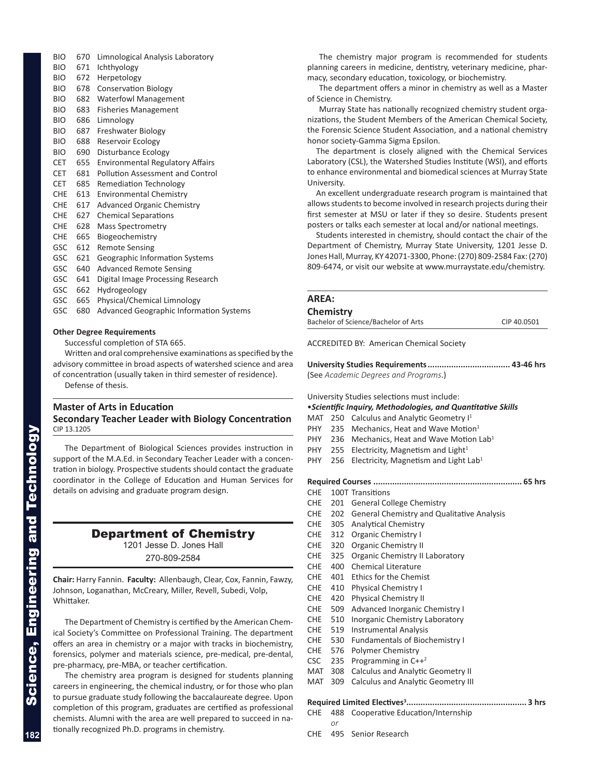BIO 670 Limnological Analysis Laboratory BIO 671 Ichthyology BIO 672 Herpetology BIO 678 Conservation Biology BIO 682 Waterfowl Management BIO 683 Fisheries Management BIO 686 Limnology BIO 687 Freshwater Biology BIO 688 Reservoir Ecology BIO 690 Disturbance Ecology CET 655 Environmental Regulatory Affairs CET 681 Pollution Assessment and Control CET 685 Remediation Technology CHE 613 Environmental Chemistry CHE 617 Advanced Organic Chemistry CHE 627 Chemical Separations CHE 628 Mass Spectrometry CHE 665 Biogeochemistry GSC 612 Remote Sensing GSC 621 Geographic Information Systems GSC 640 Advanced Remote Sensing GSC 641 Digital Image Processing Research GSC 662 Hydrogeology GSC 665 Physical/Chemical Limnology GSC 680 Advanced Geographic Information Systems

#### **Other Degree Requirements**

Successful completion of STA 665.

Written and oral comprehensive examinations as specified by the advisory committee in broad aspects of watershed science and area of concentration (usually taken in third semester of residence). Defense of thesis.

### **Master of Arts in Education Secondary Teacher Leader with Biology Concentration** CIP 13.1205

The Department of Biological Sciences provides instruction in support of the M.A.Ed. in Secondary Teacher Leader with a concen tration in biology. Prospective students should contact the graduate coordinator in the College of Education and Human Services for details on advising and graduate program design.

### Department of Chemistry

1201 Jesse D. Jones Hall

270-809-2584

**Chair:** Harry Fannin. **Faculty:** Allenbaugh, Clear, Cox, Fannin, Fawzy, Johnson, Loganathan, McCreary, Miller, Revell, Subedi, Volp, Whittaker.

The Department of Chemistry is certified by the American Chem ical Society's Committee on Professional Training. The department offers an area in chemistry or a major with tracks in biochemistry, forensics, polymer and materials science, pre-medical, pre-dental, pre-pharmacy, pre-MBA, or teacher certification.

The chemistry area program is designed for students planning careers in engineering, the chemical industry, or for those who plan to pursue graduate study following the baccalaureate degree. Upon completion of this program, graduates are certified as professional chemists. Alumni with the area are well prepared to succeed in na tionally recognized Ph.D. programs in chemistry.

The chemistry major program is recommended for students planning careers in medicine, dentistry, veterinary medicine, phar macy, secondary education, toxicology, or biochemistry.

The department offers a minor in chemistry as well as a Master of Science in Chemistry.

Murray State has nationally recognized chemistry student orga nizations, the Student Members of the American Chemical Society, the Forensic Science Student Association, and a national chemistry honor society-Gamma Sigma Epsilon.

The department is closely aligned with the Chemical Services Laboratory (CSL), the Watershed Studies Institute (WSI), and efforts to enhance environmental and biomedical sciences at Murray State University.

An excellent undergraduate research program is maintained that allows students to become involved in research projects during their first semester at MSU or later if they so desire. Students present posters or talks each semester at local and/or national meetings.

Students interested in chemistry, should contact the chair of the Department of Chemistry, Murray State University, 1201 Jesse D. Jones Hall, Murray, KY 42071-3300, Phone: (270) 809-2584 Fax: (270) 809-6474, or visit our website at www.murraystate.edu/chemistry.

### **AREA:**

### **Chemistry**

Bachelor of Science/Bachelor of Arts CIP 40.0501

ACCREDITED BY: American Chemical Society

**University Studies Requirements................................... 43-46 hrs** (See *Academic Degrees and Programs*.)

University Studies selections must include:

#### •*Scientific Inquiry, Methodologies, and Quantitative Skills*

- MAT 250 Calculus and Analytic Geometry I<sup>1</sup>
- PHY 235 Mechanics, Heat and Wave Motion<sup>1</sup>
- PHY 236 Mechanics, Heat and Wave Motion Lab<sup>1</sup>
- PHY 255 Electricity, Magnetism and Light<sup>1</sup>
- PHY 256 Electricity, Magnetism and Light Lab<sup>1</sup>

**Required Courses ............................................................... 65 hrs**

- CHE 100T Transitions
- CHE 201 General College Chemistry
- CHE 202 General Chemistry and Qualitative Analysis
- CHE 305 Analytical Chemistry
- CHE 312 Organic Chemistry I
- CHE 320 Organic Chemistry II
- CHE 325 Organic Chemistry II Laboratory
- CHE 400 Chemical Literature
- CHE 401 Ethics for the Chemist
- CHE 410 Physical Chemistry I
- CHE 420 Physical Chemistry II
- CHE 509 Advanced Inorganic Chemistry I
- CHE 510 Inorganic Chemistry Laboratory
- CHE 519 Instrumental Analysis
- CHE 530 Fundamentals of Biochemistry I
- CHE 576 Polymer Chemistry
- CSC 235 Programming in  $C++^2$
- MAT 308 Calculus and Analytic Geometry II MAT 309 Calculus and Analytic Geometry III

- **Required Limited Electives 3 ................................................... 3 hrs**
- CHE 488 Cooperative Education/Internship *or*
- CHE 495 Senior Research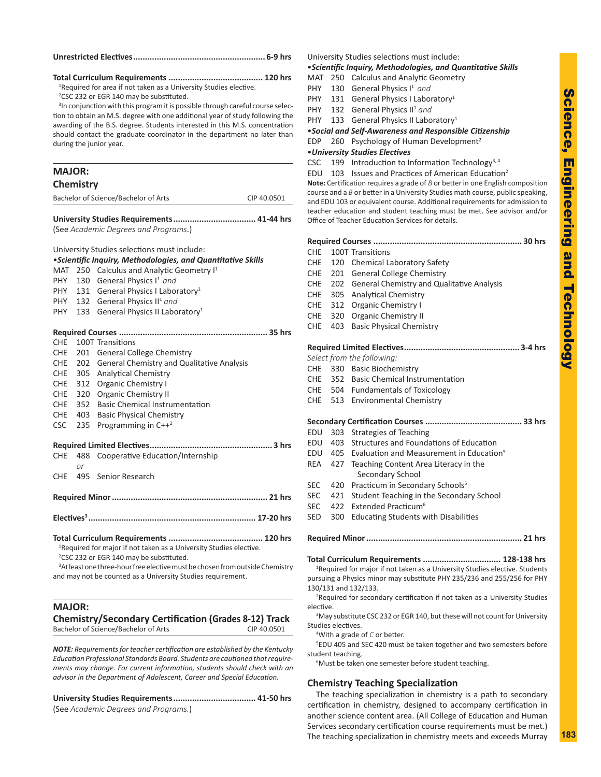### **Unrestricted Electives........................................................ 6-9 hrs**

**Total Curriculum Requirements ........................................ 120 hrs**

<sup>1</sup>Required for area if not taken as a University Studies elective.

<sup>2</sup>CSC 232 or EGR 140 may be substituted.

<sup>3</sup>In conjunction with this program it is possible through careful course selection to obtain an M.S. degree with one additional year of study following the awarding of the B.S. degree. Students interested in this M.S. concentration should contact the graduate coordinator in the department no later than during the junior year.

## **MAJOR: Chemistry** Bachelor of Science/Bachelor of Arts CIP 40.0501

**University Studies Requirements................................... 41-44 hrs** (See *Academic Degrees and Programs*.)

University Studies selections must include: •*Scientific Inquiry, Methodologies, and Quantitative Skills* MAT 250 Calculus and Analytic Geometry I<sup>1</sup> PHY 130 General Physics I<sup>1</sup> and PHY 131 General Physics I Laboratory<sup>1</sup> PHY 132 General Physics II<sup>1</sup> and PHY 133 General Physics II Laboratory<sup>1</sup> **Required Courses ............................................................... 35 hrs** CHE 100T Transitions CHE 201 General College Chemistry CHE 202 General Chemistry and Qualitative Analysis CHE 305 Analytical Chemistry CHE 312 Organic Chemistry I CHE 320 Organic Chemistry II CHE 352 Basic Chemical Instrumentation CHE 403 Basic Physical Chemistry CSC 235 Programming in  $C++^2$ **Required Limited Electives.................................................... 3 hrs** CHE 488 Cooperative Education/Internship *or* CHE 495 Senior Research **Required Minor.................................................................. 21 hrs Electives <sup>3</sup> ....................................................................... 17-20 hrs Total Curriculum Requirements ........................................ 120 hrs** <sup>1</sup>Required for major if not taken as a University Studies elective. <sup>2</sup>CSC 232 or EGR 140 may be substituted.

<sup>3</sup>At least one three-hour free elective must be chosen from outside Chemistry and may not be counted as a University Studies requirement.

### **MAJOR:**

**Chemistry/Secondary Certification (Grades 8-12) Track** Bachelor of Science/Bachelor of Arts CIP 40.0501

*NOTE: Requirements for teacher certification are established by the Kentucky Education Professional Standards Board. Students are cautioned that require ments may change. For current information, students should check with an advisor in the Department of Adolescent, Career and Special Education.*

**University Studies Requirements................................... 41-50 hrs** (See *Academic Degrees and Programs.* )

University Studies selections must include:

### •*Scientific Inquiry, Methodologies, and Quantitative Skills*

- MAT 250 Calculus and Analytic Geometry
- PHY 130 General Physics I<sup>1</sup> and
- PHY 131 General Physics I Laboratory<sup>1</sup>
- PHY 132 General Physics II<sup>1</sup> and
- PHY 133 General Physics II Laboratory<sup>1</sup>

•*Social and Self-Awareness and Responsible Citizenship*

EDP 260 Psychology of Human Development<sup>2</sup>

#### •*University Studies Electives*

CSC 199 Introduction to Information Technology<sup>3, 4</sup>

EDU 103 Issues and Practices of American Education<sup>2</sup>

**Note:** Certification requires a grade of *B* or better in one English composition course and a *B* or better in a University Studies math course, public speaking, and EDU 103 or equivalent course. Additional requirements for admission to teacher education and student teaching must be met. See advisor and/or Office of Teacher Education Services for details.

| <b>CHE</b>                                                                              |                                                                                                                                                                    | 100T Transitions                                          |  |  |
|-----------------------------------------------------------------------------------------|--------------------------------------------------------------------------------------------------------------------------------------------------------------------|-----------------------------------------------------------|--|--|
| <b>CHE</b>                                                                              | 120                                                                                                                                                                | <b>Chemical Laboratory Safety</b>                         |  |  |
| CHE                                                                                     | 201                                                                                                                                                                | <b>General College Chemistry</b>                          |  |  |
| <b>CHE</b>                                                                              | 202                                                                                                                                                                | General Chemistry and Qualitative Analysis                |  |  |
| <b>CHE</b>                                                                              | 305                                                                                                                                                                | <b>Analytical Chemistry</b>                               |  |  |
| <b>CHE</b>                                                                              | 312                                                                                                                                                                | <b>Organic Chemistry I</b>                                |  |  |
| <b>CHE</b>                                                                              | 320                                                                                                                                                                | <b>Organic Chemistry II</b>                               |  |  |
| <b>CHE</b>                                                                              | 403                                                                                                                                                                | <b>Basic Physical Chemistry</b>                           |  |  |
|                                                                                         |                                                                                                                                                                    |                                                           |  |  |
|                                                                                         |                                                                                                                                                                    | Select from the following:                                |  |  |
|                                                                                         |                                                                                                                                                                    | CHE 330 Basic Biochemistry                                |  |  |
| <b>CHE</b>                                                                              |                                                                                                                                                                    | 352 Basic Chemical Instrumentation                        |  |  |
| <b>CHE</b>                                                                              |                                                                                                                                                                    | 504 Fundamentals of Toxicology                            |  |  |
| <b>CHE</b>                                                                              | 513                                                                                                                                                                | <b>Environmental Chemistry</b>                            |  |  |
|                                                                                         |                                                                                                                                                                    |                                                           |  |  |
| EDU                                                                                     | 303                                                                                                                                                                | <b>Strategies of Teaching</b>                             |  |  |
| EDU                                                                                     | 403                                                                                                                                                                | Structures and Foundations of Education                   |  |  |
| EDU                                                                                     | 405                                                                                                                                                                | Evaluation and Measurement in Education <sup>5</sup>      |  |  |
| <b>REA</b>                                                                              | 427                                                                                                                                                                | Teaching Content Area Literacy in the<br>Secondary School |  |  |
| <b>SEC</b>                                                                              | 420                                                                                                                                                                | Practicum in Secondary Schools <sup>5</sup>               |  |  |
| <b>SEC</b>                                                                              | 421                                                                                                                                                                | Student Teaching in the Secondary School                  |  |  |
| <b>SEC</b>                                                                              | 422                                                                                                                                                                | Extended Practicum <sup>6</sup>                           |  |  |
| <b>SED</b>                                                                              | 300                                                                                                                                                                | <b>Educating Students with Disabilities</b>               |  |  |
|                                                                                         |                                                                                                                                                                    |                                                           |  |  |
|                                                                                         |                                                                                                                                                                    | Total Curriculum Requirements  128-138 hrs                |  |  |
|                                                                                         | <sup>1</sup> Required for major if not taken as a University Studies elective. Students<br>pursuing a Physics minor may substitute PHY 235/236 and 255/256 for PHY |                                                           |  |  |
| 130/131 and 132/133.                                                                    |                                                                                                                                                                    |                                                           |  |  |
| <sup>2</sup> Required for secondary certification if not taken as a University Studies  |                                                                                                                                                                    |                                                           |  |  |
| elective.                                                                               |                                                                                                                                                                    |                                                           |  |  |
| <sup>3</sup> May substitute CSC 232 or EGR 140, but these will not count for University |                                                                                                                                                                    |                                                           |  |  |

Studies electives.

4 With a grade of *C* or better.

5 EDU 405 and SEC 420 must be taken together and two semesters before student teaching.

6 Must be taken one semester before student teaching.

### **Chemistry Teaching Specialization**

The teaching specialization in chemistry is a path to secondary certification in chemistry, designed to accompany certification in another science content area. (All College of Education and Human Services secondary certification course requirements must be met.) The teaching specialization in chemistry meets and exceeds Murray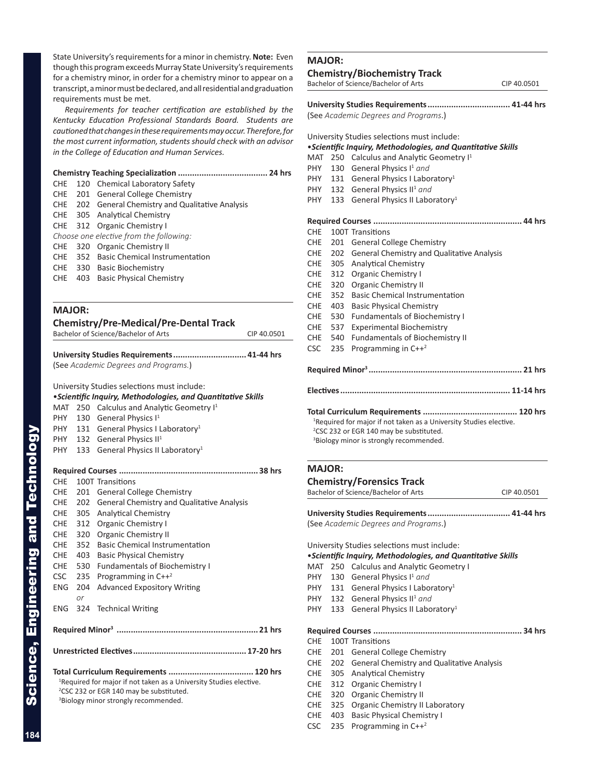State University's requirements for a minor in chemistry. **Note:** Even though this program exceeds Murray State University's requirements for a chemistry minor, in order for a chemistry minor to appear on a transcript, a minor must be declared, and all residential and graduation requirements must be met.

*Requirements for teacher certification are established by the Kentucky Education Professional Standards Board. Students are cautioned that changes in these requirements may occur. Therefore, for the most current information, students should check with an advisor in the College of Education and Human Services.*

| CHE |                                                                                                                                                                                                                                                                                                                                                                     |
|-----|---------------------------------------------------------------------------------------------------------------------------------------------------------------------------------------------------------------------------------------------------------------------------------------------------------------------------------------------------------------------|
| CHE |                                                                                                                                                                                                                                                                                                                                                                     |
|     |                                                                                                                                                                                                                                                                                                                                                                     |
|     |                                                                                                                                                                                                                                                                                                                                                                     |
|     |                                                                                                                                                                                                                                                                                                                                                                     |
|     |                                                                                                                                                                                                                                                                                                                                                                     |
| CHE |                                                                                                                                                                                                                                                                                                                                                                     |
|     |                                                                                                                                                                                                                                                                                                                                                                     |
|     |                                                                                                                                                                                                                                                                                                                                                                     |
| CHE |                                                                                                                                                                                                                                                                                                                                                                     |
|     |                                                                                                                                                                                                                                                                                                                                                                     |
|     | 120 Chemical Laboratory Safety<br>201 General College Chemistry<br>CHE 202 General Chemistry and Qualitative Analysis<br>CHE 305 Analytical Chemistry<br>CHE 312 Organic Chemistry I<br>Choose one elective from the following:<br>320 Organic Chemistry II<br>CHE 352 Basic Chemical Instrumentation<br>CHE 330 Basic Biochemistry<br>403 Basic Physical Chemistry |

### **MAJOR:**

| <b>Chemistry/Pre-Medical/Pre-Dental Track</b> |             |
|-----------------------------------------------|-------------|
| Bachelor of Science/Bachelor of Arts          | CIP 40.0501 |

**University Studies Requirements............................... 41-44 hrs** (See *Academic Degrees and Programs.* )

University Studies selections must include:

|                                                              |                                                                                | University Studies selections must include.         |  |  |
|--------------------------------------------------------------|--------------------------------------------------------------------------------|-----------------------------------------------------|--|--|
| • Scientific Inquiry, Methodologies, and Quantitative Skills |                                                                                |                                                     |  |  |
| MAT                                                          | 250                                                                            | Calculus and Analytic Geometry I <sup>1</sup>       |  |  |
| <b>PHY</b>                                                   | 130                                                                            | General Physics I <sup>1</sup>                      |  |  |
| PHY                                                          |                                                                                | 131 General Physics I Laboratory <sup>1</sup>       |  |  |
| PHY                                                          |                                                                                | 132 General Physics II <sup>1</sup>                 |  |  |
| PHY -                                                        | 133                                                                            | General Physics II Laboratory <sup>1</sup>          |  |  |
|                                                              |                                                                                |                                                     |  |  |
|                                                              |                                                                                |                                                     |  |  |
| <b>CHE</b>                                                   |                                                                                | 100T Transitions                                    |  |  |
| <b>CHE</b>                                                   | 201                                                                            | <b>General College Chemistry</b>                    |  |  |
| <b>CHE</b>                                                   | 202                                                                            | General Chemistry and Qualitative Analysis          |  |  |
| <b>CHE</b>                                                   | 305                                                                            | <b>Analytical Chemistry</b>                         |  |  |
| <b>CHE</b>                                                   | 312                                                                            | <b>Organic Chemistry I</b>                          |  |  |
| <b>CHE</b>                                                   | 320                                                                            | <b>Organic Chemistry II</b>                         |  |  |
| <b>CHE</b>                                                   | 352                                                                            | <b>Basic Chemical Instrumentation</b>               |  |  |
| <b>CHE</b>                                                   | 403                                                                            | <b>Basic Physical Chemistry</b>                     |  |  |
| <b>CHE</b>                                                   | 530                                                                            | <b>Fundamentals of Biochemistry I</b>               |  |  |
| <b>CSC</b>                                                   | 235                                                                            | Programming in $C++^2$                              |  |  |
| <b>ENG</b>                                                   | 204                                                                            | <b>Advanced Expository Writing</b>                  |  |  |
|                                                              | or                                                                             |                                                     |  |  |
| <b>ENG</b>                                                   |                                                                                | 324 Technical Writing                               |  |  |
|                                                              |                                                                                |                                                     |  |  |
|                                                              |                                                                                |                                                     |  |  |
|                                                              |                                                                                |                                                     |  |  |
|                                                              |                                                                                |                                                     |  |  |
|                                                              |                                                                                |                                                     |  |  |
|                                                              | <sup>1</sup> Required for major if not taken as a University Studies elective. |                                                     |  |  |
|                                                              |                                                                                | <sup>2</sup> CSC 232 or EGR 140 may be substituted. |  |  |
|                                                              |                                                                                |                                                     |  |  |

#### <sup>3</sup>Biology minor strongly recommended.

### **MAJOR:**

### **Chemistry/Biochemistry Track** Bachelor of Science/Bachelor of Arts CIP 40.0501

**University Studies Requirements................................... 41-44 hrs**

(See *Academic Degrees and Programs*.)

University Studies selections must include:

#### •*Scientific Inquiry, Methodologies, and Quantitative Skills*

MAT 250 Calculus and Analytic Geometry I<sup>1</sup>

- PHY 130 General Physics I<sup>1</sup> and
- PHY 131 General Physics I Laboratory<sup>1</sup>
- PHY 132 General Physics II<sup>1</sup> and
- PHY 133 General Physics II Laboratory<sup>1</sup>

**Required Courses ............................................................... 44 hrs**

CHE 100T Transitions CHE 201 General College Chemistry CHE 202 General Chemistry and Qualitative Analysis CHE 305 Analytical Chemistry CHE 312 Organic Chemistry I CHE 320 Organic Chemistry II CHE 352 Basic Chemical Instrumentation CHE 403 Basic Physical Chemistry CHE 530 Fundamentals of Biochemistry I CHE 537 Experimental Biochemistry CHE 540 Fundamentals of Biochemistry II CSC 235 Programming in  $C++^2$ **Required Minor <sup>3</sup> ................................................................. 21 hrs Electives........................................................................ 11-14 hrs Total Curriculum Requirements ........................................ 120 hrs** <sup>1</sup>Required for major if not taken as a University Studies elective. <sup>2</sup>CSC 232 or EGR 140 may be substituted.

<sup>3</sup>Biology minor is strongly recommended.

#### **MAJOR:**

### **Chemistry/Forensics Track**

| achelor of Science/Bachelor of Arts |  |
|-------------------------------------|--|
|-------------------------------------|--|

CIP 40.0501

**University Studies Requirements................................... 41-44 hrs** (See *Academic Degrees and Programs*.)

University Studies selections must include:

#### •*Scientific Inquiry, Methodologies, and Quantitative Skills*

- MAT 250 Calculus and Analytic Geometry I
- PHY 130 General Physics I<sup>1</sup> and
- PHY 131 General Physics I Laboratory<sup>1</sup>
- PHY 132 General Physics II<sup>1</sup> and
- PHY 133 General Physics II Laboratory<sup>1</sup>

**Required Courses ............................................................... 34 hrs**

### CHE 100T Transitions CHE 201 General College Chemistry

- CHE 202 General Chemistry and Qualitative Analysis
- CHE 305 Analytical Chemistry
- CHE 312 Organic Chemistry I
- CHE 320 Organic Chemistry II
- CHE 325 Organic Chemistry II Laboratory
- CHE 403 Basic Physical Chemistry I
- CSC 235 Programming in  $C++^2$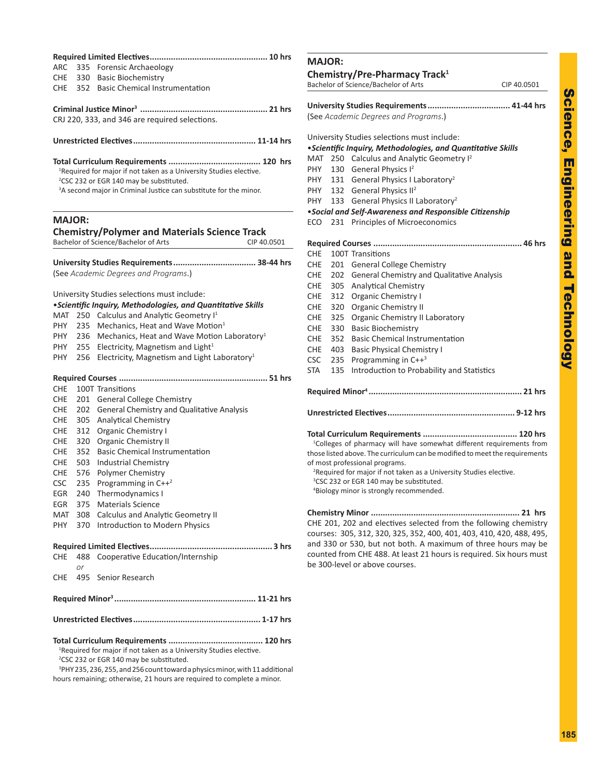| ר<br>הובות<br>Ì                                                                           |  |
|-------------------------------------------------------------------------------------------|--|
| i<br>l<br>Ì                                                                               |  |
| צוומ                                                                                      |  |
| l,<br>֧֧֧֧֧֧֧֧֧֧֧֧֧֧֧֧֧֧֧֧֧֧֧֧֧֧֧֧֧֧֧֝֝֝֝֝<br>֧֧ׅ֖֧֧֧֧֧֚֚֚֚֚֚֚֚֚֚֚֚֚֚֚֚֚֚֚֚֚֚֚֜֜֩֕֩֩֓֩֕֩֩ |  |
| į<br>$\frac{1}{2}$                                                                        |  |

| <b>ARC</b><br>CHE.<br>CHE. |           | 335 Forensic Archaeology<br>330 Basic Biochemistry<br>352 Basic Chemical Instrumentation                                                                                                                               |  |  |  |  |
|----------------------------|-----------|------------------------------------------------------------------------------------------------------------------------------------------------------------------------------------------------------------------------|--|--|--|--|
|                            |           | CRJ 220, 333, and 346 are required selections.                                                                                                                                                                         |  |  |  |  |
|                            |           |                                                                                                                                                                                                                        |  |  |  |  |
|                            |           | <sup>1</sup> Required for major if not taken as a University Studies elective.<br><sup>2</sup> CSC 232 or EGR 140 may be substituted.<br><sup>3</sup> A second major in Criminal Justice can substitute for the minor. |  |  |  |  |
| <b>MAJOR:</b>              |           |                                                                                                                                                                                                                        |  |  |  |  |
|                            |           | <b>Chemistry/Polymer and Materials Science Track</b><br>Bachelor of Science/Bachelor of Arts<br>CIP 40.0501                                                                                                            |  |  |  |  |
|                            |           | University Studies Requirements 38-44 hrs<br>(See Academic Degrees and Programs.)                                                                                                                                      |  |  |  |  |
|                            |           | University Studies selections must include:                                                                                                                                                                            |  |  |  |  |
|                            |           | • Scientific Inquiry, Methodologies, and Quantitative Skills                                                                                                                                                           |  |  |  |  |
| MAT                        |           | 250 Calculus and Analytic Geometry I <sup>1</sup>                                                                                                                                                                      |  |  |  |  |
| PHY                        |           | 235 Mechanics, Heat and Wave Motion <sup>1</sup>                                                                                                                                                                       |  |  |  |  |
| PHY                        |           | 236 Mechanics, Heat and Wave Motion Laboratory <sup>1</sup>                                                                                                                                                            |  |  |  |  |
| <b>PHY</b>                 |           | 255 Electricity, Magnetism and Light <sup>1</sup>                                                                                                                                                                      |  |  |  |  |
| PHY                        | 256       | Electricity, Magnetism and Light Laboratory <sup>1</sup>                                                                                                                                                               |  |  |  |  |
|                            |           |                                                                                                                                                                                                                        |  |  |  |  |
| CHE                        |           | 100T Transitions                                                                                                                                                                                                       |  |  |  |  |
| CHE                        |           | 201 General College Chemistry                                                                                                                                                                                          |  |  |  |  |
| CHE                        | 202       | General Chemistry and Qualitative Analysis                                                                                                                                                                             |  |  |  |  |
| CHE                        |           | 305 Analytical Chemistry                                                                                                                                                                                               |  |  |  |  |
| CHE                        |           | 312 Organic Chemistry I                                                                                                                                                                                                |  |  |  |  |
| CHE.                       | 320       | Organic Chemistry II                                                                                                                                                                                                   |  |  |  |  |
| CHE.                       | 352       | <b>Basic Chemical Instrumentation</b>                                                                                                                                                                                  |  |  |  |  |
| CHE                        | 503       | <b>Industrial Chemistry</b>                                                                                                                                                                                            |  |  |  |  |
| CHE                        | 576       | Polymer Chemistry                                                                                                                                                                                                      |  |  |  |  |
| <b>CSC</b>                 | 235       | Programming in $C++^2$                                                                                                                                                                                                 |  |  |  |  |
| EGR                        | 240       | Thermodynamics I                                                                                                                                                                                                       |  |  |  |  |
| EGR                        | 375       | <b>Materials Science</b>                                                                                                                                                                                               |  |  |  |  |
| MAT                        |           | 308 Calculus and Analytic Geometry II                                                                                                                                                                                  |  |  |  |  |
| PHY                        |           | 370 Introduction to Modern Physics                                                                                                                                                                                     |  |  |  |  |
|                            |           |                                                                                                                                                                                                                        |  |  |  |  |
| CHE                        | 488<br>or | Cooperative Education/Internship                                                                                                                                                                                       |  |  |  |  |
| CHE                        | 495       | Senior Research                                                                                                                                                                                                        |  |  |  |  |
|                            |           |                                                                                                                                                                                                                        |  |  |  |  |
|                            |           |                                                                                                                                                                                                                        |  |  |  |  |
|                            |           |                                                                                                                                                                                                                        |  |  |  |  |

<sup>1</sup>Required for major if not taken as a University Studies elective. <sup>2</sup>CSC 232 or EGR 140 may be substituted. 3 PHY 235, 236, 255, and 256 count toward a physics minor, with 11 additional

hours remaining; otherwise, 21 hours are required to complete a minor.

### **MAJOR:**

|  |  |  |  | Chemistry/Pre-Pharmacy Track <sup>1</sup> |
|--|--|--|--|-------------------------------------------|
|  |  |  |  |                                           |

Bachelor of Science/Bachelor of Arts CIP 40.0501 **University Studies Requirements................................... 41-44 hrs** (See *Academic Degrees and Programs*.) University Studies selections must include: •*Scientific Inquiry, Methodologies, and Quantitative Skills* MAT 250 Calculus and Analytic Geometry I<sup>2</sup> PHY 130 General Physics I<sup>2</sup> PHY 131 General Physics I Laboratory<sup>2</sup> PHY 132 General Physics II<sup>2</sup> PHY 133 General Physics II Laboratory<sup>2</sup> •*Social and Self-Awareness and Responsible Citizenship* ECO 231 Principles of Microeconomics **Required Courses ............................................................... 46 hrs** CHE 100T Transitions CHE 201 General College Chemistry CHE 202 General Chemistry and Qualitative Analysis CHE 305 Analytical Chemistry CHE 312 Organic Chemistry I CHE 320 Organic Chemistry II CHE 325 Organic Chemistry II Laboratory CHE 330 Basic Biochemistry CHE 352 Basic Chemical Instrumentation CHE 403 Basic Physical Chemistry I CSC  $235$  Programming in C++<sup>3</sup> STA 135 Introduction to Probability and Statistics

- **Required Minor <sup>4</sup> ................................................................. 21 hrs**
- **Unrestricted Electives...................................................... 9-12 hrs**

**Total Curriculum Requirements ........................................ 120 hrs** <sup>1</sup>Colleges of pharmacy will have somewhat different requirements from those listed above. The curriculum can be modified to meet the requirements of most professional programs. 2

<sup>2</sup> Required for major if not taken as a University Studies elective. <sup>3</sup>CSC 232 or EGR 140 may be substituted. 4 Biology minor is strongly recommended.

**Chemistry Minor ............................................................... 21 hrs** CHE 201, 202 and electives selected from the following chemistry courses: 305, 312, 320, 325, 352, 400, 401, 403, 410, 420, 488, 495, and 330 or 530, but not both. A maximum of three hours may be counted from CHE 488. At least 21 hours is required. Six hours must be 300-level or above courses.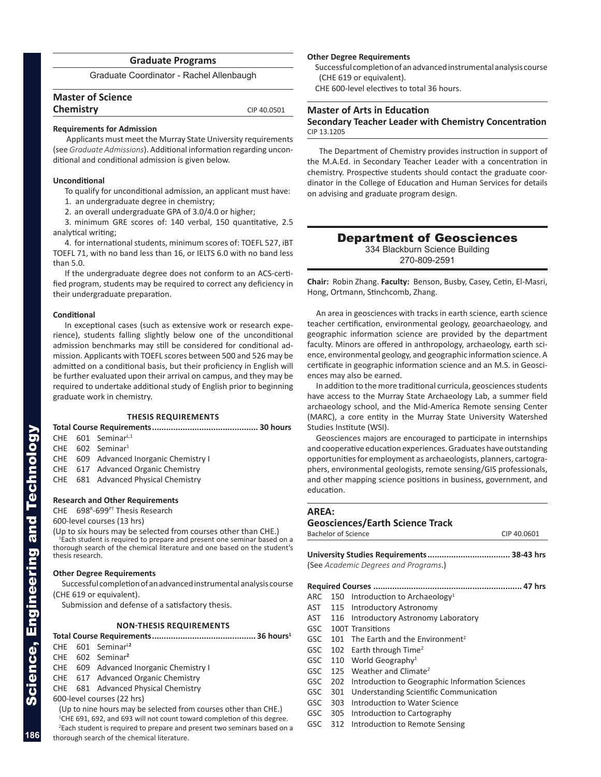### **Graduate Programs**

Graduate Coordinator - Rachel Allenbaugh

| <b>Master of Science</b> |             |
|--------------------------|-------------|
| <b>Chemistry</b>         | CIP 40.0501 |
|                          |             |

#### **Requirements for Admission**

 Applicants must meet the Murray State University requirements (see *Graduate Admissions*). Additional information regarding uncon ditional and conditional admission is given below.

### **Unconditional**

To qualify for unconditional admission, an applicant must have:

- 1. an undergraduate degree in chemistry;
- 2. an overall undergraduate GPA of 3.0/4.0 or higher;

3. minimum GRE scores of: 140 verbal, 150 quantitative, 2.5 analytical writing;

4. for international students, minimum scores of: TOEFL 527, iBT TOEFL 71, with no band less than 16, or IELTS 6.0 with no band less than 5.0.

If the undergraduate degree does not conform to an ACS-certi fied program, students may be required to correct any deficiency in their undergraduate preparation.

#### **Conditional**

In exceptional cases (such as extensive work or research expe rience), students falling slightly below one of the unconditional admission benchmarks may still be considered for conditional ad mission. Applicants with TOEFL scores between 500 and 526 may be admitted on a conditional basis, but their proficiency in English will be further evaluated upon their arrival on campus, and they may be required to undertake additional study of English prior to beginning graduate work in chemistry.

### **THESIS REQUIREMENTS**

### **Total Course Requirements............................................. 30 hours**  $CHF$  601 Seminar<sup>L,1</sup> CHE 602 Seminar 1 CHE 609 Advanced Inorganic Chemistry I CHE 617 Advanced Organic Chemistry CHE 681 Advanced Physical Chemistry **Research and Other Requirements** CHE 698<sup>R</sup>-699<sup>PT</sup> Thesis Research

600-level courses (13 hrs)

(Up to six hours may be selected from courses other than CHE.) <sup>1</sup> Each student is required to prepare and present one seminar based on a thorough search of the chemical literature and one based on the student's thesis research.

### **Other Degree Requirements**

Successful completion of an advanced instrumental analysis course (CHE 619 or equivalent).

Submission and defense of a satisfactory thesis.

### **NON-THESIS REQUIREMENTS**

### **Total Course Requirements............................................ 36 hours 1**

- CHE 601 Seminar L **2**
- CHE 602 Seminar **2**
- CHE 609 Advanced Inorganic Chemistry I
- CHE 617 Advanced Organic Chemistry
- CHE 681 Advanced Physical Chemistry
- 600-level courses (22 hrs)

 (Up to nine hours may be selected from courses other than CHE.) <sup>1</sup>CHE 691, 692, and 693 will not count toward completion of this degree. <sup>2</sup> Each student is required to prepare and present two seminars based on a thorough search of the chemical literature.

### **Other Degree Requirements**

Successful completion of an advanced instrumental analysis course (CHE 619 or equivalent).

CHE 600-level electives to total 36 hours.

### **Master of Arts in Education**

### **Secondary Teacher Leader with Chemistry Concentration** CIP 13.1205

The Department of Chemistry provides instruction in support of the M.A.Ed. in Secondary Teacher Leader with a concentration in chemistry. Prospective students should contact the graduate coor dinator in the College of Education and Human Services for details on advising and graduate program design.

### Department of Geosciences 334 Blackburn Science Building

270-809-2591

**Chair:** Robin Zhang. **Faculty:** Benson, Busby, Casey, Cetin, El-Masri, Hong, Ortmann, Stinchcomb, Zhang.

An area in geosciences with tracks in earth science, earth science teacher certification, environmental geology, geoarchaeology, and geographic information science are provided by the department faculty. Minors are offered in anthropology, archaeology, earth sci ence, environmental geology, and geographic information science. A certificate in geographic information science and an M.S. in Geosci ences may also be earned.

In addition to the more traditional curricula, geosciences students have access to the Murray State Archaeology Lab, a summer field archaeology school, and the Mid-America Remote sensing Center (MARC), a core entity in the Murray State University Watershed Studies Institute (WSI).

Geosciences majors are encouraged to participate in internships and cooperative education experiences. Graduates have outstanding opportunities for employment as archaeologists, planners, cartogra phers, environmental geologists, remote sensing/GIS professionals, and other mapping science positions in business, government, and education.

Bachelor of Science CIP 40.0601

### **AREA: Geosciences/Earth Science Track**

|            | <b>DALICIUI UI JUICIILE</b> |                                                 | בטטטושר ווט |
|------------|-----------------------------|-------------------------------------------------|-------------|
|            |                             |                                                 |             |
|            |                             | (See Academic Degrees and Programs.)            |             |
|            |                             |                                                 |             |
| ARC        |                             | 150 Introduction to Archaeology <sup>1</sup>    |             |
| AST        | 115                         | Introductory Astronomy                          |             |
| AST        | 116                         | Introductory Astronomy Laboratory               |             |
| GSC.       |                             | 100T Transitions                                |             |
| GSC        | 101                         | The Earth and the Environment <sup>2</sup>      |             |
| GSC        | 102                         | Earth through Time <sup>2</sup>                 |             |
| <b>GSC</b> |                             | 110 World Geography <sup>1</sup>                |             |
| <b>GSC</b> | 125                         | Weather and Climate <sup>2</sup>                |             |
| GSC        | 202                         | Introduction to Geographic Information Sciences |             |
| GSC        | 301                         | Understanding Scientific Communication          |             |
| GSC        | 303                         | Introduction to Water Science                   |             |
| GSC        | 305                         | Introduction to Cartography                     |             |
| GSC        | 312                         | Introduction to Remote Sensing                  |             |

**186**

Science, Engineering and Technology

cience, Engineering and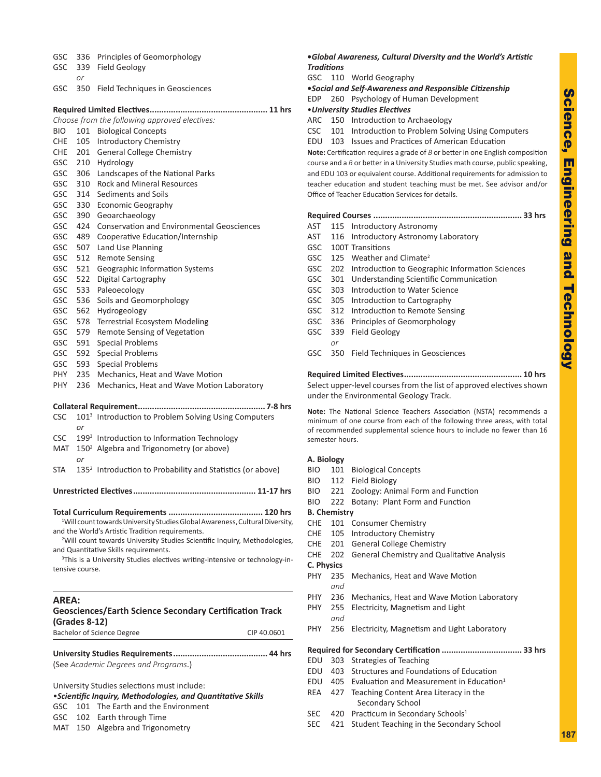| GSC        | 336             | Principles of Geomorphology                                                                                                      |  |
|------------|-----------------|----------------------------------------------------------------------------------------------------------------------------------|--|
| <b>GSC</b> | 339             | <b>Field Geology</b>                                                                                                             |  |
|            | or              |                                                                                                                                  |  |
| GSC        | 350             | Field Techniques in Geosciences                                                                                                  |  |
|            |                 |                                                                                                                                  |  |
|            |                 |                                                                                                                                  |  |
|            |                 | Choose from the following approved electives:                                                                                    |  |
| BIO.       | 101             | <b>Biological Concepts</b>                                                                                                       |  |
| <b>CHE</b> | 105             | <b>Introductory Chemistry</b>                                                                                                    |  |
| CHE        | 201             | <b>General College Chemistry</b>                                                                                                 |  |
| <b>GSC</b> | 210             | Hydrology                                                                                                                        |  |
| <b>GSC</b> | 306             | Landscapes of the National Parks                                                                                                 |  |
| <b>GSC</b> | 310             | <b>Rock and Mineral Resources</b>                                                                                                |  |
| <b>GSC</b> | 314             | Sediments and Soils                                                                                                              |  |
| GSC        | 330             | <b>Economic Geography</b>                                                                                                        |  |
| <b>GSC</b> | 390             | Geoarchaeology                                                                                                                   |  |
| <b>GSC</b> | 424             | <b>Conservation and Environmental Geosciences</b>                                                                                |  |
| <b>GSC</b> | 489             | Cooperative Education/Internship                                                                                                 |  |
| <b>GSC</b> | 507             |                                                                                                                                  |  |
| GSC        | 512             | Land Use Planning                                                                                                                |  |
|            |                 | <b>Remote Sensing</b>                                                                                                            |  |
| GSC        | 521             | Geographic Information Systems                                                                                                   |  |
| <b>GSC</b> | 522             | Digital Cartography                                                                                                              |  |
| GSC        | 533             | Paleoecology                                                                                                                     |  |
| <b>GSC</b> | 536             | Soils and Geomorphology                                                                                                          |  |
| <b>GSC</b> | 562             | Hydrogeology                                                                                                                     |  |
| GSC        | 578             | <b>Terrestrial Ecosystem Modeling</b>                                                                                            |  |
| GSC        | 579             | Remote Sensing of Vegetation                                                                                                     |  |
| <b>GSC</b> | 591             | <b>Special Problems</b>                                                                                                          |  |
| <b>GSC</b> | 592             | <b>Special Problems</b>                                                                                                          |  |
| <b>GSC</b> | 593             | <b>Special Problems</b>                                                                                                          |  |
| PHY.       | 235             | Mechanics, Heat and Wave Motion                                                                                                  |  |
| PHY.       | 236             | Mechanics, Heat and Wave Motion Laboratory                                                                                       |  |
|            |                 |                                                                                                                                  |  |
| <b>CSC</b> |                 | 101 <sup>3</sup> Introduction to Problem Solving Using Computers                                                                 |  |
|            | or              |                                                                                                                                  |  |
| <b>CSC</b> |                 | 199 <sup>3</sup> Introduction to Information Technology                                                                          |  |
| MAT        |                 | 150 <sup>2</sup> Algebra and Trigonometry (or above)                                                                             |  |
|            | or              |                                                                                                                                  |  |
| <b>STA</b> |                 | 135 <sup>2</sup> Introduction to Probability and Statistics (or above)                                                           |  |
|            |                 |                                                                                                                                  |  |
|            |                 | <b>Unrestricted Electives.</b><br>11-17 hrs                                                                                      |  |
|            |                 | <sup>1</sup> Will count towards University Studies Global Awareness, Cultural Diversity,                                         |  |
|            |                 | and the World's Artistic Tradition requirements.                                                                                 |  |
|            |                 | <sup>2</sup> Will count towards University Studies Scientific Inquiry, Methodologies,                                            |  |
|            |                 | and Quantitative Skills requirements.<br><sup>3</sup> This is a University Studies electives writing-intensive or technology-in- |  |
|            | tensive course. |                                                                                                                                  |  |
|            |                 |                                                                                                                                  |  |
| AREA:      |                 |                                                                                                                                  |  |
|            |                 | <b>Geosciences/Earth Science Secondary Certification Track</b>                                                                   |  |
|            | (Grades 8-12)   |                                                                                                                                  |  |
|            |                 | <b>Bachelor of Science Degree</b><br>CIP 40.0601                                                                                 |  |
|            |                 |                                                                                                                                  |  |
|            |                 | (See Academic Degrees and Programs.)                                                                                             |  |
|            |                 | University Studies selections must include:                                                                                      |  |
|            |                 | • Scientific Inquiry, Methodologies, and Quantitative Skills                                                                     |  |
| <b>GSC</b> | 101             | The Earth and the Environment                                                                                                    |  |
| <b>GSC</b> |                 | 102 Earth through Time                                                                                                           |  |
|            |                 |                                                                                                                                  |  |

MAT 150 Algebra and Trigonometry

### **•***Global Awareness, Cultural Diversity and the World's Artistic Traditions*

SC 110 World Geography

**•***Social and Self-Awareness and Responsible Citizenship*

OP 260 Psychology of Human Development

### •*University Studies Electives*

RC 150 Introduction to Archaeology

C 101 Introduction to Problem Solving Using Computers

DU 103 Issues and Practices of American Education

**Note:** Certification requires a grade of *B* or better in one English composition course and a *B* or better in a University Studies math course, public speaking, d EDU 103 or equivalent course. Additional requirements for admission to acher education and student teaching must be met. See advisor and/or fice of Teacher Education Services for details.

| AST        |     | 115 Introductory Astronomy                                                                                     |
|------------|-----|----------------------------------------------------------------------------------------------------------------|
| AST        | 116 | Introductory Astronomy Laboratory                                                                              |
| <b>GSC</b> |     | 100T Transitions                                                                                               |
| <b>GSC</b> | 125 | Weather and Climate <sup>2</sup>                                                                               |
| <b>GSC</b> | 202 | Introduction to Geographic Information Sciences                                                                |
| <b>GSC</b> | 301 | Understanding Scientific Communication                                                                         |
| <b>GSC</b> | 303 | Introduction to Water Science                                                                                  |
| <b>GSC</b> | 305 | Introduction to Cartography                                                                                    |
| <b>GSC</b> | 312 | Introduction to Remote Sensing                                                                                 |
| <b>GSC</b> | 336 | Principles of Geomorphology                                                                                    |
| GSC        | 339 | Field Geology                                                                                                  |
|            | or  |                                                                                                                |
| <b>GSC</b> | 350 | Field Techniques in Geosciences                                                                                |
|            |     |                                                                                                                |
|            |     | Select upper-level courses from the list of approved electives shown<br>under the Environmental Geology Track. |
|            |     | Note: The National Science Teachers Association (NSTA) recommends a                                            |

inimum of one course from each of the following three areas, with total recommended supplemental science hours to include no fewer than 16 mester hours.

### **A. Biology**

- O 101 Biological Concepts O 112 Field Biology O 221 Zoology: Animal Form and Function
- 
- O 222 Botany: Plant Form and Function

**B. Chemistry**

- HE 101 Consumer Chemistry
- HE 105 Introductory Chemistry
- HE 201 General College Chemistry
- HE 202 General Chemistry and Qualitative Analysis
- **Physics** HY 235 Mechanics, Heat and Wave Motion *and*
- HY 236 Mechanics, Heat and Wave Motion Laboratory
- HY 255 Electricity, Magnetism and Light *and*
- HY 256 Electricity, Magnetism and Light Laboratory

**Required for Secondary Certification .................................. 33 hrs**

- DU 303 Strategies of Teaching
- EDU 403 Structures and Foundations of Education
- EDU 405 Evaluation and Measurement in Education<sup>1</sup>
- EA 427 Teaching Content Area Literacy in the Secondary School
- SEC 420 Practicum in Secondary Schools<sup>1</sup>
- SEC 421 Student Teaching in the Secondary School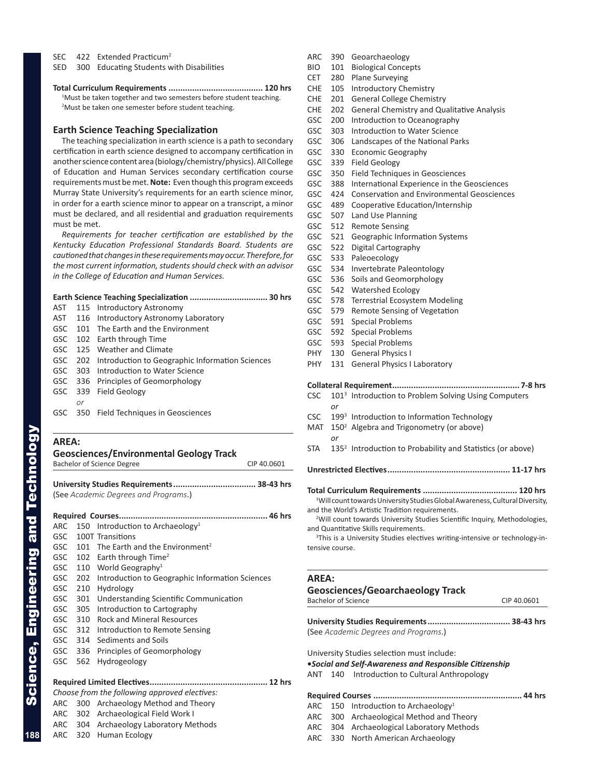SEC 422 Extended Practicum<sup>2</sup>

SED 300 Educating Students with Disabilities

### **Earth Science Teaching Specialization**

The teaching specialization in earth science is a path to secondary certification in earth science designed to accompany certification in another science content area (biology/chemistry/physics). All College of Education and Human Services secondary certification course requirements must be met. **Note:** Even though this program exceeds Murray State University's requirements for an earth science minor, in order for a earth science minor to appear on a transcript, a minor must be declared, and all residential and graduation requirements must be met.

*Requirements for teacher certification are established by the Kentucky Education Professional Standards Board. Students are cautioned that changes in these requirements may occur. Therefore, for the most current information, students should check with an advisor in the College of Education and Human Services.*

|     |    | AST 115 Introductory Astronomy                          |
|-----|----|---------------------------------------------------------|
|     |    | AST 116 Introductory Astronomy Laboratory               |
|     |    | GSC 101 The Earth and the Environment                   |
|     |    | GSC 102 Earth through Time                              |
|     |    | GSC 125 Weather and Climate                             |
|     |    | GSC 202 Introduction to Geographic Information Sciences |
| GSC |    | 303 Introduction to Water Science                       |
|     |    | GSC 336 Principles of Geomorphology                     |
|     |    | GSC 339 Field Geology                                   |
|     | or |                                                         |
|     |    | GSC 350 Field Techniques in Geosciences                 |

### **AREA:**

| <b>Geosciences/Environmental Geology Track</b> |             |
|------------------------------------------------|-------------|
| Bachelor of Science Degree                     | CIP 40.0601 |

**University Studies Requirements................................... 38-43 hrs** (See *Academic Degrees and Programs*.)

| ARC        |     | 150 Introduction to Archaeology <sup>1</sup>    |
|------------|-----|-------------------------------------------------|
| GSC        |     | 100T Transitions                                |
| GSC        | 101 | The Earth and the Environment <sup>2</sup>      |
| GSC        |     | 102 Earth through Time <sup>2</sup>             |
| GSC        |     | 110 World Geography <sup>1</sup>                |
| GSC.       | 202 | Introduction to Geographic Information Sciences |
| <b>GSC</b> | 210 | Hydrology                                       |
| <b>GSC</b> | 301 | Understanding Scientific Communication          |
| <b>GSC</b> | 305 | Introduction to Cartography                     |
| <b>GSC</b> | 310 | <b>Rock and Mineral Resources</b>               |
| GSC        | 312 | Introduction to Remote Sensing                  |
| <b>GSC</b> | 314 | Sediments and Soils                             |
| <b>GSC</b> | 336 | Principles of Geomorphology                     |
| GSC        | 562 | Hydrogeology                                    |
|            |     |                                                 |
|            |     | Choose from the following approved electives:   |
| ARC 300    |     | Archaeology Method and Theory                   |
|            |     | ARC 302 Archaeological Field Work I             |
| ARC        |     | 304 Archaeology Laboratory Methods              |

| Curriculum Requirements | $120$ hrs |
|-------------------------|-----------|

<sup>1</sup>Must be taken together and two semesters before student teaching. <sup>2</sup>Must be taken one semester before student teaching.

ARC 390 Geoarchaeology

- BIO 101 Biological Concepts
- CET 280 Plane Surveying
- CHE 105 Introductory Chemistry
- CHE 201 General College Chemistry
- CHE 202 General Chemistry and Qualitative Analysis
- GSC 200 Introduction to Oceanography
- GSC 303 Introduction to Water Science
- GSC 306 Landscapes of the National Parks
- GSC 330 Economic Geography
- GSC 339 Field Geology
- GSC 350 Field Techniques in Geosciences
- GSC 388 International Experience in the Geosciences
- GSC 424 Conservation and Environmental Geosciences
- GSC 489 Cooperative Education/Internship
- GSC 507 Land Use Planning
- GSC 512 Remote Sensing
- GSC 521 Geographic Information Systems
- GSC 522 Digital Cartography
- GSC 533 Paleoecology
- GSC 534 Invertebrate Paleontology
- GSC 536 Soils and Geomorphology
- GSC 542 Watershed Ecology
- GSC 578 Terrestrial Ecosystem Modeling
- GSC 579 Remote Sensing of Vegetation
- GSC 591 Special Problems
- GSC 592 Special Problems
- GSC 593 Special Problems
- PHY 130 General Physics I
- PHY 131 General Physics I Laboratory

#### **Collateral Requirement...................................................... 7-8 hrs**

- CSC 101 <sup>3</sup> Introduction to Problem Solving Using Computers *or*
- CSC 199<sup>3</sup> Introduction to Information Technology
- $MAT$  $150<sup>2</sup>$  Algebra and Trigonometry (or above) *or*
- STA 135<sup>2</sup> Introduction to Probability and Statistics (or above)

**Unrestricted Electives.................................................... 11-17 hrs**

**Total Curriculum Requirements ........................................ 120 hrs**

<sup>1</sup>Will count towards University Studies Global Awareness, Cultural Diversity, and the World's Artistic Tradition requirements.

<sup>2</sup>Will count towards University Studies Scientific Inquiry, Methodologies, and Quantitative Skills requirements.

<sup>3</sup>This is a University Studies electives writing-intensive or technology-intensive course.

#### **AREA:**

### **Geosciences/Geoarchaeology Track**

Bachelor of Science CIP 40.0601

**University Studies Requirements................................... 38-43 hrs** (See *Academic Degrees and Programs*.)

University Studies selection must include:

- **•***Social and Self-Awareness and Responsible Citizenship*
- ANT 140 Introduction to Cultural Anthropology
- **Required Courses ............................................................... 44 hrs**
- ARC 150 Introduction to Archaeology<sup>1</sup> ARC 300 Archaeological Method and Theory
- ARC 304 Archaeological Laboratory Methods
- ARC 330 North American Archaeology

ARC 320 Human Ecology

Science, Engineering and Technology

cience, Engineering and Technology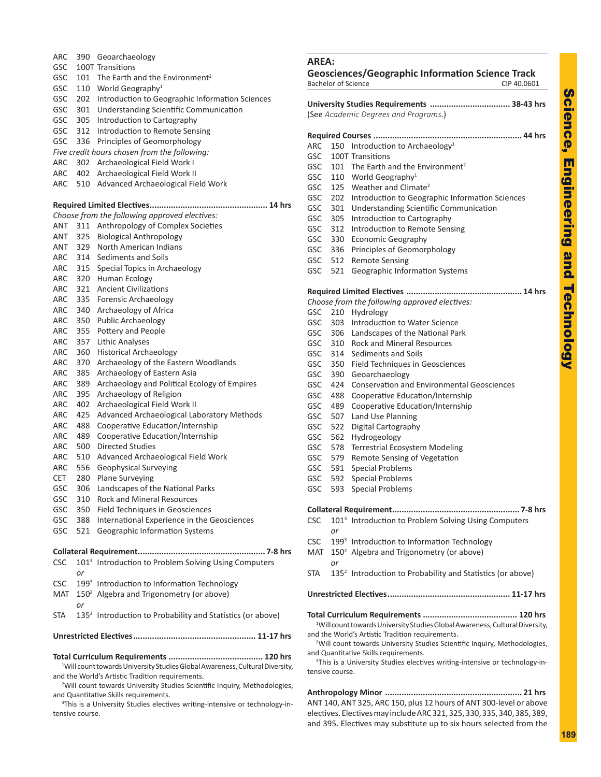| ARC        |            | 390 Geoarchaeology                                                                                                             | l                |
|------------|------------|--------------------------------------------------------------------------------------------------------------------------------|------------------|
| GSC        |            | 100T Transitions                                                                                                               |                  |
| GSC        | 101        | The Earth and the Environment <sup>2</sup>                                                                                     | $\mathbf C$<br>B |
| GSC        |            | 110 World Geography <sup>1</sup>                                                                                               |                  |
| GSC        | 202        | Introduction to Geographic Information Sciences                                                                                | ι                |
| GSC        | 301        | Understanding Scientific Communication                                                                                         | $\left($         |
| GSC        | 305        | Introduction to Cartography                                                                                                    |                  |
| GSC        | 312        | Introduction to Remote Sensing                                                                                                 | F                |
| GSC        | 336        | Principles of Geomorphology                                                                                                    | A                |
| <b>ARC</b> |            | Five credit hours chosen from the following:                                                                                   | C                |
| <b>ARC</b> | 302<br>402 | Archaeological Field Work I<br>Archaeological Field Work II                                                                    | G                |
| ARC        | 510        | Advanced Archaeological Field Work                                                                                             | C                |
|            |            |                                                                                                                                | C                |
|            |            |                                                                                                                                | C<br>C           |
|            |            | Choose from the following approved electives:                                                                                  | G                |
| ANT        |            | 311 Anthropology of Complex Societies                                                                                          | C                |
| ANT        | 325        | <b>Biological Anthropology</b>                                                                                                 | C                |
| ANT        | 329        | North American Indians                                                                                                         | G                |
| ARC        |            | 314 Sediments and Soils                                                                                                        | G                |
| ARC        |            | 315 Special Topics in Archaeology                                                                                              | G                |
| ARC        |            | 320 Human Ecology                                                                                                              |                  |
| ARC        | 321        | <b>Ancient Civilizations</b>                                                                                                   | F                |
| ARC        | 335        | Forensic Archaeology                                                                                                           | C                |
| ARC<br>ARC | 340        | Archaeology of Africa<br><b>Public Archaeology</b>                                                                             | C                |
| ARC        | 350<br>355 | Pottery and People                                                                                                             | C                |
| ARC        | 357        | <b>Lithic Analyses</b>                                                                                                         | C                |
| ARC        | 360        | Historical Archaeology                                                                                                         | C                |
| ARC        | 370        | Archaeology of the Eastern Woodlands                                                                                           | C<br>C           |
| ARC        | 385        | Archaeology of Eastern Asia                                                                                                    | C                |
| <b>ARC</b> | 389        | Archaeology and Political Ecology of Empires                                                                                   | C                |
| ARC        | 395        | Archaeology of Religion                                                                                                        | C                |
| ARC        | 402        | Archaeological Field Work II                                                                                                   | C                |
| ARC        | 425        | Advanced Archaeological Laboratory Methods                                                                                     | C                |
| ARC        | 488        | Cooperative Education/Internship                                                                                               | C                |
| ARC        | 489        | Cooperative Education/Internship                                                                                               | C                |
| <b>ARC</b> | 500        | <b>Directed Studies</b>                                                                                                        | G                |
| ARC        | 510        | Advanced Archaeological Field Work                                                                                             | C                |
| <b>ARC</b> | 556        | <b>Geophysical Surveying</b>                                                                                                   | C                |
| <b>CET</b> | 280        | <b>Plane Surveying</b>                                                                                                         | G                |
| GSC        | 306        | Landscapes of the National Parks                                                                                               | G                |
| GSC        | 310        | Rock and Mineral Resources                                                                                                     |                  |
| GSC<br>GSC | 350<br>388 | <b>Field Techniques in Geosciences</b><br>International Experience in the Geosciences                                          | C                |
| GSC        | 521        | Geographic Information Systems                                                                                                 | C                |
|            |            |                                                                                                                                | C                |
|            |            |                                                                                                                                | Ŋ                |
| <b>CSC</b> |            | 101 <sup>3</sup> Introduction to Problem Solving Using Computers                                                               |                  |
|            | or         |                                                                                                                                | S                |
| <b>CSC</b> |            | 199 <sup>3</sup> Introduction to Information Technology                                                                        |                  |
| MAT        |            | 150 <sup>2</sup> Algebra and Trigonometry (or above)                                                                           | ι                |
|            | or         |                                                                                                                                |                  |
| STA        |            | 135 <sup>2</sup> Introduction to Probability and Statistics (or above)                                                         | τ                |
|            |            |                                                                                                                                | a                |
|            |            |                                                                                                                                | a                |
|            |            | <sup>1</sup> Will count towards University Studies Global Awareness, Cultural Diversity,                                       |                  |
|            |            | and the World's Artistic Tradition requirements.                                                                               | t                |
|            |            | <sup>2</sup> Will count towards University Studies Scientific Inquiry, Methodologies,<br>and Quantitative Skills requirements. | ŀ                |

<sup>3</sup>This is a University Studies electives writing-intensive or technology-intensive course.

### **AREA:**

|            | <b>Bachelor of Science</b> | <b>Geosciences/Geographic Information Science Track</b><br>CIP 40.0601                                                           |
|------------|----------------------------|----------------------------------------------------------------------------------------------------------------------------------|
|            |                            | University Studies Requirements  38-43 hrs                                                                                       |
|            |                            | (See Academic Degrees and Programs.)                                                                                             |
|            |                            |                                                                                                                                  |
| ARC        |                            | 150 Introduction to Archaeology <sup>1</sup>                                                                                     |
| GSC        |                            | 100T Transitions                                                                                                                 |
| GSC        |                            | 101 The Earth and the Environment <sup>2</sup>                                                                                   |
| GSC        |                            | 110 World Geography <sup>1</sup>                                                                                                 |
| GSC        |                            | 125 Weather and Climate <sup>2</sup>                                                                                             |
| GSC        |                            | 202 Introduction to Geographic Information Sciences                                                                              |
| GSC        |                            | 301 Understanding Scientific Communication                                                                                       |
| GSC        | 305                        | Introduction to Cartography                                                                                                      |
| GSC        | 312                        | Introduction to Remote Sensing                                                                                                   |
| GSC        | 330                        | <b>Economic Geography</b>                                                                                                        |
| <b>GSC</b> | 336                        | Principles of Geomorphology                                                                                                      |
| GSC        | 512                        | <b>Remote Sensing</b>                                                                                                            |
| GSC        | 521                        | Geographic Information Systems                                                                                                   |
|            |                            |                                                                                                                                  |
|            |                            |                                                                                                                                  |
|            |                            | Choose from the following approved electives:                                                                                    |
| <b>GSC</b> |                            | 210 Hydrology                                                                                                                    |
| GSC        | 303                        | Introduction to Water Science                                                                                                    |
| GSC        |                            | 306 Landscapes of the National Park                                                                                              |
| GSC        |                            | 310 Rock and Mineral Resources                                                                                                   |
| GSC l      | 314                        | Sediments and Soils                                                                                                              |
| GSC        |                            | 350 Field Techniques in Geosciences                                                                                              |
| GSC        | 390                        | Geoarchaeology                                                                                                                   |
| GSC        | 424                        | <b>Conservation and Environmental Geosciences</b>                                                                                |
| GSC        | 488                        | Cooperative Education/Internship                                                                                                 |
| GSC        | 489                        | Cooperative Education/Internship                                                                                                 |
| <b>GSC</b> | 507                        | Land Use Planning                                                                                                                |
| GSC        | 522                        | Digital Cartography                                                                                                              |
| GSC        | 562                        | Hydrogeology                                                                                                                     |
| GSC        | 578                        | <b>Terrestrial Ecosystem Modeling</b>                                                                                            |
| <b>GSC</b> | 579                        | Remote Sensing of Vegetation                                                                                                     |
| GSC        | 591                        | <b>Special Problems</b>                                                                                                          |
| GSC        | 592                        | <b>Special Problems</b>                                                                                                          |
| <b>GSC</b> | 593                        | <b>Special Problems</b>                                                                                                          |
|            |                            |                                                                                                                                  |
|            |                            | 7-8 hrs                                                                                                                          |
| CSC        |                            | 101 <sup>3</sup> Introduction to Problem Solving Using Computers                                                                 |
|            | or                         |                                                                                                                                  |
| <b>CSC</b> |                            | 199 <sup>3</sup> Introduction to Information Technology                                                                          |
| MAT        |                            | 150 <sup>2</sup> Algebra and Trigonometry (or above)                                                                             |
|            | or                         |                                                                                                                                  |
| <b>STA</b> |                            | 135 <sup>2</sup> Introduction to Probability and Statistics (or above)                                                           |
|            |                            |                                                                                                                                  |
|            |                            | <sup>1</sup> Will count towards University Studies Global Awareness, Cultural Diversity,                                         |
|            |                            | and the World's Artistic Tradition requirements.                                                                                 |
|            |                            | <sup>2</sup> Will count towards University Studies Scientific Inquiry, Methodologies,                                            |
|            |                            | and Quantitative Skills requirements.<br><sup>3</sup> This is a University Studies electives writing-intensive or technology-in- |
|            | tensive course.            |                                                                                                                                  |
|            |                            |                                                                                                                                  |

**Anthropology Minor .......................................................... 21 hrs** ANT 140, ANT 325, ARC 150, plus 12 hours of ANT 300-level or above electives. Electives may include ARC 321, 325, 330, 335, 340, 385, 389, and 395. Electives may substitute up to six hours selected from the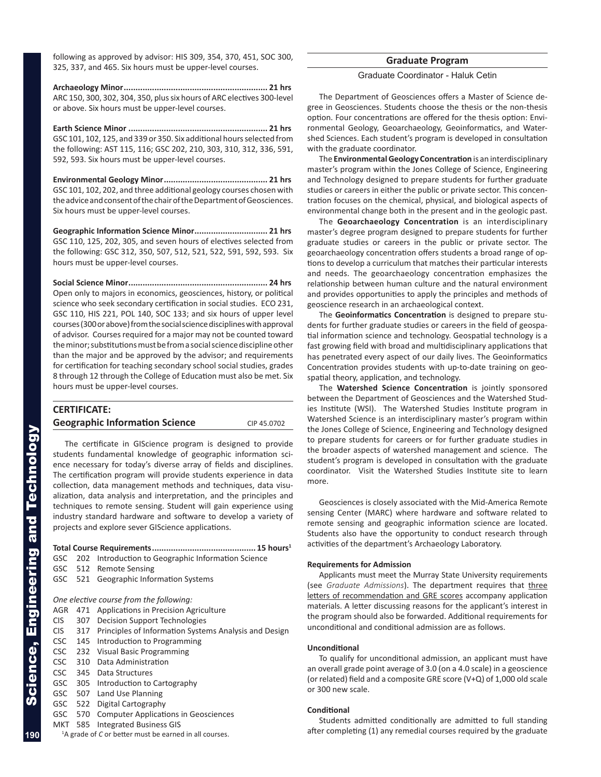following as approved by advisor: HIS 309, 354, 370, 451, SOC 300, 325, 337, and 465. Six hours must be upper-level courses.

**Archaeology Minor............................................................. 21 hrs** ARC 150, 300, 302, 304, 350, plus six hours of ARC electives 300-level or above. Six hours must be upper-level courses.

**Earth Science Minor ........................................................... 21 hrs** GSC 101, 102, 125, and 339 or 350. Six additional hours selected from the following: AST 115, 116; GSC 202, 210, 303, 310, 312, 336, 591, 592, 593. Six hours must be upper-level courses.

**Environmental Geology Minor............................................ 21 hrs** GSC 101, 102, 202, and three additional geology courses chosen with the advice and consent of the chair of the Department of Geosciences. Six hours must be upper-level courses.

**Geographic Information Science Minor............................... 21 hrs** GSC 110, 125, 202, 305, and seven hours of electives selected from the following: GSC 312, 350, 507, 512, 521, 522, 591, 592, 593. Six hours must be upper-level courses.

**Social Science Minor........................................................... 24 hrs** Open only to majors in economics, geosciences, history, or political science who seek secondary certification in social studies. ECO 231, GSC 110, HIS 221, POL 140, SOC 133; and six hours of upper level courses (300 or above) from the social science disciplines with approval of advisor. Courses required for a major may not be counted toward the minor; substitutions must be from a social science discipline other than the major and be approved by the advisor; and requirements for certification for teaching secondary school social studies, grades 8 through 12 through the College of Education must also be met. Six hours must be upper-level courses.

### **CERTIFICATE: Geographic Information Science** CIP 45.0702

The certificate in GIScience program is designed to provide students fundamental knowledge of geographic information sci ence necessary for today's diverse array of fields and disciplines. The certification program will provide students experience in data collection, data management methods and techniques, data visu alization, data analysis and interpretation, and the principles and techniques to remote sensing. Student will gain experience using industry standard hardware and software to develop a variety of projects and explore sever GIScience applications.

### **Total Course Requirements............................................ 15 hours 1**

- GSC 202 Introduction to Geographic Information Science
- GSC 512 Remote Sensing
- GSC 521 Geographic Information Systems

### *One elective course from the following:*

- AGR 471 Applications in Precision Agriculture
- CIS 307 Decision Support Technologies
- CIS 317 Principles of Information Systems Analysis and Design
- CSC 145 Introduction to Programming
- CSC 232 Visual Basic Programming
- CSC 310 Data Administration
- CSC 345 Data Structures
- GSC 305 Introduction to Cartography
- GSC 507 Land Use Planning
- GSC 522 Digital Cartography
- GSC 570 Computer Applications in Geosciences
- MKT 585 Integrated Business GIS
- <sup>1</sup>A grade of C or better must be earned in all courses.

### **Graduate Program**

### Graduate Coordinator - Haluk Cetin

The Department of Geosciences offers a Master of Science degree in Geosciences. Students choose the thesis or the non-thesis option. Four concentrations are offered for the thesis option: Envi ronmental Geology, Geoarchaeology, Geoinformatics, and Water shed Sciences. Each student's program is developed in consultation with the graduate coordinator.

The **Environmental Geology Concentration** is an interdisciplinary master's program within the Jones College of Science, Engineering and Technology designed to prepare students for further graduate studies or careers in either the public or private sector. This concen tration focuses on the chemical, physical, and biological aspects of environmental change both in the present and in the geologic past.

The **Geoarchaeology Concentration** is an interdisciplinary master's degree program designed to prepare students for further graduate studies or careers in the public or private sector. The geoarchaeology concentration offers students a broad range of op tions to develop a curriculum that matches their particular interests and needs. The geoarchaeology concentration emphasizes the relationship between human culture and the natural environment and provides opportunities to apply the principles and methods of geoscience research in an archaeological context.

The **Geoinformatics Concentration** is designed to prepare stu dents for further graduate studies or careers in the field of geospa tial information science and technology. Geospatial technology is a fast growing field with broad and multidisciplinary applications that has penetrated every aspect of our daily lives. The Geoinformatics Concentration provides students with up-to-date training on geo spatial theory, application, and technology.

The **Watershed Science Concentration** is jointly sponsored between the Department of Geosciences and the Watershed Stud ies Institute (WSI). The Watershed Studies Institute program in Watershed Science is an interdisciplinary master's program within the Jones College of Science, Engineering and Technology designed to prepare students for careers or for further graduate studies in the broader aspects of watershed management and science. The student's program is developed in consultation with the graduate coordinator. Visit the Watershed Studies Institute site to learn more.

Geosciences is closely associated with the Mid-America Remote sensing Center (MARC) where hardware and software related to remote sensing and geographic information science are located. Students also have the opportunity to conduct research through activities of the department's Archaeology Laboratory.

### **Requirements for Admission**

Applicants must meet the Murray State University requirements (see Graduate Admissions). The department requires that three letters of recommendation and GRE scores accompany application materials. A letter discussing reasons for the applicant's interest in the program should also be forwarded. Additional requirements for unconditional and conditional admission are as follows.

### **Unconditional**

To qualify for unconditional admission, an applicant must have an overall grade point average of 3.0 (on a 4.0 scale) in a geoscience (or related) field and a composite GRE score (V+Q) of 1,000 old scale or 300 new scale.

#### **Conditional**

Students admitted conditionally are admitted to full standing after completing (1) any remedial courses required by the graduate

**190**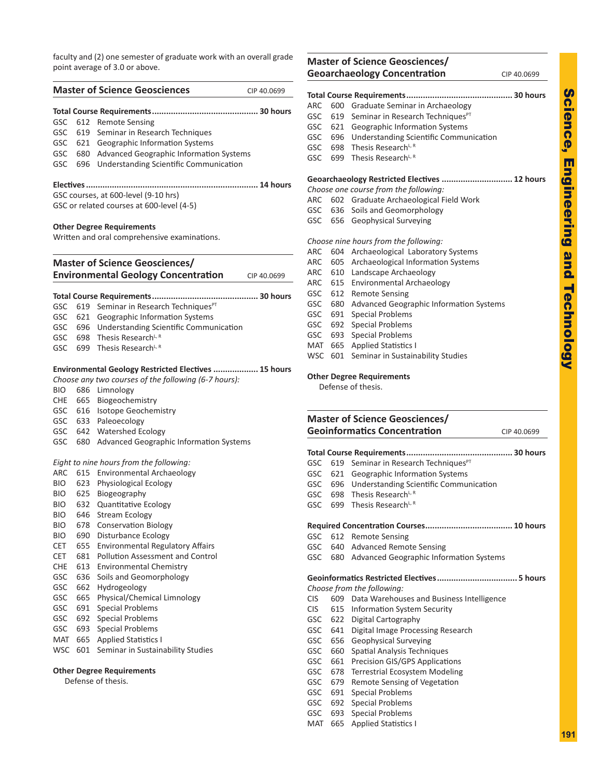faculty and (2) one semester of graduate work with an overall grade point average of 3.0 or above.

|            |           | <b>Master of Science Geosciences</b>                                             | CIP 40.0699 |
|------------|-----------|----------------------------------------------------------------------------------|-------------|
|            |           |                                                                                  |             |
| GSC        |           | 612 Remote Sensing                                                               |             |
| <b>GSC</b> |           | 619 Seminar in Research Techniques                                               |             |
| <b>GSC</b> |           | 621 Geographic Information Systems                                               |             |
| GSC        |           | 680 Advanced Geographic Information Systems                                      |             |
| GSC        |           | 696 Understanding Scientific Communication                                       |             |
|            | Electives |                                                                                  | 14 hours    |
|            |           | GSC courses, at 600-level (9-10 hrs)                                             |             |
|            |           | GSC or related courses at 600-level (4-5)                                        |             |
|            |           | <b>Other Degree Requirements</b><br>Written and oral comprehensive examinations. |             |
|            |           | <b>Master of Science Geosciences/</b>                                            |             |
|            |           | <b>Environmental Geology Concentration</b>                                       | CIP 40.0699 |
|            |           | Total Course Requirements                                                        | 30 hours    |
| GSC        |           | 619 Seminar in Research Techniques <sup>PT</sup>                                 |             |
| <b>GSC</b> |           | 621 Geographic Information Systems                                               |             |
|            |           | GSC 696 Understanding Scientific Communication                                   |             |
|            |           | GSC 698 Thesis Research <sup>L, R</sup>                                          |             |
| GSC        |           | 699 Thesis Research <sup>L, R</sup>                                              |             |
|            |           | Environmental Geology Restricted Electives  15 hours                             |             |
|            |           | Choose any two courses of the following (6-7 hours):                             |             |
| BIO        |           | 686 Limnology                                                                    |             |
| CHE        |           | 665 Biogeochemistry                                                              |             |
| GSC.       |           | 616 Isotope Geochemistry                                                         |             |
|            |           | GSC 633 Paleoecology                                                             |             |
|            |           | GSC 642 Watershed Ecology                                                        |             |
| GSC        |           | 680 Advanced Geographic Information Systems                                      |             |
|            |           | Eight to nine hours from the following:                                          |             |
| <b>ARC</b> | 615       | Environmental Archaeology                                                        |             |
| BIO        |           | 623 Physiological Ecology                                                        |             |
| BIO        |           | 625 Biogeography                                                                 |             |
| BIO        | 632       | <b>Quantitative Ecology</b>                                                      |             |
| BIO.       |           | 646 Stream Ecology                                                               |             |
| BIO        | 678       | <b>Conservation Biology</b>                                                      |             |
| BIO        | 690       | Disturbance Ecology                                                              |             |
| CET        | 655       | <b>Environmental Regulatory Affairs</b>                                          |             |
| CET        | 681       | <b>Pollution Assessment and Control</b>                                          |             |
| CHE        | 613       | <b>Environmental Chemistry</b>                                                   |             |
| GSC        | 636       | Soils and Geomorphology                                                          |             |
| GSC        | 662       | Hydrogeology                                                                     |             |
| GSC        | 665       | Physical/Chemical Limnology                                                      |             |
| GSC        | 691       | <b>Special Problems</b>                                                          |             |
| GSC        | 692       | <b>Special Problems</b>                                                          |             |
| GSC        | 693       | <b>Special Problems</b>                                                          |             |
| MAT        | 665       | <b>Applied Statistics I</b>                                                      |             |
| WSC        | 601       | Seminar in Sustainability Studies                                                |             |
|            |           | <b>Other Degree Requirements</b>                                                 |             |
|            |           | Defense of thesis.                                                               |             |
|            |           |                                                                                  |             |

|                                                             |     | <b>Geoarchaeology Concentration</b>                                    | CIP 40.0699             |
|-------------------------------------------------------------|-----|------------------------------------------------------------------------|-------------------------|
|                                                             |     |                                                                        |                         |
| ARC                                                         |     | 600 Graduate Seminar in Archaeology                                    |                         |
| GSC                                                         | 619 | Seminar in Research Techniques <sup>PT</sup>                           |                         |
| <b>GSC</b>                                                  |     | 621 Geographic Information Systems                                     |                         |
| <b>GSC</b>                                                  |     | 696 Understanding Scientific Communication                             |                         |
| GSC                                                         | 698 | Thesis Research <sup>L, R</sup>                                        |                         |
| GSC                                                         |     | 699 Thesis Research <sup>L, R</sup>                                    |                         |
|                                                             |     | Geoarchaeology Restricted Electives  12 hours                          |                         |
|                                                             |     | Choose one course from the following:                                  |                         |
| ARC                                                         |     | 602 Graduate Archaeological Field Work                                 |                         |
| <b>GSC</b>                                                  |     | 636 Soils and Geomorphology                                            |                         |
| <b>GSC</b>                                                  | 656 | Geophysical Surveying                                                  |                         |
|                                                             |     | Choose nine hours from the following:                                  |                         |
| ARC                                                         |     | 604 Archaeological Laboratory Systems                                  |                         |
| ARC                                                         |     | 605 Archaeological Information Systems                                 |                         |
| ARC                                                         |     | 610 Landscape Archaeology                                              |                         |
| ARC                                                         | 615 | <b>Environmental Archaeology</b>                                       |                         |
| GSC                                                         | 612 | <b>Remote Sensing</b>                                                  |                         |
| <b>GSC</b>                                                  |     | 680 Advanced Geographic Information Systems                            |                         |
| GSC                                                         | 691 | <b>Special Problems</b>                                                |                         |
| <b>GSC</b>                                                  | 692 | <b>Special Problems</b>                                                |                         |
| GSC                                                         | 693 | <b>Special Problems</b>                                                |                         |
|                                                             |     | MAT 665 Applied Statistics I                                           |                         |
| <b>WSC</b>                                                  | 601 | Seminar in Sustainability Studies                                      |                         |
|                                                             |     | <b>Other Degree Requirements</b><br>Defense of thesis.                 |                         |
|                                                             |     |                                                                        |                         |
|                                                             |     | <b>Master of Science Geosciences/</b>                                  |                         |
|                                                             |     | <b>Geoinformatics Concentration</b>                                    |                         |
|                                                             |     | Total Course Requirements                                              |                         |
|                                                             |     | 619 Seminar in Research Techniques <sup>PT</sup>                       |                         |
|                                                             | 621 | Geographic Information Systems                                         |                         |
|                                                             | 696 | <b>Understanding Scientific Communication</b>                          | CIP 40.0699<br>30 hours |
|                                                             | 698 | Thesis Research <sup>L, R</sup>                                        |                         |
|                                                             | 699 | Thesis Research <sup>L, R</sup>                                        |                         |
|                                                             |     |                                                                        |                         |
|                                                             |     | 612 Remote Sensing                                                     |                         |
| GSC<br>GSC<br>GSC<br>GSC<br>GSC<br>GSC<br>GSC<br><b>GSC</b> | 680 | 640 Advanced Remote Sensing<br>Advanced Geographic Information Systems |                         |

### **Geoinformatics Restricted Electives.................................. 5 hours**

- *Choose from the following:*
- CIS 609 Data Warehouses and Business Intelligence
- CIS 615 Information System Security
- GSC 622 Digital Cartography
- GSC 641 Digital Image Processing Research
- GSC 656 Geophysical Surveying
- GSC 660 Spatial Analysis Techniques
- GSC 661 Precision GIS/GPS Applications
- GSC 678 Terrestrial Ecosystem Modeling
- GSC 679 Remote Sensing of Vegetation
- GSC 691 Special Problems
- GSC 692 Special Problems
- GSC 693 Special Problems
- MAT 665 Applied Statistics I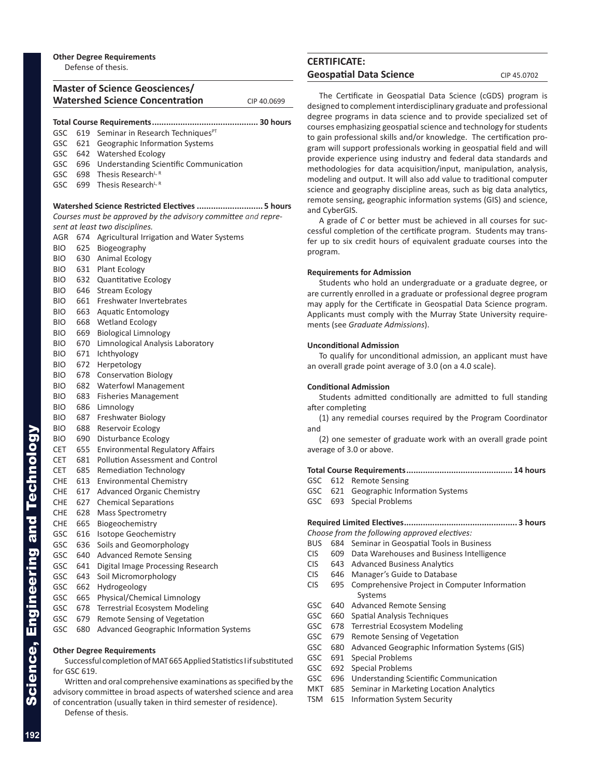### **Master of Science Geosciences/ Watershed Science Concentration** CIP 40.0699

| GSC        | 619 | Seminar in Research Techniques <sup>PT</sup>                  |
|------------|-----|---------------------------------------------------------------|
| GSC        | 621 | Geographic Information Systems                                |
| GSC        | 642 | <b>Watershed Ecology</b>                                      |
| GSC        | 696 | <b>Understanding Scientific Communication</b>                 |
| GSC        | 698 | Thesis Research <sup>L, R</sup>                               |
| GSC        | 699 | Thesis Research <sup>L, R</sup>                               |
|            |     | Watershed Science Restricted Electives  5 hours               |
|            |     | Courses must be approved by the advisory committee and repre- |
|            |     | sent at least two disciplines.                                |
| AGR        |     | 674 Agricultural Irrigation and Water Systems                 |
| <b>BIO</b> | 625 | Biogeography                                                  |
| BIO.       |     | 630 Animal Ecology                                            |
| BIO.       |     | 631 Plant Ecology                                             |
| BIO.       | 632 | <b>Quantitative Ecology</b>                                   |
| BIO.       | 646 | Stream Ecology                                                |
| BIO.       | 661 | Freshwater Invertebrates                                      |
| BIO.       | 663 | Aquatic Entomology                                            |
| <b>BIO</b> | 668 | <b>Wetland Ecology</b>                                        |
| BIO.       | 669 | <b>Biological Limnology</b>                                   |
| <b>BIO</b> | 670 | Limnological Analysis Laboratory                              |
| <b>BIO</b> | 671 | Ichthyology                                                   |
| BIO.       | 672 | Herpetology                                                   |
| <b>BIO</b> | 678 | <b>Conservation Biology</b>                                   |
| BIO.       | 682 | <b>Waterfowl Management</b>                                   |
| BIO.       | 683 | <b>Fisheries Management</b>                                   |
| BIO.       | 686 | Limnology                                                     |
| BIO.       | 687 | Freshwater Biology                                            |
| BIO.       | 688 | Reservoir Ecology                                             |
| BIO.       | 690 | Disturbance Ecology                                           |
| CET        | 655 | <b>Environmental Regulatory Affairs</b>                       |
| CET        | 681 | <b>Pollution Assessment and Control</b>                       |
| CET        | 685 | Remediation Technology                                        |
| CHE        | 613 | <b>Environmental Chemistry</b>                                |
| CHE        | 617 | <b>Advanced Organic Chemistry</b>                             |
| <b>CHE</b> | 627 | <b>Chemical Separations</b>                                   |
| CHE        | 628 | <b>Mass Spectrometry</b>                                      |
| CHE        | 665 | Biogeochemistry                                               |
| GSC        | 616 | <b>Isotope Geochemistry</b>                                   |
| GSC        | 636 | Soils and Geomorphology                                       |
| GSC        | 640 | <b>Advanced Remote Sensing</b>                                |
| GSC        | 641 | Digital Image Processing Research                             |
| GSC        | 643 | Soil Micromorphology                                          |
| GSC        | 662 | Hydrogeology                                                  |
| GSC        | 665 | Physical/Chemical Limnology                                   |
| GSC        | 678 | <b>Terrestrial Ecosystem Modeling</b>                         |
|            |     |                                                               |
| GSC        | 679 | Remote Sensing of Vegetation                                  |

### **Other Degree Requirements**

Successful completion of MAT 665 Applied Statistics I if substituted for GSC 619.

Written and oral comprehensive examinations as specified by the advisory committee in broad aspects of watershed science and area of concentration (usually taken in third semester of residence).

Defense of thesis.

### **CERTIFICATE:** Geospatial Data Science **CIP 45.0702**

The Certificate in Geospatial Data Science (cGDS) program is designed to complement interdisciplinary graduate and professional degree programs in data science and to provide specialized set of courses emphasizing geospatial science and technology for students to gain professional skills and/or knowledge. The certification pro gram will support professionals working in geospatial field and will provide experience using industry and federal data standards and methodologies for data acquisition/input, manipulation, analysis, modeling and output. It will also add value to traditional computer science and geography discipline areas, such as big data analytics, remote sensing, geographic information systems (GIS) and science, and CyberGIS.

A grade of C or better must be achieved in all courses for successful completion of the certificate program. Students may trans fer up to six credit hours of equivalent graduate courses into the program.

### **Requirements for Admission**

Students who hold an undergraduate or a graduate degree, or are currently enrolled in a graduate or professional degree program may apply for the Certificate in Geospatial Data Science program. Applicants must comply with the Murray State University require ments (see *Graduate Admissions*).

### **Unconditional Admission**

To qualify for unconditional admission, an applicant must have an overall grade point average of 3.0 (on a 4.0 scale).

### **Conditional Admission**

Students admitted conditionally are admitted to full standing after completing

(1) any remedial courses required by the Program Coordinator and

(2) one semester of graduate work with an overall grade point average of 3.0 or above.

### **Total Course Requirements............................................. 14 hours**

- GSC 612 Remote Sensing
- GSC 621 Geographic Information Systems
- GSC 693 Special Problems

### **Required Limited Electives................................................ 3 hours**

*Choose from the following approved electives:*

- BUS 684 Seminar in Geospatial Tools in Business
- CIS 609 Data Warehouses and Business Intelligence
- CIS 643 Advanced Business Analytics
- CIS 646 Manager's Guide to Database
- CIS 695 Comprehensive Project in Computer Information Systems
- GSC 640 Advanced Remote Sensing
- GSC 660 Spatial Analysis Techniques
- GSC 678 Terrestrial Ecosystem Modeling
- GSC 679 Remote Sensing of Vegetation
- GSC 680 Advanced Geographic Information Systems (GIS)
- GSC 691 Special Problems
- GSC 692 Special Problems
- GSC 696 Understanding Scientific Communication
- MKT 685 Seminar in Marketing Location Analytics
- TSM 615 Information System Security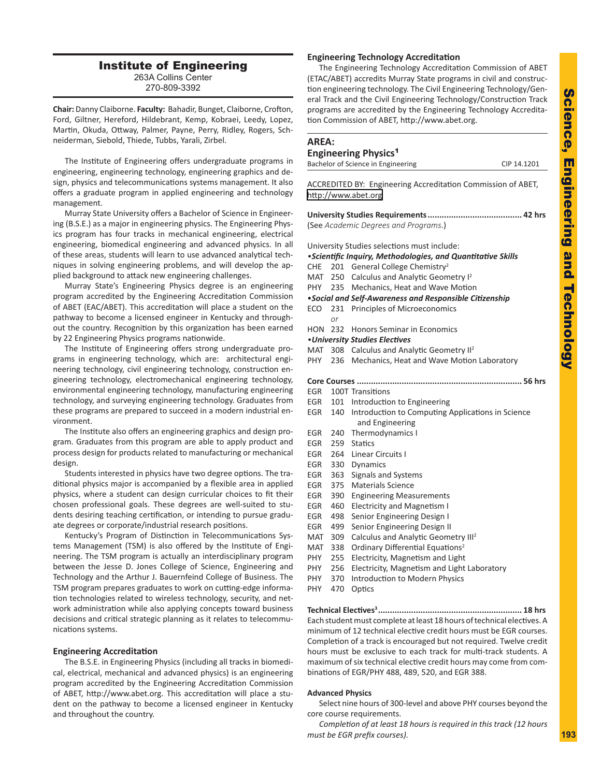### Institute of Engineering 263A Collins Center

270-809-3392

**Chair:** Danny Claiborne. **Faculty:** Bahadir, Bunget, Claiborne, Crofton, Ford, Giltner, Hereford, Hildebrant, Kemp, Kobraei, Leedy, Lopez, Martin, Okuda, Ottway, Palmer, Payne, Perry, Ridley, Rogers, Sch neiderman, Siebold, Thiede, Tubbs, Yarali, Zirbel.

The Institute of Engineering offers undergraduate programs in engineering, engineering technology, engineering graphics and de sign, physics and telecommunications systems management. It also offers a graduate program in applied engineering and technology management.

Murray State University offers a Bachelor of Science in Engineer ing (B.S.E.) as a major in engineering physics. The Engineering Phys ics program has four tracks in mechanical engineering, electrical engineering, biomedical engineering and advanced physics. In all of these areas, students will learn to use advanced analytical tech niques in solving engineering problems, and will develop the ap plied background to attack new engineering challenges.

Murray State's Engineering Physics degree is an engineering program accredited by the Engineering Accreditation Commission of ABET (EAC/ABET). This accreditation will place a student on the pathway to become a licensed engineer in Kentucky and through out the country. Recognition by this organization has been earned by 22 Engineering Physics programs nationwide.

The Institute of Engineering offers strong undergraduate pro grams in engineering technology, which are: architectural engi neering technology, civil engineering technology, construction en gineering technology, electromechanical engineering technology, environmental engineering technology, manufacturing engineering technology, and surveying engineering technology. Graduates from these programs are prepared to succeed in a modern industrial en vironment.

The Institute also offers an engineering graphics and design pro gram. Graduates from this program are able to apply product and process design for products related to manufacturing or mechanical design.

Students interested in physics have two degree options. The tra ditional physics major is accompanied by a flexible area in applied physics, where a student can design curricular choices to fit their chosen professional goals. These degrees are well-suited to stu dents desiring teaching certification, or intending to pursue gradu ate degrees or corporate/industrial research positions.

Kentucky's Program of Distinction in Telecommunications Sys tems Management (TSM) is also offered by the Institute of Engi neering. The TSM program is actually an interdisciplinary program between the Jesse D. Jones College of Science, Engineering and Technology and the Arthur J. Bauernfeind College of Business. The TSM program prepares graduates to work on cutting-edge informa tion technologies related to wireless technology, security, and net work administration while also applying concepts toward business decisions and critical strategic planning as it relates to telecommu nications systems.

#### **Engineering Accreditation**

The B.S.E. in Engineering Physics (including all tracks in biomedi cal, electrical, mechanical and advanced physics) is an engineering program accredited by the Engineering Accreditation Commission of ABET, http://www.abet.org. This accreditation will place a stu dent on the pathway to become a licensed engineer in Kentucky and throughout the country.

### **Engineering Technology Accreditation**

The Engineering Technology Accreditation Commission of ABET (ETAC/ABET) accredits Murray State programs in civil and construc tion engineering technology. The Civil Engineering Technology/Gen eral Track and the Civil Engineering Technology/Construction Track programs are accredited by the Engineering Technology Accredita tion Commission of ABET, http://www.abet.org.

### **AREA:**

### **Engineering Physics** 1

| Bachelor of Science in Engineering | CIP 14.1201 |
|------------------------------------|-------------|
|                                    |             |

ACCREDITED BY: Engineering Accreditation Commission of ABET, [http://www.abet.or](http://www.abet.org) g

| (See Academic Degrees and Programs.) |  |
|--------------------------------------|--|

University Studies selections must include:

- *•Scientific Inquiry, Methodologies, and Quantitative Skills*
- CHE 201 General College Chemistry<sup>2</sup>
- MAT 250 Calculus and Analytic Geometry I<sup>2</sup>
- PHY 235 Mechanics, Heat and Wave Motion

### •*Social and Self-Awareness and Responsible Citizenship*

- ECO 231 Principles of Microeconomics *or*
- HON 232 Honors Seminar in Economics

### *•University Studies Electives*

- MAT 308 Calculus and Analytic Geometry II<sup>2</sup>
- PHY 236 Mechanics, Heat and Wave Motion Laboratory
- **Core Courses ...................................................................... 56 hrs**
- EGR 100T Transitions
- EGR 101 Introduction to Engineering
- EGR 140 Introduction to Computing Applications in Science and Engineering
- EGR 240 Thermodynamics I
- EGR 259 Statics
- EGR 264 Linear Circuits I
- EGR 330 Dynamics
- EGR 363 Signals and Systems
- EGR 375 Materials Science
- EGR 390 Engineering Measurements
- EGR 460 Electricity and Magnetism I
- EGR 498 Senior Engineering Design I
- EGR 499 Senior Engineering Design II
- MAT 309 Calculus and Analytic Geometry III<sup>2</sup>
- MAT 338 Ordinary Differential Equations<sup>2</sup>
- PHY 255 Electricity, Magnetism and Light
- PHY 256 Electricity, Magnetism and Light Laboratory
- PHY 370 Introduction to Modern Physics
- PHY 470 Optics

**Technical Electives <sup>3</sup> ............................................................. 18 hrs** Each student must complete at least 18 hours of technical electives. A minimum of 12 technical elective credit hours must be EGR courses. Completion of a track is encouraged but not required. Twelve credit hours must be exclusive to each track for multi-track students. A maximum of six technical elective credit hours may come from com binations of EGR/PHY 488, 489, 520, and EGR 388.

#### **Advanced Physics**

Select nine hours of 300-level and above PHY courses beyond the core course requirements.

*Completion of at least 18 hours is required in this track (12 hours must be EGR prefix courses).*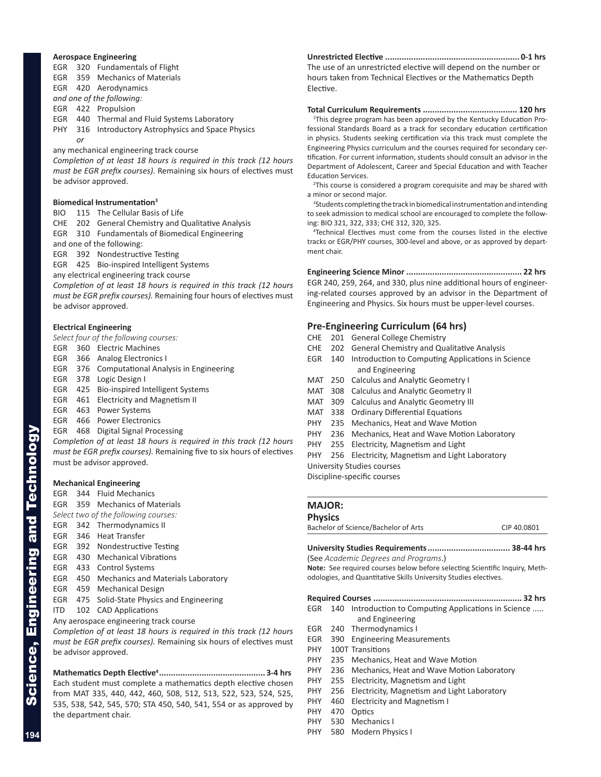### **Aerospace Engineering**

EGR 320 Fundamentals of Flight EGR 359 Mechanics of Materials EGR 420 Aerodynamics

*and one of the following:*

EGR 422 Propulsion

EGR 440 Thermal and Fluid Systems Laboratory

PHY 316 Introductory Astrophysics and Space Physics *or*

any mechanical engineering track course

*Completion of at least 18 hours is required in this track (12 hours must be EGR prefix courses).* Remaining six hours of electives must be advisor approved.

### **Biomedical Instrumentation 3**

BIO 115 The Cellular Basis of Life

CHE 202 General Chemistry and Qualitative Analysis

EGR 310 Fundamentals of Biomedical Engineering

and one of the following:

EGR 392 Nondestructive Testing

EGR 425 Bio-inspired Intelligent Systems

any electrical engineering track course

*Completion of at least 18 hours is required in this track (12 hours must be EGR prefix courses).* Remaining four hours of electives must be advisor approved.

### **Electrical Engineering**

*Select four of the following courses:*

- EGR 360 Electric Machines
- EGR 366 Analog Electronics I
- EGR 376 Computational Analysis in Engineering
- EGR 378 Logic Design I
- EGR 425 Bio-inspired Intelligent Systems
- EGR 461 Electricity and Magnetism II
- EGR 463 Power Systems
- EGR 466 Power Electronics

EGR 468 Digital Signal Processing

*Completion of at least 18 hours is required in this track (12 hours must be EGR prefix courses).* Remaining five to six hours of electives must be advisor approved.

#### **Mechanical Engineering**

- EGR 344 Fluid Mechanics
- EGR 359 Mechanics of Materials
- *Select two of the following courses:*
- EGR 342 Thermodynamics II
- EGR 346 Heat Transfer
- EGR 392 Nondestructive Testing
- EGR 430 Mechanical Vibrations
- EGR 433 Control Systems
- EGR 450 Mechanics and Materials Laboratory
- EGR 459 Mechanical Design
- EGR 475 Solid-State Physics and Engineering
- ITD 102 CAD Applications
- Any aerospace engineering track course

*Completion of at least 18 hours is required in this track (12 hours must be EGR prefix courses).* Remaining six hours of electives must be advisor approved.

**Mathematics Depth Elective <sup>4</sup>............................................. 3-4 hrs** Each student must complete a mathematics depth elective chosen from MAT 335, 440, 442, 460, 508, 512, 513, 522, 523, 524, 525, 535, 538, 542, 545, 570; STA 450, 540, 541, 554 or as approved by the department chair.

**Unrestricted Elective ......................................................... 0-1 hrs** The use of an unrestricted elective will depend on the number or hours taken from Technical Electives or the Mathematics Depth Elective.

**Total Curriculum Requirements ........................................ 120 hrs** <sup>1</sup>This degree program has been approved by the Kentucky Education Professional Standards Board as a track for secondary education certification in physics. Students seeking certification via this track must complete the Engineering Physics curriculum and the courses required for secondary cer tification. For current information, students should consult an advisor in the Department of Adolescent, Career and Special Education and with Teacher Education Services.

<sup>2</sup>This course is considered a program corequisite and may be shared with a minor or second major.

<sup>3</sup>Students completing the track in biomedical instrumentation and intending to seek admission to medical school are encouraged to complete the follow ing: BIO 321, 322, 333; CHE 312, 320, 325.

4 Technical Electives must come from the courses listed in the elective tracks or EGR/PHY courses, 300-level and above, or as approved by depart ment chair.

**Engineering Science Minor ................................................. 22 hrs** EGR 240, 259, 264, and 330, plus nine additional hours of engineer ing-related courses approved by an advisor in the Department of Engineering and Physics. Six hours must be upper-level courses.

### **Pre-Engineering Curriculum (64 hrs)**

- CHE 201 General College Chemistry
- CHE 202 General Chemistry and Qualitative Analysis
- EGR 140 Introduction to Computing Applications in Science and Engineering
- MAT 250 Calculus and Analytic Geometry I
- MAT 308 Calculus and Analytic Geometry II
- MAT 309 Calculus and Analytic Geometry III
- MAT 338 Ordinary Differential Equations
- PHY 235 Mechanics, Heat and Wave Motion
- PHY 236 Mechanics, Heat and Wave Motion Laboratory
- PHY 255 Electricity, Magnetism and Light

PHY 256 Electricity, Magnetism and Light Laboratory

University Studies courses Discipline-specific courses

### **MAJOR:**

### **Physics**

Bachelor of Science/Bachelor of Arts CIP 40.0801

### **University Studies Requirements................................... 38-44 hrs**

(See *Academic Degrees and Programs*.) Note: See required courses below before selecting Scientific Inquiry, Methodologies, and Quantitative Skills University Studies electives.

### **Required Courses ............................................................... 32 hrs**

- EGR 140 Introduction to Computing Applications in Science ..... and Engineering
- EGR 240 Thermodynamics I
- EGR 390 Engineering Measurements
- PHY 100T Transitions
- PHY 235 Mechanics, Heat and Wave Motion
- PHY 236 Mechanics, Heat and Wave Motion Laboratory
- PHY 255 Electricity, Magnetism and Light
- PHY 256 Electricity, Magnetism and Light Laboratory
- PHY 460 Electricity and Magnetism I
- PHY 470 Optics
- PHY 530 Mechanics I
- PHY 580 Modern Physics I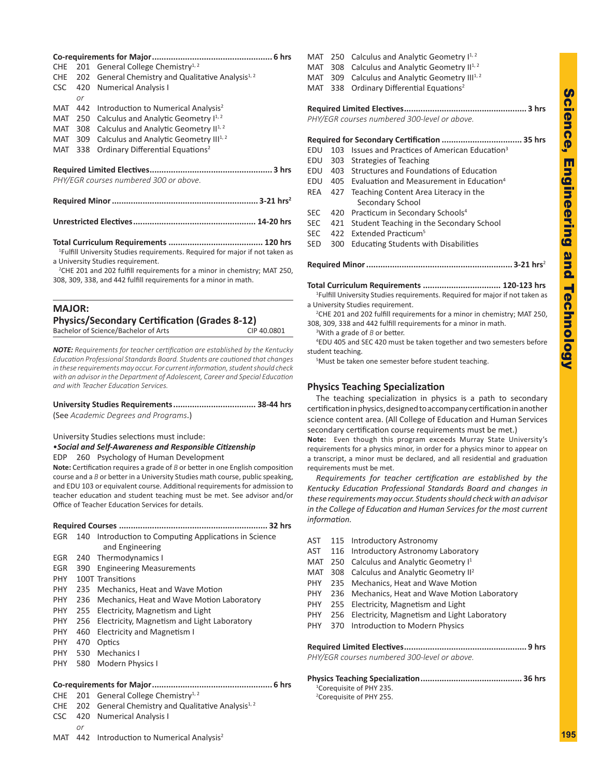| CHE        |                                        | 201 General College Chemistry <sup>1, 2</sup>                      |  |  |
|------------|----------------------------------------|--------------------------------------------------------------------|--|--|
|            |                                        | CHE 202 General Chemistry and Qualitative Analysis <sup>1, 2</sup> |  |  |
| <b>CSC</b> |                                        | 420 Numerical Analysis I                                           |  |  |
|            | or                                     |                                                                    |  |  |
| MAT        |                                        | 442 Introduction to Numerical Analysis <sup>2</sup>                |  |  |
|            |                                        | MAT 250 Calculus and Analytic Geometry $I^{1,2}$                   |  |  |
| MAT 308    |                                        | Calculus and Analytic Geometry II <sup>1, 2</sup>                  |  |  |
| MAT 309    |                                        | Calculus and Analytic Geometry III <sup>1, 2</sup>                 |  |  |
| MAT 338    |                                        | Ordinary Differential Equations <sup>2</sup>                       |  |  |
|            |                                        |                                                                    |  |  |
|            |                                        |                                                                    |  |  |
|            | PHY/EGR courses numbered 300 or above. |                                                                    |  |  |
|            |                                        |                                                                    |  |  |
|            |                                        |                                                                    |  |  |

**Unrestricted Electives.................................................... 14-20 hrs**

**Total Curriculum Requirements ........................................ 120 hrs** 1 Fulfill University Studies requirements. Required for major if not taken as a University Studies requirement.

2 CHE 201 and 202 fulfill requirements for a minor in chemistry; MAT 250, 308, 309, 338, and 442 fulfill requirements for a minor in math.

### **MAJOR: Physics/Secondary Certification (Grades 8-12)** Bachelor of Science/Bachelor of Arts CIP 40.0801

*NOTE: Requirements for teacher certification are established by the Kentucky Education Professional Standards Board. Students are cautioned that changes in these requirements may occur. For current information, student should check with an advisor in the Department of Adolescent, Career and Special Education and with Teacher Education Services.*

**University Studies Requirements................................... 38-44 hrs** (See *Academic Degrees and Programs*.)

University Studies selections must include:

•*Social and Self-Awareness and Responsible Citizenship*

EDP 260 Psychology of Human Development

**Note:** Certification requires a grade of *B* or better in one English composition course and a *B* or better in a University Studies math course, public speaking, and EDU 103 or equivalent course. Additional requirements for admission to teacher education and student teaching must be met. See advisor and/or Office of Teacher Education Services for details.

|            |     | 32 hrs                                                |
|------------|-----|-------------------------------------------------------|
| EGR        |     | 140 Introduction to Computing Applications in Science |
|            |     | and Engineering                                       |
| <b>EGR</b> | 240 | Thermodynamics I                                      |
| EGR        |     | 390 Engineering Measurements                          |
| <b>PHY</b> |     | 100T Transitions                                      |
| <b>PHY</b> |     | 235 Mechanics, Heat and Wave Motion                   |
| PHY.       |     | 236 Mechanics, Heat and Wave Motion Laboratory        |
| <b>PHY</b> |     | 255 Electricity, Magnetism and Light                  |
| <b>PHY</b> |     | 256 Electricity, Magnetism and Light Laboratory       |
| <b>PHY</b> | 460 | <b>Electricity and Magnetism I</b>                    |
| <b>PHY</b> | 470 | Optics                                                |
| <b>PHY</b> | 530 | Mechanics I                                           |
| <b>PHY</b> | 580 | Modern Physics I                                      |
|            |     |                                                       |

### **Co-requirements for Major................................................... 6 hrs**

### CHE 201 General College Chemistry<sup>1, 2</sup>

- CHE 202 General Chemistry and Qualitative Analysis<sup>1, 2</sup>
- CSC 420 Numerical Analysis I *or*
- MAT 442 Introduction to Numerical Analysis<sup>2</sup>

| MAT        | 250 | Calculus and Analytic Geometry I <sup>1, 2</sup>                          |
|------------|-----|---------------------------------------------------------------------------|
| MAT        | 308 | Calculus and Analytic Geometry II <sup>1, 2</sup>                         |
| MAT 309    |     | Calculus and Analytic Geometry III <sup>1, 2</sup>                        |
| MAT        | 338 | Ordinary Differential Equations <sup>2</sup>                              |
|            |     |                                                                           |
|            |     |                                                                           |
|            |     | PHY/EGR courses numbered 300-level or above.                              |
|            |     |                                                                           |
|            |     |                                                                           |
| EDU        | 103 | Issues and Practices of American Education <sup>3</sup>                   |
| EDU        | 303 | Strategies of Teaching                                                    |
| EDU        |     | 403 Structures and Foundations of Education                               |
| EDU        | 405 | Evaluation and Measurement in Education <sup>4</sup>                      |
| REA        | 427 | Teaching Content Area Literacy in the                                     |
|            |     | Secondary School                                                          |
| <b>SEC</b> | 420 | Practicum in Secondary Schools <sup>4</sup>                               |
| <b>SEC</b> | 421 | Student Teaching in the Secondary School                                  |
| <b>SEC</b> | 422 | Extended Practicum <sup>5</sup>                                           |
| <b>SED</b> | 300 | <b>Educating Students with Disabilities</b>                               |
|            |     |                                                                           |
|            |     | $3 - 21$ hrs <sup>2</sup><br>Required Minor <b>Section Required</b> Minor |

**Required Minor.............................................................. 3-21 hrs** 2

**Total Curriculum Requirements ................................. 120-123 hrs** 1 Fulfill University Studies requirements. Required for major if not taken as a University Studies requirement.

2 CHE 201 and 202 fulfill requirements for a minor in chemistry; MAT 250, 308, 309, 338 and 442 fulfill requirements for a minor in math.

<sup>3</sup>With a grade of B or better.

4 EDU 405 and SEC 420 must be taken together and two semesters before student teaching.

5 Must be taken one semester before student teaching.

### **Physics Teaching Specialization**

The teaching specialization in physics is a path to secondary certification in physics, designed to accompany certification in another science content area. (All College of Education and Human Services secondary certification course requirements must be met.)

**Note:** Even though this program exceeds Murray State University's requirements for a physics minor, in order for a physics minor to appear on a transcript, a minor must be declared, and all residential and graduation requirements must be met.

*Requirements for teacher certification are established by the Kentucky Education Professional Standards Board and changes in these requirements may occur. Students should check with an advisor in the College of Education and Human Services for the most current information.*

| AST                                          | 115 | <b>Introductory Astronomy</b>                  |  |  |
|----------------------------------------------|-----|------------------------------------------------|--|--|
| AST                                          | 116 | Introductory Astronomy Laboratory              |  |  |
| MAT                                          | 250 | Calculus and Analytic Geometry I <sup>1</sup>  |  |  |
| MAT                                          | 308 | Calculus and Analytic Geometry II <sup>2</sup> |  |  |
| PHY                                          | 235 | Mechanics, Heat and Wave Motion                |  |  |
| PHY                                          | 236 | Mechanics, Heat and Wave Motion Laboratory     |  |  |
| PHY.                                         | 255 | Electricity, Magnetism and Light               |  |  |
| PHY                                          | 256 | Electricity, Magnetism and Light Laboratory    |  |  |
| PHY.                                         | 370 | Introduction to Modern Physics                 |  |  |
|                                              |     |                                                |  |  |
|                                              |     |                                                |  |  |
| PHY/EGR courses numbered 300-level or above. |     |                                                |  |  |
|                                              |     |                                                |  |  |
|                                              |     |                                                |  |  |
|                                              |     | <sup>1</sup> Coreguisite of PHY 235.           |  |  |

2 Corequisite of PHY 255.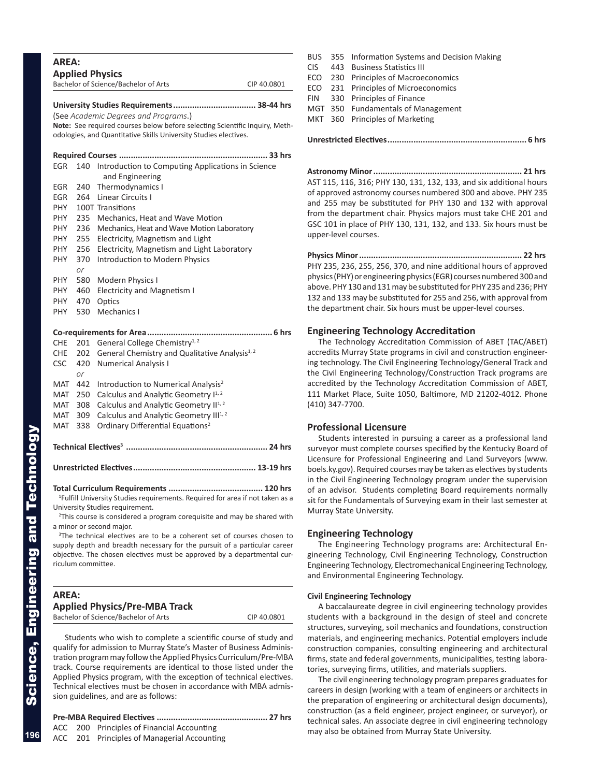| <b>AREA:</b> |           | <b>Applied Physics</b><br>Bachelor of Science/Bachelor of Arts                                                                                  | CIP 40.0801 |
|--------------|-----------|-------------------------------------------------------------------------------------------------------------------------------------------------|-------------|
|              |           |                                                                                                                                                 |             |
|              |           | (See Academic Degrees and Programs.)                                                                                                            |             |
|              |           | Note: See required courses below before selecting Scientific Inquiry, Meth-<br>odologies, and Quantitative Skills University Studies electives. |             |
|              |           |                                                                                                                                                 | 33 hrs      |
| EGR          | 140       | Introduction to Computing Applications in Science<br>and Engineering                                                                            |             |
| EGR          | 240       | Thermodynamics I                                                                                                                                |             |
| <b>EGR</b>   | 264       | <b>Linear Circuits I</b>                                                                                                                        |             |
| PHY          |           | 100T Transitions                                                                                                                                |             |
| PHY          | 235       | Mechanics, Heat and Wave Motion                                                                                                                 |             |
| <b>PHY</b>   | 236       | Mechanics, Heat and Wave Motion Laboratory                                                                                                      |             |
| <b>PHY</b>   | 255       | Electricity, Magnetism and Light                                                                                                                |             |
| PHY          | 256       | Electricity, Magnetism and Light Laboratory                                                                                                     |             |
| PHY          | 370       | Introduction to Modern Physics                                                                                                                  |             |
|              | or        |                                                                                                                                                 |             |
| PHY          | 580       | Modern Physics I                                                                                                                                |             |
| <b>PHY</b>   | 460       | <b>Electricity and Magnetism I</b>                                                                                                              |             |
| PHY.         | 470       | Optics<br>Mechanics I                                                                                                                           |             |
| PHY          | 530       |                                                                                                                                                 |             |
|              |           | Co-requirements for Area                                                                                                                        | 6 hrs       |
| <b>CHE</b>   |           | 201 General College Chemistry <sup>1, 2</sup>                                                                                                   |             |
| <b>CHE</b>   | 202       | General Chemistry and Qualitative Analysis <sup>1, 2</sup>                                                                                      |             |
| <b>CSC</b>   | 420<br>or | <b>Numerical Analysis I</b>                                                                                                                     |             |
| MAT          | 442       | Introduction to Numerical Analysis <sup>2</sup>                                                                                                 |             |
| MAT          | 250       | Calculus and Analytic Geometry I <sup>1, 2</sup>                                                                                                |             |
| MAT          | 308       | Calculus and Analytic Geometry II <sup>1, 2</sup>                                                                                               |             |
| MAT          | 309       | Calculus and Analytic Geometry III <sup>1, 2</sup>                                                                                              |             |
| MAT          | 338       | Ordinary Differential Equations <sup>2</sup>                                                                                                    |             |
|              |           |                                                                                                                                                 |             |
|              |           |                                                                                                                                                 |             |
|              |           | <sup>1</sup> Fulfill University Studies requirements. Required for area if not taken as a                                                       |             |

University Studies requirement.

<sup>2</sup>This course is considered a program corequisite and may be shared with a minor or second major.

<sup>3</sup>The technical electives are to be a coherent set of courses chosen to supply depth and breadth necessary for the pursuit of a particular career objective. The chosen electives must be approved by a departmental cur riculum committee.

| AREA:                                |             |
|--------------------------------------|-------------|
| <b>Applied Physics/Pre-MBA Track</b> |             |
| Bachelor of Science/Bachelor of Arts | CIP 40.0801 |

Students who wish to complete a scientific course of study and qualify for admission to Murray State's Master of Business Adminis tration program may follow the Applied Physics Curriculum/Pre-MBA track. Course requirements are identical to those listed under the Applied Physics program, with the exception of technical electives. Technical electives must be chosen in accordance with MBA admis sion guidelines, and are as follows:

### **Pre-MBA Required Electives ............................................... 27 hrs**

ACC 200 Principles of Financial Accounting ACC 201 Principles of Managerial Accounting BUS 355 Information Systems and Decision Making CIS 443 Business Statistics III ECO 230 Principles of Macroeconomics ECO 231 Principles of Microeconomics FIN 330 Principles of Finance MGT 350 Fundamentals of Management MKT 360 Principles of Marketing

**Unrestricted Electives........................................................... 6 hrs**

**Astronomy Minor............................................................... 21 hrs** AST 115, 116, 316; PHY 130, 131, 132, 133, and six additional hours of approved astronomy courses numbered 300 and above. PHY 235 and 255 may be substituted for PHY 130 and 132 with approval from the department chair. Physics majors must take CHE 201 and GSC 101 in place of PHY 130, 131, 132, and 133. Six hours must be upper-level courses.

**Physics Minor..................................................................... 22 hrs** PHY 235, 236, 255, 256, 370, and nine additional hours of approved physics (PHY) or engineering physics (EGR) courses numbered 300 and above. PHY 130 and 131 may be substituted for PHY 235 and 236; PHY 132 and 133 may be substituted for 255 and 256, with approval from the department chair. Six hours must be upper-level courses.

### **Engineering Technology Accreditation**

The Technology Accreditation Commission of ABET (TAC/ABET) accredits Murray State programs in civil and construction engineer ing technology. The Civil Engineering Technology/General Track and the Civil Engineering Technology/Construction Track programs are accredited by the Technology Accreditation Commission of ABET, 111 Market Place, Suite 1050, Baltimore, MD 21202-4012. Phone (410) 347-7700.

### **Professional Licensure**

Students interested in pursuing a career as a professional land surveyor must complete courses specified by the Kentucky Board of Licensure for Professional Engineering and Land Surveyors (www. boels.ky.gov). Required courses may be taken as electives by students in the Civil Engineering Technology program under the supervision of an advisor. Students completing Board requirements normally sit for the Fundamentals of Surveying exam in their last semester at Murray State University.

### **Engineering Technology**

The Engineering Technology programs are: Architectural En gineering Technology, Civil Engineering Technology, Construction Engineering Technology, Electromechanical Engineering Technology, and Environmental Engineering Technology.

### **Civil Engineering Technology**

A baccalaureate degree in civil engineering technology provides students with a background in the design of steel and concrete structures, surveying, soil mechanics and foundations, construction materials, and engineering mechanics. Potential employers include construction companies, consulting engineering and architectural firms, state and federal governments, municipalities, testing labora tories, surveying firms, utilities, and materials suppliers.

The civil engineering technology program prepares graduates for careers in design (working with a team of engineers or architects in the preparation of engineering or architectural design documents), construction (as a field engineer, project engineer, or surveyor), or technical sales. An associate degree in civil engineering technology may also be obtained from Murray State University.

**196**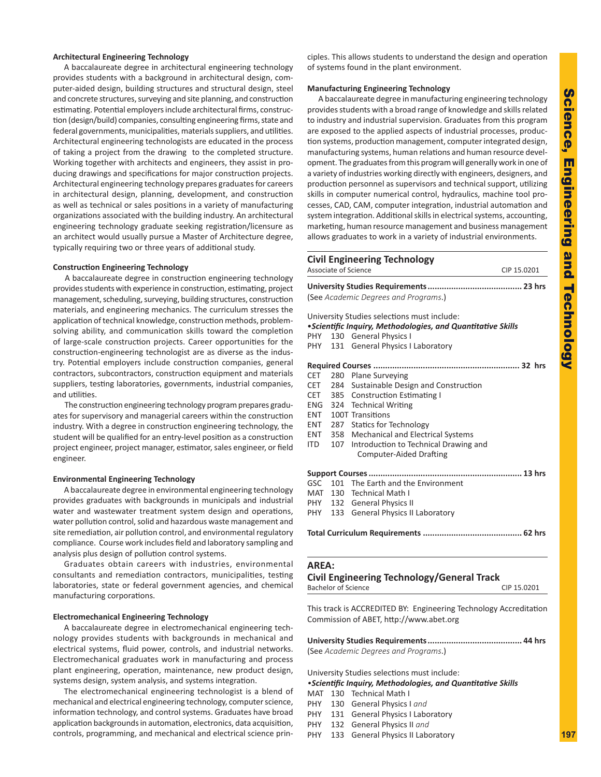### **Architectural Engineering Technology**

A baccalaureate degree in architectural engineering technology provides students with a background in architectural design, com puter-aided design, building structures and structural design, steel and concrete structures, surveying and site planning, and construction estimating. Potential employers include architectural firms, construc tion (design/build) companies, consulting engineering firms, state and federal governments, municipalities, materials suppliers, and utilities. Architectural engineering technologists are educated in the process of taking a project from the drawing to the completed structure. Working together with architects and engineers, they assist in pro ducing drawings and specifications for major construction projects. Architectural engineering technology prepares graduates for careers in architectural design, planning, development, and construction as well as technical or sales positions in a variety of manufacturing organizations associated with the building industry. An architectural engineering technology graduate seeking registration/licensure as an architect would usually pursue a Master of Architecture degree, typically requiring two or three years of additional study.

#### **Construction Engineering Technology**

A baccalaureate degree in construction engineering technology provides students with experience in construction, estimating, project management, scheduling, surveying, building structures, construction materials, and engineering mechanics. The curriculum stresses the application of technical knowledge, construction methods, problemsolving ability, and communication skills toward the completion of large-scale construction projects. Career opportunities for the construction-engineering technologist are as diverse as the indus try. Potential employers include construction companies, general contractors, subcontractors, construction equipment and materials suppliers, testing laboratories, governments, industrial companies, and utilities.

The construction engineering technology program prepares gradu ates for supervisory and managerial careers within the construction industry. With a degree in construction engineering technology, the student will be qualified for an entry-level position as a construction project engineer, project manager, estimator, sales engineer, or field engineer.

### **Environmental Engineering Technology**

A baccalaureate degree in environmental engineering technology provides graduates with backgrounds in municipals and industrial water and wastewater treatment system design and operations, water pollution control, solid and hazardous waste management and site remediation, air pollution control, and environmental regulatory compliance. Course work includes field and laboratory sampling and analysis plus design of pollution control systems.

Graduates obtain careers with industries, environmental consultants and remediation contractors, municipalities, testing laboratories, state or federal government agencies, and chemical manufacturing corporations.

#### **Electromechanical Engineering Technology**

A baccalaureate degree in electromechanical engineering tech nology provides students with backgrounds in mechanical and electrical systems, fluid power, controls, and industrial networks. Electromechanical graduates work in manufacturing and process plant engineering, operation, maintenance, new product design, systems design, system analysis, and systems integration.

The electromechanical engineering technologist is a blend of mechanical and electrical engineering technology, computer science, information technology, and control systems. Graduates have broad application backgrounds in automation, electronics, data acquisition, controls, programming, and mechanical and electrical science prin -

ciples. This allows students to understand the design and operation of systems found in the plant environment.

### **Manufacturing Engineering Technology**

A baccalaureate degree in manufacturing engineering technology provides students with a broad range of knowledge and skills related to industry and industrial supervision. Graduates from this program are exposed to the applied aspects of industrial processes, produc tion systems, production management, computer integrated design, manufacturing systems, human relations and human resource devel opment. The graduates from this program will generally work in one of a variety of industries working directly with engineers, designers, and production personnel as supervisors and technical support, utilizing skills in computer numerical control, hydraulics, machine tool pro cesses, CAD, CAM, computer integration, industrial automation and system integration. Additional skills in electrical systems, accounting, marketing, human resource management and business management allows graduates to work in a variety of industrial environments.

### **Civil Engineering Technology** Associate of Science CIP 15.0201

| (See Academic Degrees and Programs.)        |  |
|---------------------------------------------|--|
| University Studies selections must include: |  |

### •*Scientific Inquiry, Methodologies, and Quantitative Skills*

- PHY 130 General Physics I
- PHY 131 General Physics I Laboratory

|      |  | CET 280 Plane Surveying                     |  |
|------|--|---------------------------------------------|--|
|      |  | CET 284 Sustainable Design and Construction |  |
|      |  | CET 385 Construction Estimating I           |  |
|      |  | ENG 324 Technical Writing                   |  |
| ENT  |  | 100T Transitions                            |  |
| ENT  |  | 287 Statics for Technology                  |  |
| ENT  |  | 358 Mechanical and Electrical Systems       |  |
| ITD. |  | 107 Introduction to Technical Drawing and   |  |
|      |  | <b>Computer-Aided Drafting</b>              |  |
|      |  |                                             |  |
|      |  | GSC 101 The Earth and the Environment       |  |
|      |  | MAT 130 Technical Math I                    |  |
|      |  | PHY 132 General Physics II                  |  |
|      |  | PHY 133 General Physics II Laboratory       |  |
|      |  |                                             |  |

### **AREA:**

### **Civil Engineering Technology/General Track**

Bachelor of Science CIP 15.0201

This track is ACCREDITED BY: Engineering Technology Accreditation Commission of ABET, http://www.abet.org

| (See Academic Degrees and Programs.) |  |
|--------------------------------------|--|

University Studies selections must include:

### *•Scientific Inquiry, Methodologies, and Quantitative Skills*

- MAT 130 Technical Math I
- PHY 130 General Physics I *and*
- PHY 131 General Physics I Laboratory
- PHY 132 General Physics II *and*
- PHY 133 General Physics II Laboratory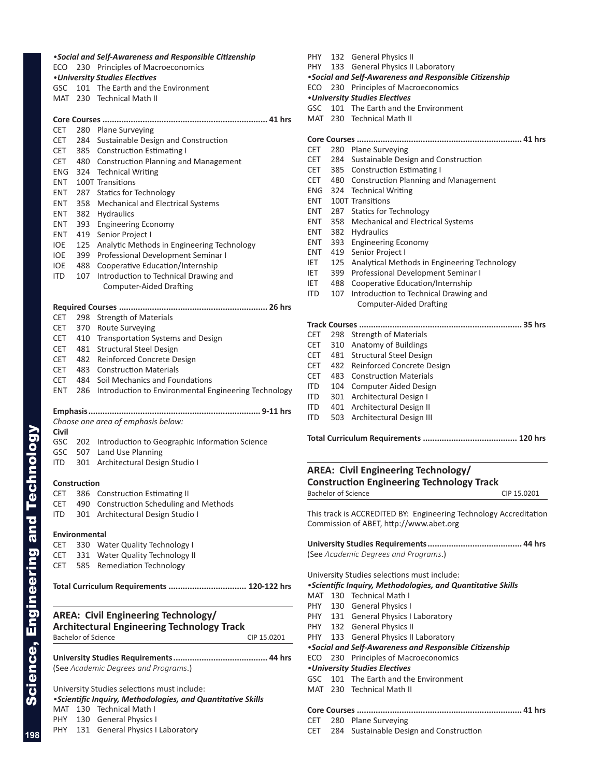*•Social and Self-Awareness and Responsible Citizenship* ECO 230 Principles of Macroeconomics *•University Studies Electives* GSC 101 The Earth and the Environment MAT 230 Technical Math II **Core Courses ...................................................................... 41 hrs** CET 280 Plane Surveying CET 284 Sustainable Design and Construction CET 385 Construction Estimating I CET 480 Construction Planning and Management ENG 324 Technical Writing ENT 100T Transitions ENT 287 Statics for Technology ENT 358 Mechanical and Electrical Systems ENT 382 Hydraulics ENT 393 Engineering Economy ENT 419 Senior Project I IOE 125 Analytic Methods in Engineering Technology IOE 399 Professional Development Seminar I IOE 488 Cooperative Education/Internship ITD 107 Introduction to Technical Drawing and Computer-Aided Drafting **Required Courses ............................................................... 26 hrs** CET 298 Strength of Materials CET 370 Route Surveying CET 410 Transportation Systems and Design CET 481 Structural Steel Design CET 482 Reinforced Concrete Design CET 483 Construction Materials CET 484 Soil Mechanics and Foundations ENT 286 Introduction to Environmental Engineering Technology **Emphasis......................................................................... 9-11 hrs** *Choose one area of emphasis below:* **Civil** GSC 202 Introduction to Geographic Information Science GSC 507 Land Use Planning ITD 301 Architectural Design Studio I **Construction** CET 386 Construction Estimating II CET 490 Construction Scheduling and Methods ITD 301 Architectural Design Studio I **Environmental** CET 330 Water Quality Technology I CET 331 Water Quality Technology II CET 585 Remediation Technology **Total Curriculum Requirements ................................. 120-122 hrs AREA: Civil Engineering Technology/ Architectural Engineering Technology Track** Bachelor of Science CIP 15.0201 **University Studies Requirements........................................ 44 hrs** (See *Academic Degrees and Programs*.) University Studies selections must include: *•Scientific Inquiry, Methodologies, and Quantitative Skills* MAT 130 Technical Math I PHY 130 General Physics I

ECO 230 Principles of Macroeconomics *•University Studies Electives* GSC 101 The Earth and the Environment MAT 230 Technical Math II **Core Courses ...................................................................... 41 hrs** CET 280 Plane Surveying CET 284 Sustainable Design and Construction CET 385 Construction Estimating I CET 480 Construction Planning and Management ENG 324 Technical Writing ENT 100T Transitions ENT 287 Statics for Technology ENT 358 Mechanical and Electrical Systems ENT 382 Hydraulics<br>ENT 393 Engineerin Engineering Economy ENT 419 Senior Project I IET 125 Analytical Methods in Engineering Technology IET 399 Professional Development Seminar I IET 488 Cooperative Education/Internship ITD 107 Introduction to Technical Drawing and Computer-Aided Drafting **Track Courses ..................................................................... 35 hrs** CET 298 Strength of Materials CET 310 Anatomy of Buildings CET 481 Structural Steel Design CET 482 Reinforced Concrete Design CET 483 Construction Materials ITD 104 Computer Aided Design

PHY 132 General Physics II

PHY 133 General Physics II Laboratory

*•Social and Self-Awareness and Responsible Citizenship*

ITD 301 Architectural Design I ITD 401 Architectural Design II ITD 503 Architectural Design III

**Total Curriculum Requirements ........................................ 120 hrs**

### **AREA: Civil Engineering Technology/ Construction Engineering Technology Track**  Bachelor of Science CIP 15.0201

This track is ACCREDITED BY: Engineering Technology Accreditation Commission of ABET, http://www.abet.org

| (See Academic Degrees and Programs.) |  |
|--------------------------------------|--|

University Studies selections must include:

### *•Scientific Inquiry, Methodologies, and Quantitative Skills*

- MAT 130 Technical Math I PHY 130 General Physics I
- PHY 131 General Physics I Laboratory
- PHY 132 General Physics II
- 
- PHY 133 General Physics II Laboratory

*•Social and Self-Awareness and Responsible Citizenship*

### ECO 230 Principles of Macroeconomics *•University Studies Electives*

- 
- GSC 101 The Earth and the Environment
- MAT 230 Technical Math II

### **Core Courses ...................................................................... 41 hrs**

- CET 280 Plane Surveying
- CET 284 Sustainable Design and Construction

Science, Engineering and Technology **198**

Science, Engineering and Technology

PHY 131 General Physics I Laboratory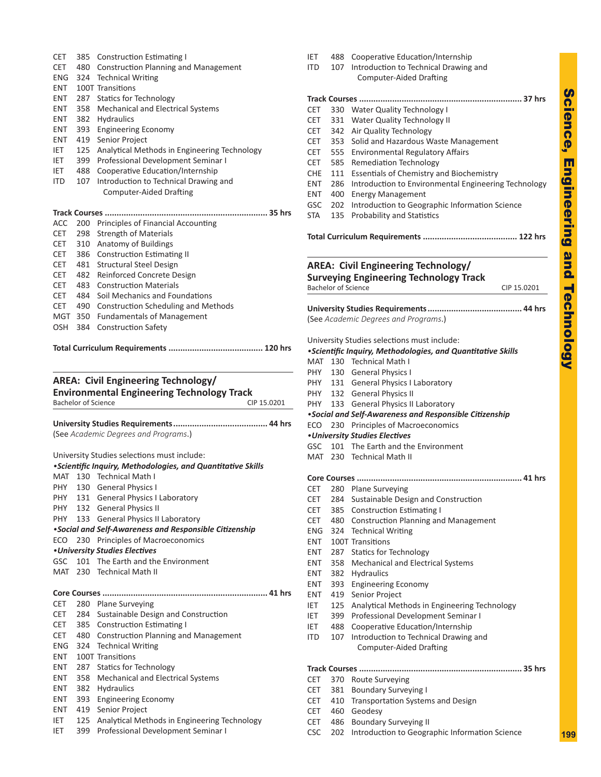| <b>CET</b>                | 385        | <b>Construction Estimating I</b>                                                                            |
|---------------------------|------------|-------------------------------------------------------------------------------------------------------------|
| <b>CET</b>                | 480        | <b>Construction Planning and Management</b>                                                                 |
| <b>ENG</b><br>ENT.        | 324        | <b>Technical Writing</b><br>100T Transitions                                                                |
| <b>ENT</b>                |            | 287 Statics for Technology                                                                                  |
| <b>ENT</b>                | 358        | <b>Mechanical and Electrical Systems</b>                                                                    |
| <b>ENT</b>                | 382        | Hydraulics                                                                                                  |
| ENT                       | 393        | <b>Engineering Economy</b>                                                                                  |
| <b>ENT</b>                | 419        | Senior Project                                                                                              |
| IET.                      | 125        | Analytical Methods in Engineering Technology                                                                |
| IET                       | 399        | Professional Development Seminar I                                                                          |
| IET                       | 488        | Cooperative Education/Internship                                                                            |
| ITD.                      | 107        | Introduction to Technical Drawing and<br><b>Computer-Aided Drafting</b>                                     |
|                           |            |                                                                                                             |
|                           |            | Track Courses<br>35 hrs                                                                                     |
| ACC                       | 200        | Principles of Financial Accounting                                                                          |
| CET.                      | 298        | <b>Strength of Materials</b>                                                                                |
| <b>CET</b>                |            | 310 Anatomy of Buildings                                                                                    |
| CET                       | 386        | <b>Construction Estimating II</b>                                                                           |
| CET                       | 481        | <b>Structural Steel Design</b>                                                                              |
| CET                       | 482        | Reinforced Concrete Design                                                                                  |
| <b>CET</b><br>CET         | 483<br>484 | <b>Construction Materials</b><br>Soil Mechanics and Foundations                                             |
| CET                       | 490        | <b>Construction Scheduling and Methods</b>                                                                  |
| MGT                       | 350        | <b>Fundamentals of Management</b>                                                                           |
| OSH                       | 384        | <b>Construction Safety</b>                                                                                  |
|                           |            | <b>Bachelor of Science</b><br>CIP 15.0201                                                                   |
|                           |            | (See Academic Degrees and Programs.)                                                                        |
|                           |            |                                                                                                             |
|                           |            | University Studies selections must include:<br>• Scientific Inquiry, Methodologies, and Quantitative Skills |
| MAT                       |            | 130 Technical Math I                                                                                        |
| PHY                       |            | 130 General Physics I                                                                                       |
| PHY.                      | 131        | <b>General Physics I Laboratory</b>                                                                         |
| PHY.                      |            | 132 General Physics II                                                                                      |
| PHY.                      |            | 133 General Physics II Laboratory                                                                           |
|                           |            | •Social and Self-Awareness and Responsible Citizenship                                                      |
| ECO                       |            | 230 Principles of Macroeconomics                                                                            |
| GSC                       |            | •University Studies Electives<br>101 The Earth and the Environment                                          |
| MAT                       | 230        | <b>Technical Math II</b>                                                                                    |
|                           |            |                                                                                                             |
|                           |            |                                                                                                             |
| <b>CET</b>                |            | 280 Plane Surveying                                                                                         |
| <b>CET</b>                | 284        | Sustainable Design and Construction                                                                         |
|                           |            | 385 Construction Estimating I                                                                               |
| CET<br>CET                |            | 480 Construction Planning and Management                                                                    |
|                           |            | 324 Technical Writing                                                                                       |
| ENG<br>ENT                |            | 100T Transitions                                                                                            |
| <b>ENT</b>                | 287        | <b>Statics for Technology</b>                                                                               |
| <b>ENT</b>                | 358        | Mechanical and Electrical Systems                                                                           |
|                           | 382        | Hydraulics                                                                                                  |
|                           | 393<br>419 | <b>Engineering Economy</b><br>Senior Project                                                                |
| ENT<br>ENT<br>ENT<br>IET. | 125        | Analytical Methods in Engineering Technology                                                                |

| ITD        |                            | 107 Introduction to Technical Drawing and<br><b>Computer-Aided Drafting</b>                                |
|------------|----------------------------|------------------------------------------------------------------------------------------------------------|
|            |                            |                                                                                                            |
|            |                            | 37 hrs<br>Track Courses                                                                                    |
| CET        | 330                        | Water Quality Technology I                                                                                 |
| CET        | 331                        | Water Quality Technology II                                                                                |
| CET.       | 342                        | Air Quality Technology                                                                                     |
| CET        | 353                        | Solid and Hazardous Waste Management                                                                       |
| CET        | 555                        | <b>Environmental Regulatory Affairs</b>                                                                    |
| CET        | 585                        | <b>Remediation Technology</b>                                                                              |
| CHE        | 111                        | <b>Essentials of Chemistry and Biochemistry</b>                                                            |
| ENT        | 286                        | Introduction to Environmental Engineering Technology                                                       |
| ENT.       | 400                        | <b>Energy Management</b>                                                                                   |
| GSC        | 202                        | Introduction to Geographic Information Science                                                             |
| STA        | 135                        | Probability and Statistics                                                                                 |
|            |                            |                                                                                                            |
|            | <b>Bachelor of Science</b> | <b>AREA: Civil Engineering Technology/</b><br><b>Surveying Engineering Technology Track</b><br>CIP 15.0201 |
|            |                            |                                                                                                            |
|            |                            | (See Academic Degrees and Programs.)                                                                       |
|            |                            | University Studies selections must include:                                                                |
|            |                            | • Scientific Inquiry, Methodologies, and Quantitative Skills                                               |
|            |                            | MAT 130 Technical Math I                                                                                   |
|            |                            | PHY 130 General Physics I                                                                                  |
|            |                            | PHY 131 General Physics I Laboratory                                                                       |
|            |                            | PHY 132 General Physics II                                                                                 |
|            |                            | PHY 133 General Physics II Laboratory                                                                      |
|            |                            | . Social and Self-Awareness and Responsible Citizenship                                                    |
| ECO        | 230                        | Principles of Macroeconomics                                                                               |
|            |                            | • University Studies Electives                                                                             |
| GSC        | 101                        | The Earth and the Environment                                                                              |
| MAT        | 230                        | Technical Math II                                                                                          |
|            |                            | Core Courses                                                                                               |
| CET        | 280                        | Plane Surveying                                                                                            |
| CET        | 284                        | Sustainable Design and Construction                                                                        |
| CET        | 385                        | <b>Construction Estimating I</b>                                                                           |
| CET        | 480                        | Construction Planning and Management                                                                       |
| <b>ENG</b> | 324                        | <b>Technical Writing</b>                                                                                   |
| <b>ENT</b> |                            | 100T Transitions                                                                                           |
| ENT        | 287                        | <b>Statics for Technology</b>                                                                              |
| ENT        | 358                        | Mechanical and Electrical Systems                                                                          |
| ENT        | 382                        | Hydraulics                                                                                                 |
| ENT        | 393                        | <b>Engineering Economy</b>                                                                                 |
| ENT        | 419                        | Senior Project                                                                                             |
| IET        | 125                        | Analytical Methods in Engineering Technology                                                               |
| IET        | 399                        | Professional Development Seminar I                                                                         |
| IET        | 488                        | Cooperative Education/Internship                                                                           |
| ITD        | 107                        | Introduction to Technical Drawing and                                                                      |
|            |                            | <b>Computer-Aided Drafting</b>                                                                             |
|            |                            |                                                                                                            |
| CET        | 370                        | <b>Route Surveying</b>                                                                                     |
| CET        | 381                        | <b>Boundary Surveying I</b>                                                                                |
| CET        | 410                        | Transportation Systems and Design                                                                          |
| CET        | 460                        | Geodesy                                                                                                    |
| CET        | 486                        | <b>Boundary Surveying II</b>                                                                               |
| <b>CSC</b> | 202                        | Introduction to Geographic Information Science                                                             |

488 Cooperative Education/Internship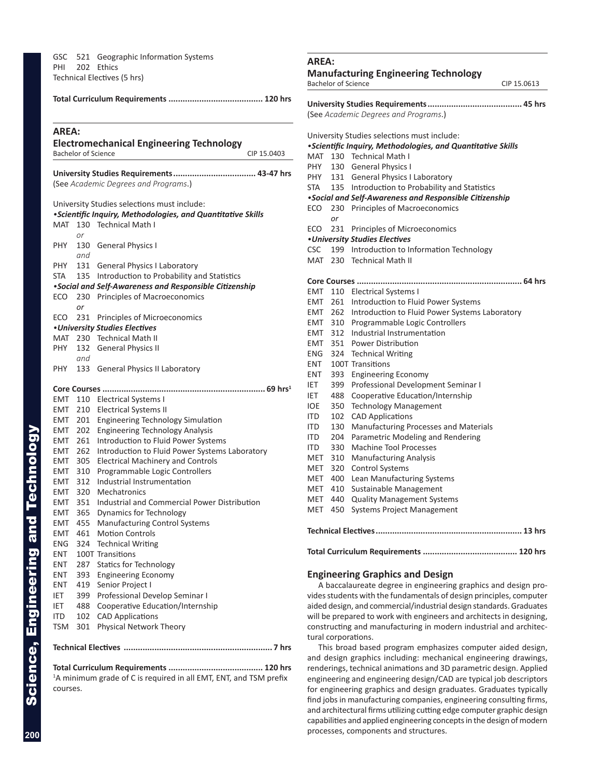GSC 521 Geographic Information Systems PHI 202 Ethics Technical Electives (5 hrs)

### **Total Curriculum Requirements ........................................ 120 hrs AREA: Electromechanical Engineering Technology** Bachelor of Science CIP 15.0403 **University Studies Requirements................................... 43-47 hrs** (See *Academic Degrees and Programs*.) University Studies selections must include: *•Scientific Inquiry, Methodologies, and Quantitative Skills* MAT 130 Technical Math I *or* PHY 130 General Physics I *and* PHY 131 General Physics I Laboratory STA 135 Introduction to Probability and Statistics *•Social and Self-Awareness and Responsible Citizenship* ECO 230 Principles of Macroeconomics *or* ECO 231 Principles of Microeconomics *•University Studies Electives* MAT 230 Technical Math II PHY 132 General Physics II *and* PHY 133 General Physics II Laboratory **Core Courses ..................................................................... 69 hrs 1** EMT 110 Electrical Systems I EMT 210 Electrical Systems II EMT 201 Engineering Technology Simulation EMT 202 Engineering Technology Analysis EMT 261 Introduction to Fluid Power Systems EMT 262 Introduction to Fluid Power Systems Laboratory EMT 305 Electrical Machinery and Controls EMT 310 Programmable Logic Controllers EMT 312 Industrial Instrumentation EMT 320 Mechatronics EMT 351 Industrial and Commercial Power Distribution EMT 365 Dynamics for Technology EMT 455 Manufacturing Control Systems

EMT 461 Motion Controls ENG 324 Technical Writing ENT 100T Transitions ENT 287 Statics for Technology ENT 393 Engineering Economy ENT 419 Senior Project I IET 399 Professional Develop Seminar I IET 488 Cooperative Education/Internship ITD 102 CAD Applications TSM 301 Physical Network Theory

**Technical Electives ............................................................... 7 hrs**

**Total Curriculum Requirements ........................................ 120 hrs** <sup>1</sup>A minimum grade of C is required in all EMT, ENT, and TSM prefix courses.

### **AREA: Manufacturing Engineering Technology** Bachelor of Science CIP 15.0613 **University Studies Requirements........................................ 45 hrs** (See *Academic Degrees and Programs*.) University Studies selections must include: *•Scientific Inquiry, Methodologies, and Quantitative Skills* MAT 130 Technical Math I PHY 130 General Physics I PHY 131 General Physics I Laboratory STA 135 Introduction to Probability and Statistics *•Social and Self-Awareness and Responsible Citizenship* ECO 230 Principles of Macroeconomics *or* ECO 231 Principles of Microeconomics *•University Studies Electives* CSC 199 Introduction to Information Technology MAT 230 Technical Math II **Core Courses ...................................................................... 64 hrs** EMT 110 Electrical Systems I EMT 261 Introduction to Fluid Power Systems EMT 262 Introduction to Fluid Power Systems Laboratory EMT 310 Programmable Logic Controllers EMT 312 Industrial Instrumentation EMT 351 Power Distribution ENG 324 Technical Writing ENT 100T Transitions ENT 393 Engineering Economy IET 399 Professional Development Seminar I IET 488 Cooperative Education/Internship IOE 350 Technology Management ITD 102 CAD Applications ITD 130 Manufacturing Processes and Materials ITD 204 Parametric Modeling and Rendering ITD 330 Machine Tool Processes MET 310 Manufacturing Analysis MET 320 Control Systems MET 400 Lean Manufacturing Systems MET 410 Sustainable Management MET 440 Quality Management Systems MET 450 Systems Project Management **Technical Electives.............................................................. 13 hrs Total Curriculum Requirements ........................................ 120 hrs**

# **Engineering Graphics and Design**

A baccalaureate degree in engineering graphics and design pro vides students with the fundamentals of design principles, computer aided design, and commercial/industrial design standards. Graduates will be prepared to work with engineers and architects in designing, constructing and manufacturing in modern industrial and architec tural corporations.

This broad based program emphasizes computer aided design, and design graphics including: mechanical engineering drawings, renderings, technical animations and 3D parametric design. Applied engineering and engineering design/CAD are typical job descriptors for engineering graphics and design graduates. Graduates typically find jobs in manufacturing companies, engineering consulting firms, and architectural firms utilizing cutting edge computer graphic design capabilities and applied engineering concepts in the design of modern processes, components and structures.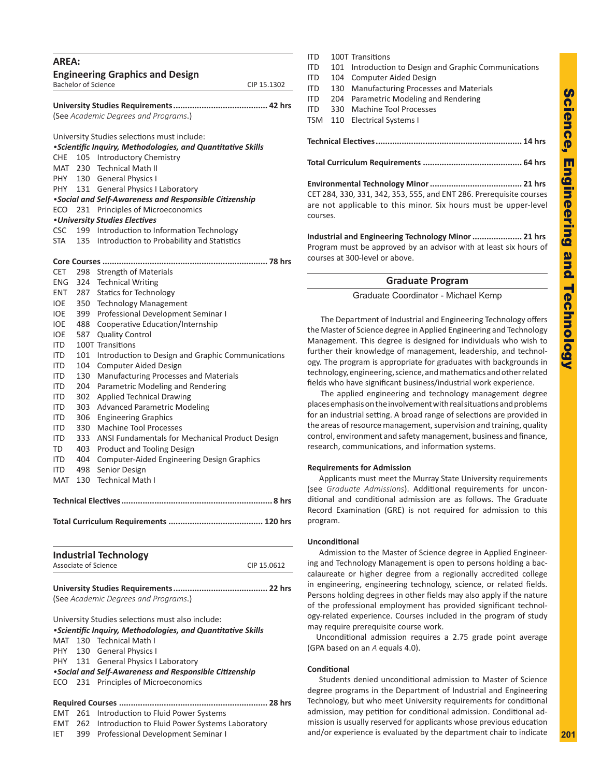| AREA:        |            |                                                                                            |             |
|--------------|------------|--------------------------------------------------------------------------------------------|-------------|
|              |            | <b>Engineering Graphics and Design</b>                                                     |             |
|              |            | <b>Bachelor of Science</b>                                                                 | CIP 15.1302 |
|              |            |                                                                                            |             |
|              |            | (See Academic Degrees and Programs.)                                                       |             |
|              |            |                                                                                            |             |
|              |            | University Studies selections must include:                                                |             |
|              |            | • Scientific Inquiry, Methodologies, and Quantitative Skills                               |             |
| CHE          |            | 105 Introductory Chemistry                                                                 |             |
| MAT          |            | 230 Technical Math II                                                                      |             |
| PHY          |            | 130 General Physics I                                                                      |             |
| PHY.         |            | 131 General Physics I Laboratory<br>•Social and Self-Awareness and Responsible Citizenship |             |
| ECO          | 231        | Principles of Microeconomics                                                               |             |
|              |            | • University Studies Electives                                                             |             |
| <b>CSC</b>   |            | 199 Introduction to Information Technology                                                 |             |
| <b>STA</b>   | 135        | Introduction to Probability and Statistics                                                 |             |
|              |            |                                                                                            |             |
|              |            | Core Courses                                                                               |             |
| CET          | 298        | <b>Strength of Materials</b>                                                               |             |
| ENG<br>ENT   | 287        | 324 Technical Writing<br><b>Statics for Technology</b>                                     |             |
| IOE          | 350        | <b>Technology Management</b>                                                               |             |
| IOE          | 399        | Professional Development Seminar I                                                         |             |
| IOE          | 488        | Cooperative Education/Internship                                                           |             |
| IOE          | 587        | <b>Quality Control</b>                                                                     |             |
| ITD          |            | 100T Transitions                                                                           |             |
| ITD.         | 101        | Introduction to Design and Graphic Communications                                          |             |
| ITD.         | 104        | Computer Aided Design                                                                      |             |
| ITD.         | 130        | Manufacturing Processes and Materials                                                      |             |
| ITD.         | 204        | Parametric Modeling and Rendering                                                          |             |
| ITD.<br>ITD. | 302<br>303 | <b>Applied Technical Drawing</b><br><b>Advanced Parametric Modeling</b>                    |             |
| ITD.         | 306        | <b>Engineering Graphics</b>                                                                |             |
| ITD.         | 330        | <b>Machine Tool Processes</b>                                                              |             |
| ITD.         | 333        | ANSI Fundamentals for Mechanical Product Design                                            |             |
| TD           | 403        | Product and Tooling Design                                                                 |             |
| ITD.         | 404        | <b>Computer-Aided Engineering Design Graphics</b>                                          |             |
| ITD.         | 498        | Senior Design                                                                              |             |
| MAT          |            | 130 Technical Math I                                                                       |             |
|              |            |                                                                                            |             |
|              |            |                                                                                            |             |
|              |            |                                                                                            |             |
|              |            |                                                                                            |             |
|              |            |                                                                                            |             |
|              |            | <b>Industrial Technology</b><br>Associate of Science                                       | CIP 15.0612 |
|              |            |                                                                                            |             |
|              |            |                                                                                            |             |
|              |            | (See Academic Degrees and Programs.)                                                       |             |
|              |            |                                                                                            |             |
|              |            | University Studies selections must also include:                                           |             |
|              |            | • Scientific Inquiry, Methodologies, and Quantitative Skills                               |             |
| MAT          |            | 130 Technical Math I                                                                       |             |
| <b>PHY</b>   |            | 130 General Physics I                                                                      |             |
| <b>PHY</b>   | 131        | <b>General Physics I Laboratory</b>                                                        |             |
| ECO          | 231        | •Social and Self-Awareness and Responsible Citizenship<br>Principles of Microeconomics     |             |
|              |            |                                                                                            |             |
|              |            |                                                                                            |             |

|  | <b>EMT</b> 261 Introduction to Fluid Power Systems     |
|--|--------------------------------------------------------|
|  | EMT 262 Introduction to Fluid Power Systems Laboratory |

IET 399 Professional Development Seminar I

ITD 100T Transitions ITD 101 Introduction to Design and Graphic Communications ITD 104 Computer Aided Design ITD 130 Manufacturing Processes and Materials ITD 204 Parametric Modeling and Rendering ITD 330 Machine Tool Processes TSM 110 Electrical Systems I

**Technical Electives.............................................................. 14 hrs**

**Total Curriculum Requirements .......................................... 64 hrs**

**Environmental Technology Minor....................................... 21 hrs** CET 284, 330, 331, 342, 353, 555, and ENT 286. Prerequisite courses are not applicable to this minor. Six hours must be upper-level courses.

**Industrial and Engineering Technology Minor..................... 21 hrs** Program must be approved by an advisor with at least six hours of courses at 300-level or above.

### **Graduate Program**

Graduate Coordinator - Michael Kemp

The Department of Industrial and Engineering Technology offers the Master of Science degree in Applied Engineering and Technology Management. This degree is designed for individuals who wish to further their knowledge of management, leadership, and technology. The program is appropriate for graduates with backgrounds in technology, engineering, science, and mathematics and other related fields who have significant business/industrial work experience.

The applied engineering and technology management degree places emphasis on the involvement with real situations and problems for an industrial setting. A broad range of selections are provided in the areas of resource management, supervision and training, quality control, environment and safety management, business and finance, research, communications, and information systems.

### **Requirements for Admission**

Applicants must meet the Murray State University requirements (see *Graduate Admissions*). Additional requirements for uncon ditional and conditional admission are as follows. The Graduate Record Examination (GRE) is not required for admission to this program.

### **Unconditional**

Admission to the Master of Science degree in Applied Engineer ing and Technology Management is open to persons holding a bac calaureate or higher degree from a regionally accredited college in engineering, engineering technology, science, or related fields. Persons holding degrees in other fields may also apply if the nature of the professional employment has provided significant technol ogy-related experience. Courses included in the program of study may require prerequisite course work.

Unconditional admission requires a 2.75 grade point average (GPA based on an *A* equals 4.0).

### **Conditional**

Students denied unconditional admission to Master of Science degree programs in the Department of Industrial and Engineering Technology, but who meet University requirements for conditional admission, may petition for conditional admission. Conditional ad mission is usually reserved for applicants whose previous education and/or experience is evaluated by the department chair to indicate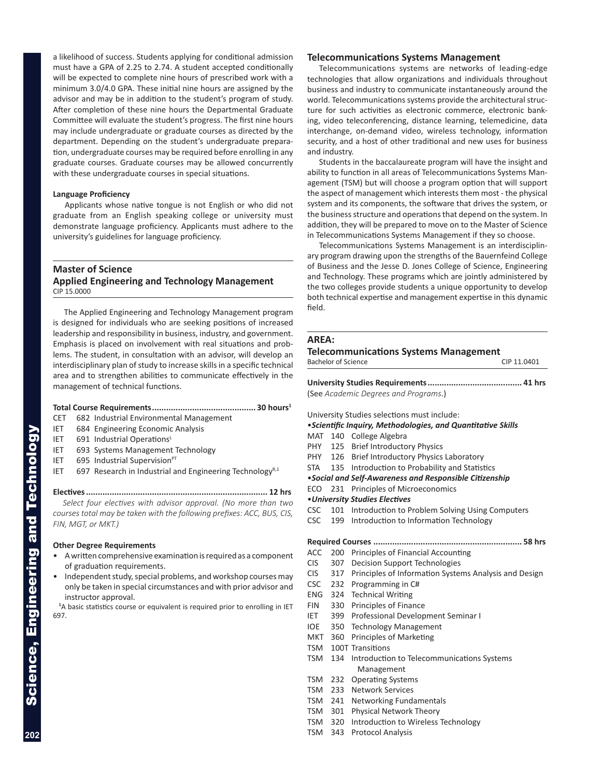a likelihood of success. Students applying for conditional admission must have a GPA of 2.25 to 2.74. A student accepted conditionally will be expected to complete nine hours of prescribed work with a minimum 3.0/4.0 GPA. These initial nine hours are assigned by the advisor and may be in addition to the student's program of study. After completion of these nine hours the Departmental Graduate Committee will evaluate the student's progress. The first nine hours may include undergraduate or graduate courses as directed by the department. Depending on the student's undergraduate prepara tion, undergraduate courses may be required before enrolling in any graduate courses. Graduate courses may be allowed concurrently with these undergraduate courses in special situations.

### **Language Proficiency**

Applicants whose native tongue is not English or who did not graduate from an English speaking college or university must demonstrate language proficiency. Applicants must adhere to the university's guidelines for language proficiency.

### **Master of Science Applied Engineering and Technology Management** CIP 15.0000

The Applied Engineering and Technology Management program is designed for individuals who are seeking positions of increased leadership and responsibility in business, industry, and government. Emphasis is placed on involvement with real situations and prob lems. The student, in consultation with an advisor, will develop an interdisciplinary plan of study to increase skills in a specific technical area and to strengthen abilities to communicate effectively in the management of technical functions.

### **Total Course Requirements............................................ 30 hours 1**

- CET 682 Industrial Environmental Management
- IET 684 Engineering Economic Analysis
- IET 691 Industrial OperationsL
- IET 693 Systems Management Technology
- IET  $695$  Industrial Supervision $PT$
- IET  $697$  Research in Industrial and Engineering Technology<sup>R,1</sup>

#### **Electives............................................................................. 12 hrs**

 *Select four electives with advisor approval. (No more than two courses total may be taken with the following prefixes: ACC, BUS, CIS, FIN, MGT, or MKT.)*

### **Other Degree Requirements**

- A written comprehensive examination is required as a component of graduation requirements.
- Independent study, special problems, and workshop courses may only be taken in special circumstances and with prior advisor and instructor approval.

**1** A basic statistics course or equivalent is required prior to enrolling in IET 697.

### **Telecommunications Systems Management**

Telecommunications systems are networks of leading-edge technologies that allow organizations and individuals throughout business and industry to communicate instantaneously around the world. Telecommunications systems provide the architectural struc ture for such activities as electronic commerce, electronic bank ing, video teleconferencing, distance learning, telemedicine, data interchange, on-demand video, wireless technology, information security, and a host of other traditional and new uses for business and industry.

Students in the baccalaureate program will have the insight and ability to function in all areas of Telecommunications Systems Man agement (TSM) but will choose a program option that will support the aspect of management which interests them most - the physical system and its components, the software that drives the system, or the business structure and operations that depend on the system. In addition, they will be prepared to move on to the Master of Science in Telecommunications Systems Management if they so choose.

Telecommunications Systems Management is an interdisciplin ary program drawing upon the strengths of the Bauernfeind College of Business and the Jesse D. Jones College of Science, Engineering and Technology. These programs which are jointly administered by the two colleges provide students a unique opportunity to develop both technical expertise and management expertise in this dynamic field.

### **AREA:**

#### **Telecommunications Systems Management**

| Bachelor of Science | CIP 11.0401 |
|---------------------|-------------|
|                     |             |

**University Studies Requirements........................................ 41 hrs** (See *Academic Degrees and Programs*.)

University Studies selections must include:

### •*Scientific Inquiry, Methodologies, and Quantitative Skills* MAT 140 College Algebra

- PHY 125 Brief Introductory Physics
- PHY 126 Brief Introductory Physics Laboratory
- 
- STA 135 Introduction to Probability and Statistics •*Social and Self-Awareness and Responsible Citizenship*
- ECO 231 Principles of Microeconomics
- •*University Studies Electives*
- CSC 101 Introduction to Problem Solving Using Computers
- CSC 199 Introduction to Information Technology

#### **Required Courses ............................................................... 58 hrs**

- ACC 200 Principles of Financial Accounting
- CIS 307 Decision Support Technologies
- CIS 317 Principles of Information Systems Analysis and Design
- CSC 232 Programming in C#
- ENG 324 Technical Writing
- FIN 330 Principles of Finance
- IET 399 Professional Development Seminar I
- IOE 350 Technology Management
- MKT 360 Principles of Marketing
- TSM 100T Transitions
- TSM 134 Introduction to Telecommunications Systems Management
- TSM 232 Operating Systems
- TSM 233 Network Services
- TSM 241 Networking Fundamentals
- TSM 301 Physical Network Theory
- TSM 320 Introduction to Wireless Technology
- TSM 343 Protocol Analysis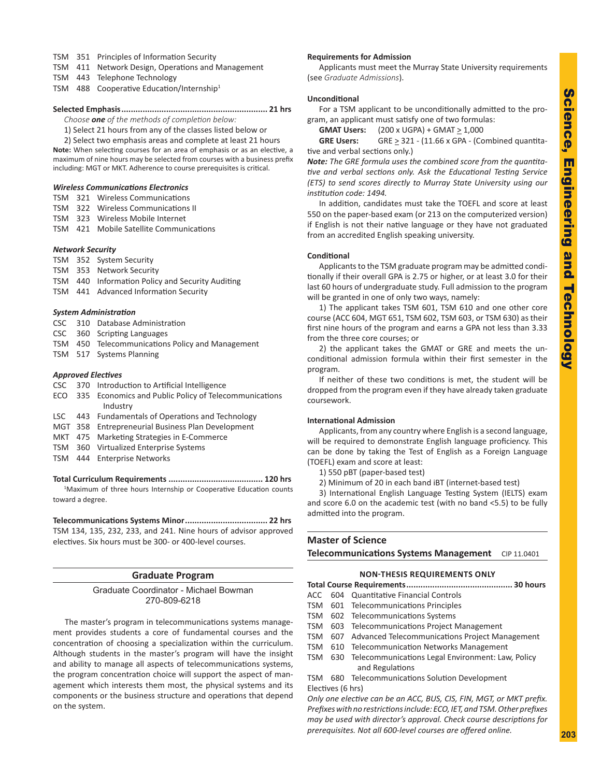- TSM 351 Principles of Information Security
- TSM 411 Network Design, Operations and Management
- TSM 443 Telephone Technology
- TSM 488 Cooperative Education/Internship<sup>1</sup>

#### **Selected Emphasis.............................................................. 21 hrs**

*Choose one of the methods of completion below:*

1) Select 21 hours from any of the classes listed below or

2) Select two emphasis areas and complete at least 21 hours **Note:** When selecting courses for an area of emphasis or as an elective, a

maximum of nine hours may be selected from courses with a business prefix including: MGT or MKT. Adherence to course prerequisites is critical.

### *Wireless Communications Electronics*

- TSM 321 Wireless Communications
- TSM 322 Wireless Communications II
- TSM 323 Wireless Mobile Internet
- TSM 421 Mobile Satellite Communications

#### *Network Security*

- TSM 352 System Security
- TSM 353 Network Security
- TSM 440 Information Policy and Security Auditing
- TSM 441 Advanced Information Security

#### *System Administration*

- CSC 310 Database Administration
- CSC 360 Scripting Languages
- TSM 450 Telecommunications Policy and Management
- TSM 517 Systems Planning

### *Approved Electives*

- CSC 370 Introduction to Artificial Intelligence
- ECO 335 Economics and Public Policy of Telecommunications Industry
- LSC 443 Fundamentals of Operations and Technology
- MGT 358 Entrepreneurial Business Plan Development
- MKT 475 Marketing Strategies in E-Commerce
- TSM 360 Virtualized Enterprise Systems
- TSM 444 Enterprise Networks

#### **Total Curriculum Requirements ........................................ 120 hrs**

<sup>1</sup>Maximum of three hours Internship or Cooperative Education counts toward a degree.

### **Telecommunications Systems Minor................................... 22 hrs**

TSM 134, 135, 232, 233, and 241. Nine hours of advisor approved electives. Six hours must be 300- or 400-level courses.

### **Graduate Program**

### Graduate Coordinator - Michael Bowman 270-809-6218

The master's program in telecommunications systems manage ment provides students a core of fundamental courses and the concentration of choosing a specialization within the curriculum. Although students in the master's program will have the insight and ability to manage all aspects of telecommunications systems, the program concentration choice will support the aspect of man agement which interests them most, the physical systems and its components or the business structure and operations that depend on the system.

### **Requirements for Admission**

Applicants must meet the Murray State University requirements (see *Graduate Admissions*).

### **Unconditional**

For a TSM applicant to be unconditionally admitted to the pro gram, an applicant must satisfy one of two formulas:

**GMAT Users:** (200 x UGPA) + GMAT  $\geq 1,000$ 

**GRE Users:** GRE  $\geq$  321 - (11.66 x GPA - (Combined quantitative and verbal sections only.)

*Note: The GRE formula uses the combined score from the quantita tive and verbal sections only. Ask the Educational Testing Service (ETS) to send scores directly to Murray State University using our institution code: 1494.*

In addition, candidates must take the TOEFL and score at least 550 on the paper-based exam (or 213 on the computerized version) if English is not their native language or they have not graduated from an accredited English speaking university.

### **Conditional**

Applicants to the TSM graduate program may be admitted condi tionally if their overall GPA is 2.75 or higher, or at least 3.0 for their last 60 hours of undergraduate study. Full admission to the program will be granted in one of only two ways, namely:

1) The applicant takes TSM 601, TSM 610 and one other core course (ACC 604, MGT 651, TSM 602, TSM 603, or TSM 630) as their first nine hours of the program and earns a GPA not less than 3.33 from the three core courses; or

2) the applicant takes the GMAT or GRE and meets the unconditional admission formula within their first semester in the program.

If neither of these two conditions is met, the student will be dropped from the program even if they have already taken graduate coursework.

### **International Admission**

Applicants, from any country where English is a second language, will be required to demonstrate English language proficiency. This can be done by taking the Test of English as a Foreign Language (TOEFL) exam and score at least:

1) 550 pBT (paper-based test)

2) Minimum of 20 in each band iBT (internet-based test)

3) International English Language Testing System (IELTS) exam and score 6.0 on the academic test (with no band <5.5) to be fully admitted into the program.

### **Master of Science Telecommunications Systems Management** CIP 11.0401

### **NON-THESIS REQUIREMENTS ONLY**

|--|--|

- ACC 604 Quantitative Financial Controls
- TSM 601 Telecommunications Principles
- TSM 602 Telecommunications Systems
- TSM 603 Telecommunications Project Management
- TSM 607 Advanced Telecommunications Project Management
- TSM 610 Telecommunication Networks Management
- TSM 630 Telecommunications Legal Environment: Law, Policy and Regulations

TSM 680 Telecommunications Solution Development Electives (6 hrs)

*Only one elective can be an ACC, BUS, CIS, FIN, MGT, or MKT prefix. Prefixes with no restrictions include: ECO, IET, and TSM. Other prefixes may be used with director's approval. Check course descriptions for prerequisites. Not all 600-level courses are offered online.*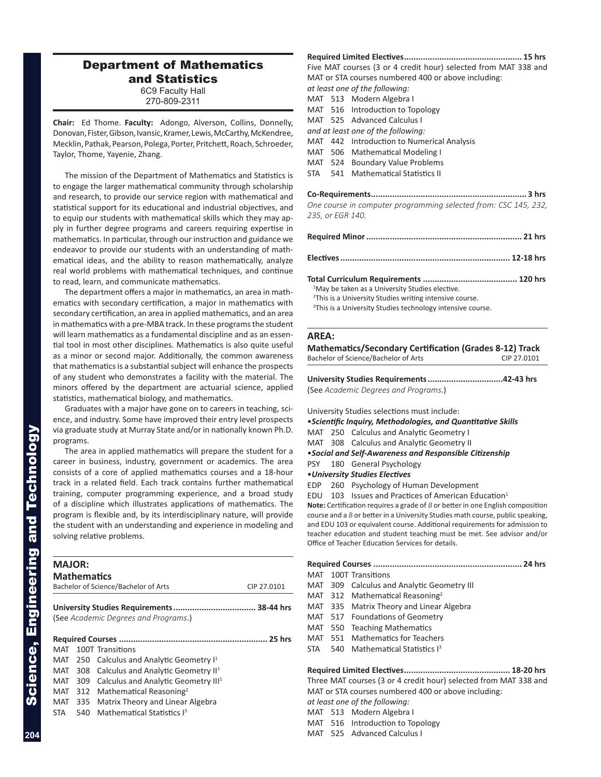### Department of Mathematics and Statistics 6C9 Faculty Hall

270-809-2311

**Chair:** Ed Thome. **Faculty:** Adongo, Alverson, Collins, Donnelly, Donovan, Fister, Gibson, Ivansic, Kramer, Lewis, McCarthy, McKendree, Mecklin, Pathak, Pearson, Polega, Porter, Pritchett, Roach, Schroeder, Taylor, Thome, Yayenie, Zhang.

The mission of the Department of Mathematics and Statistics is to engage the larger mathematical community through scholarship and research, to provide our service region with mathematical and statistical support for its educational and industrial objectives, and to equip our students with mathematical skills which they may ap ply in further degree programs and careers requiring expertise in mathematics. In particular, through our instruction and guidance we endeavor to provide our students with an understanding of math ematical ideas, and the ability to reason mathematically, analyze real world problems with mathematical techniques, and continue to read, learn, and communicate mathematics.

The department offers a major in mathematics, an area in math ematics with secondary certification, a major in mathematics with secondary certification, an area in applied mathematics, and an area in mathematics with a pre-MBA track. In these programs the student will learn mathematics as a fundamental discipline and as an essential tool in most other disciplines. Mathematics is also quite useful as a minor or second major. Additionally, the common awareness that mathematics is a substantial subject will enhance the prospects of any student who demonstrates a facility with the material. The minors offered by the department are actuarial science, applied statistics, mathematical biology, and mathematics.

Graduates with a major have gone on to careers in teaching, sci ence, and industry. Some have improved their entry level prospects via graduate study at Murray State and/or in nationally known Ph.D. programs.

The area in applied mathematics will prepare the student for a career in business, industry, government or academics. The area consists of a core of applied mathematics courses and a 18-hour track in a related field. Each track contains further mathematical training, computer programming experience, and a broad study of a discipline which illustrates applications of mathematics. The program is flexible and, by its interdisciplinary nature, will provide the student with an understanding and experience in modeling and solving relative problems.

| <b>MAJOR:</b> | <b>Mathematics</b> | Bachelor of Science/Bachelor of Arts              | CIP 27,0101 |
|---------------|--------------------|---------------------------------------------------|-------------|
|               |                    |                                                   |             |
|               |                    | (See Academic Degrees and Programs.)              |             |
|               |                    |                                                   |             |
| MAT           |                    | 100T Transitions                                  |             |
| MAT           |                    | 250 Calculus and Analytic Geometry I <sup>1</sup> |             |
| MAT           | 308                | Calculus and Analytic Geometry II <sup>1</sup>    |             |
| MAT           | 309                | Calculus and Analytic Geometry III <sup>1</sup>   |             |
| MAT           |                    | 312 Mathematical Reasoning <sup>2</sup>           |             |
| MAT           | 335                | Matrix Theory and Linear Algebra                  |             |
|               |                    | Mathematical Statistics 13                        |             |

**Required Limited Electives.................................................. 15 hrs** Five MAT courses (3 or 4 credit hour) selected from MAT 338 and MAT or STA courses numbered 400 or above including: *at least one of the following:*

- MAT 513 Modern Algebra I
- MAT 516 Introduction to Topology
- MAT 525 Advanced Calculus I
- *and at least one of the following:*
- MAT 442 Introduction to Numerical Analysis
- MAT 506 Mathematical Modeling I
- MAT 524 Boundary Value Problems
- STA 541 Mathematical Statistics II
- **Co-Requirements.................................................................. 3 hrs**

*One course in computer programming selected from: CSC 145, 232, 235, or EGR 140.*

| <sup>1</sup> May be taken as a University Studies elective.         |  |
|---------------------------------------------------------------------|--|
| <sup>2</sup> This is a University Studies writing intensive course. |  |
| $3$ This is a University Studies tochnology intensive seurse        |  |

This is a University Studies technology intensive course.

### **AREA:**

**Mathematics/Secondary Certification (Grades 8-12) Track** Bachelor of Science/Bachelor of Arts CIP 27.0101

**University Studies Requirements................................42-43 hrs** (See *Academic Degrees and Programs*.)

University Studies selections must include:

•*Scientific Inquiry, Methodologies, and Quantitative Skills*

MAT 250 Calculus and Analytic Geometry I

MAT 308 Calculus and Analytic Geometry II

•*Social and Self-Awareness and Responsible Citizenship*

PSY 180 General Psychology

•*University Studies Electives*

EDP 260 Psychology of Human Development

EDU 103 Issues and Practices of American Education<sup>1</sup>

**Note:** Certification requires a grade of *B* or better in one English composition course and a *B* or better in a University Studies math course, public speaking, and EDU 103 or equivalent course. Additional requirements for admission to teacher education and student teaching must be met. See advisor and/or Office of Teacher Education Services for details.

|                                                     |       | MAT 100T Transitions                                             |  |  |
|-----------------------------------------------------|-------|------------------------------------------------------------------|--|--|
|                                                     |       | MAT 309 Calculus and Analytic Geometry III                       |  |  |
|                                                     |       | MAT 312 Mathematical Reasoning <sup>2</sup>                      |  |  |
|                                                     |       | MAT 335 Matrix Theory and Linear Algebra                         |  |  |
| MAT                                                 |       | 517 Foundations of Geometry                                      |  |  |
| MAT                                                 | - 550 | <b>Teaching Mathematics</b>                                      |  |  |
| MAT                                                 |       | 551 Mathematics for Teachers                                     |  |  |
| STA                                                 |       | 540 Mathematical Statistics <sup>3</sup>                         |  |  |
|                                                     |       |                                                                  |  |  |
|                                                     |       | Three MAT courses (3 or 4 credit hour) selected from MAT 338 and |  |  |
| MAT or STA courses numbered 400 or above including: |       |                                                                  |  |  |
| at least one of the following:                      |       |                                                                  |  |  |

MAT 513 Modern Algebra I

MAT 516 Introduction to Topology

MAT 525 Advanced Calculus I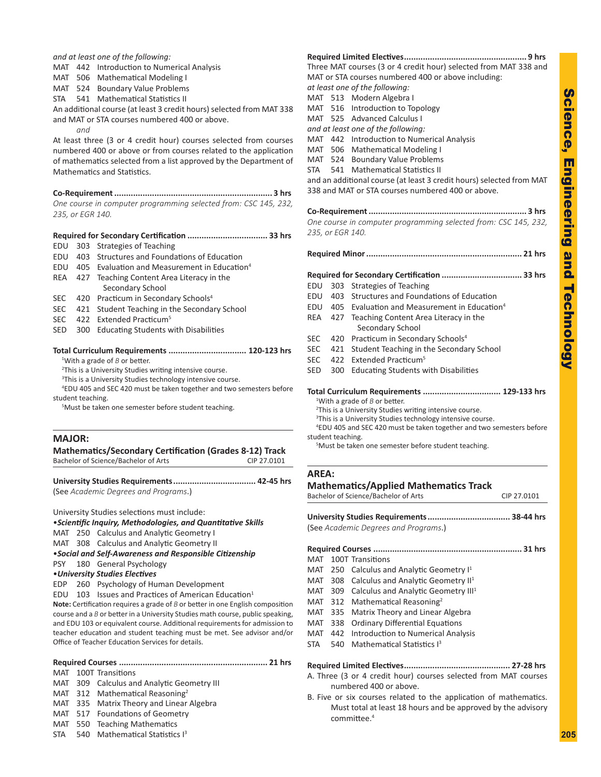*and at least one of the following:*

- MAT 442 Introduction to Numerical Analysis
- MAT 506 Mathematical Modeling I
- MAT 524 Boundary Value Problems
- STA 541 Mathematical Statistics II

An additional course (at least 3 credit hours) selected from MAT 338 and MAT or STA courses numbered 400 or above.

*and*

At least three (3 or 4 credit hour) courses selected from courses numbered 400 or above or from courses related to the application of mathematics selected from a list approved by the Department of Mathematics and Statistics.

### **Co-Requirement................................................................... 3 hrs** *One course in computer programming selected from: CSC 145, 232, 235, or EGR 140.*

### **Required for Secondary Certification .................................. 33 hrs**

- EDU 303 Strategies of Teaching
- EDU 403 Structures and Foundations of Education
- EDU 405 Evaluation and Measurement in Education 4
- REA 427 Teaching Content Area Literacy in the Secondary School
- SEC 420 Practicum in Secondary Schools 4
- SEC 421 Student Teaching in the Secondary School
- SEC 422 Extended Practicum<sup>5</sup>
- SED 300 Educating Students with Disabilities

### **Total Curriculum Requirements ................................. 120-123 hrs**

<sup>1</sup>With a grade of B or better.

- <sup>2</sup>This is a University Studies writing intensive course.
- <sup>3</sup>This is a University Studies technology intensive course.

4 EDU 405 and SEC 420 must be taken together and two semesters before student teaching.

5 Must be taken one semester before student teaching.

### **MAJOR:**

### **Mathematics/Secondary Certification (Grades 8-12) Track** Bachelor of Science/Bachelor of Arts CIP 27.0101

**University Studies Requirements................................... 42-45 hrs** (See *Academic Degrees and Programs*.)

University Studies selections must include:

•*Scientific Inquiry, Methodologies, and Quantitative Skills*

MAT 250 Calculus and Analytic Geometry I

MAT 308 Calculus and Analytic Geometry II

•*Social and Self-Awareness and Responsible Citizenship*

PSY 180 General Psychology

### •*University Studies Electives*

EDP 260 Psychology of Human Development

EDU 103 Issues and Practices of American Education<sup>1</sup>

**Note:** Certification requires a grade of *B* or better in one English composition course and a *B* or better in a University Studies math course, public speaking, and EDU 103 or equivalent course. Additional requirements for admission to teacher education and student teaching must be met. See advisor and/or Office of Teacher Education Services for details.

### **Required Courses ............................................................... 21 hrs**

- MAT 100T Transitions
- MAT 309 Calculus and Analytic Geometry III
- MAT 312 Mathematical Reasoning<sup>2</sup>
- MAT 335 Matrix Theory and Linear Algebra
- MAT 517 Foundations of Geometry
- MAT 550 Teaching Mathematics
- STA 540 Mathematical Statistics I<sup>3</sup>

### MAT 513 Modern Algebra I MAT 516 Introduction to Topology MAT 525 Advanced Calculus I *and at least one of the following:* MAT 442 Introduction to Numerical Analysis MAT 506 Mathematical Modeling I MAT 524 Boundary Value Problems

**Required Limited Electives.................................................... 9 hrs** Three MAT courses (3 or 4 credit hour) selected from MAT 338 and

MAT or STA courses numbered 400 or above including:

STA 541 Mathematical Statistics II

*at least one of the following:*

and an additional course (at least 3 credit hours) selected from MAT 338 and MAT or STA courses numbered 400 or above.

### **Co-Requirement................................................................... 3 hrs**

### *One course in computer programming selected from: CSC 145, 232, 235, or EGR 140.*

**Required Minor.................................................................. 21 hrs Required for Secondary Certification .................................. 33 hrs** EDU 303 Strategies of Teaching EDU 403 Structures and Foundations of Education EDU 405 Evaluation and Measurement in Education 4 REA 427 Teaching Content Area Literacy in the Secondary School SEC 420 Practicum in Secondary Schools<sup>4</sup> SEC 421 Student Teaching in the Secondary School SEC 422 Extended Practicum<sup>5</sup> SED 300 Educating Students with Disabilities **Total Curriculum Requirements ................................. 129-133 hrs** <sup>1</sup>With a grade of B or better. <sup>2</sup>This is a University Studies writing intensive course. <sup>3</sup>This is a University Studies technology intensive course. 4 EDU 405 and SEC 420 must be taken together and two semesters before student teaching. 5 Must be taken one semester before student teaching. **AREA: Mathematics/Applied Mathematics Track** Bachelor of Science/Bachelor of Arts CIP 27.0101

## **University Studies Requirements................................... 38-44 hrs** (See *Academic Degrees and Programs*.)

**Required Courses ............................................................... 31 hrs** MAT 100T Transitions MAT 250 Calculus and Analytic Geometry I<sup>1</sup> MAT 308 Calculus and Analytic Geometry II<sup>1</sup> MAT 309 Calculus and Analytic Geometry III<sup>1</sup> MAT 312 Mathematical Reasoning<sup>2</sup> MAT 335 Matrix Theory and Linear Algebra MAT 338 Ordinary Differential Equations MAT 442 Introduction to Numerical Analysis

STA 540 Mathematical Statistics I<sup>3</sup>

### **Required Limited Electives............................................. 27-28 hrs**

- A. Three (3 or 4 credit hour) courses selected from MAT courses numbered 400 or above.
- B. Five or six courses related to the application of mathematics. Must total at least 18 hours and be approved by the advisory committee. 4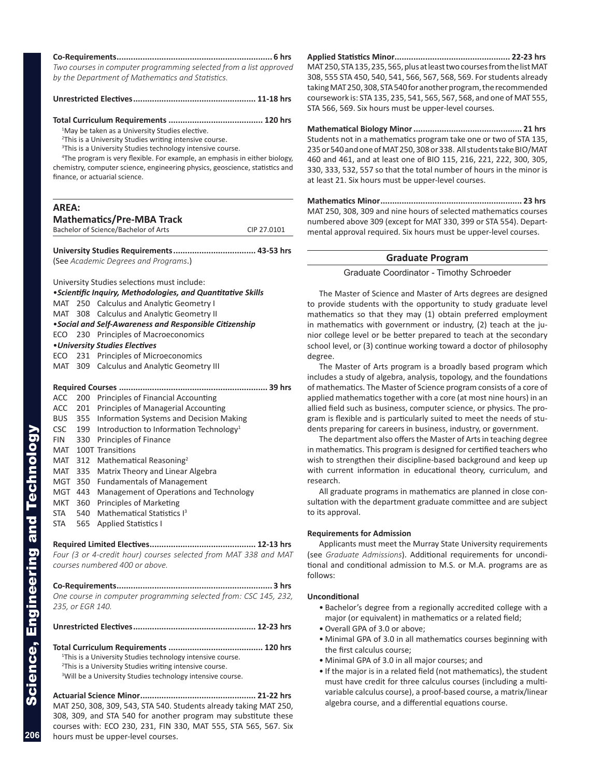| Two courses in computer programming selected from a list approved |  |
|-------------------------------------------------------------------|--|
| by the Department of Mathematics and Statistics.                  |  |

#### **Unrestricted Electives.................................................... 11-18 hrs**

#### **Total Curriculum Requirements ........................................ 120 hrs**

<sup>1</sup>May be taken as a University Studies elective.

- <sup>2</sup>This is a University Studies writing intensive course.
- <sup>3</sup>This is a University Studies technology intensive course.

4 The program is very flexible. For example, an emphasis in either biology,

chemistry, computer science, engineering physics, geoscience, statistics and finance, or actuarial science.

| AREA: | <b>Mathematics/Pre-MBA Track</b>                                                                            |             |
|-------|-------------------------------------------------------------------------------------------------------------|-------------|
|       | Bachelor of Science/Bachelor of Arts                                                                        | CIP 27.0101 |
|       | (See Academic Degrees and Programs.)                                                                        |             |
|       | University Studies selections must include:<br>• Scientific Inquiry, Methodologies, and Quantitative Skills |             |
|       | MAT 250 Calculus and Analytic Geometry I                                                                    |             |
|       | MAT 308 Calculus and Analytic Geometry II                                                                   |             |

|  | • Social and Self-Awareness and Responsible Citizenship |  |  |
|--|---------------------------------------------------------|--|--|
|--|---------------------------------------------------------|--|--|

- ECO 230 Principles of Macroeconomics
- •*University Studies Electives*
- ECO 231 Principles of Microeconomics
- MAT 309 Calculus and Analytic Geometry III
- **Required Courses ............................................................... 39 hrs**

| ACC        | 200 | Principles of Financial Accounting                  |  |
|------------|-----|-----------------------------------------------------|--|
| ACC.       | 201 | Principles of Managerial Accounting                 |  |
| <b>BUS</b> | 355 | Information Systems and Decision Making             |  |
| CSC        | 199 | Introduction to Information Technology <sup>1</sup> |  |
| <b>FIN</b> | 330 | Principles of Finance                               |  |
| MAT        |     | 100T Transitions                                    |  |
| MAT        | 312 | Mathematical Reasoning <sup>2</sup>                 |  |
| MAT        |     | 335 Matrix Theory and Linear Algebra                |  |
| MGT        | 350 | <b>Fundamentals of Management</b>                   |  |
| MGT        | 443 | Management of Operations and Technology             |  |
| MKT        | 360 | Principles of Marketing                             |  |
| <b>STA</b> | 540 | Mathematical Statistics I <sup>3</sup>              |  |
| <b>STA</b> | 565 | <b>Applied Statistics I</b>                         |  |
|            |     |                                                     |  |

**Required Limited Electives............................................. 12-13 hrs** *Four (3 or 4-credit hour) courses selected from MAT 338 and MAT courses numbered 400 or above.*

**Co-Requirements.................................................................. 3 hrs** *One course in computer programming selected from: CSC 145, 232, 235, or EGR 140.*

**Unrestricted Electives.................................................... 12-23 hrs**

**Total Curriculum Requirements ........................................ 120 hrs** <sup>1</sup>This is a University Studies technology intensive course.

- <sup>2</sup>This is a University Studies writing intensive course.
- <sup>3</sup>Will be a University Studies technology intensive course.

**Actuarial Science Minor................................................. 21-22 hrs** MAT 250, 308, 309, 543, STA 540. Students already taking MAT 250, 308, 309, and STA 540 for another program may substitute these courses with: ECO 230, 231, FIN 330, MAT 555, STA 565, 567. Six hours must be upper-level courses.

**Applied Statistics Minor................................................. 22-23 hrs** MAT 250, STA 135, 235, 565, plus at least two courses from the list MAT 308, 555 STA 450, 540, 541, 566, 567, 568, 569. For students already taking MAT 250, 308, STA 540 for another program, the recommended coursework is: STA 135, 235, 541, 565, 567, 568, and one of MAT 555, STA 566, 569. Six hours must be upper-level courses.

**Mathematical Biology Minor.............................................. 21 hrs** Students not in a mathematics program take one or two of STA 135, 235 or 540 and one of MAT 250, 308 or 338. All students take BIO/MAT 460 and 461, and at least one of BIO 115, 216, 221, 222, 300, 305, 330, 333, 532, 557 so that the total number of hours in the minor is at least 21. Six hours must be upper-level courses.

**Mathematics Minor............................................................ 23 hrs** MAT 250, 308, 309 and nine hours of selected mathematics courses numbered above 309 (except for MAT 330, 399 or STA 554). Depart mental approval required. Six hours must be upper-level courses.

### **Graduate Program**

Graduate Coordinator - Timothy Schroeder

The Master of Science and Master of Arts degrees are designed to provide students with the opportunity to study graduate level mathematics so that they may (1) obtain preferred employment in mathematics with government or industry, (2) teach at the ju nior college level or be better prepared to teach at the secondary school level, or (3) continue working toward a doctor of philosophy degree.

The Master of Arts program is a broadly based program which includes a study of algebra, analysis, topology, and the foundations of mathematics. The Master of Science program consists of a core of applied mathematics together with a core (at most nine hours) in an allied field such as business, computer science, or physics. The pro gram is flexible and is particularly suited to meet the needs of stu dents preparing for careers in business, industry, or government.

The department also offers the Master of Arts in teaching degree in mathematics. This program is designed for certified teachers who wish to strengthen their discipline-based background and keep up with current information in educational theory, curriculum, and research.

All graduate programs in mathematics are planned in close con sultation with the department graduate committee and are subject to its approval.

#### **Requirements for Admission**

Applicants must meet the Murray State University requirements (see *Graduate Admissions*). Additional requirements for uncondi tional and conditional admission to M.S. or M.A. programs are as follows:

### **Unconditional**

- Bachelor's degree from a regionally accredited college with a major (or equivalent) in mathematics or a related field;
- Overall GPA of 3.0 or above;
- Minimal GPA of 3.0 in all mathematics courses beginning with the first calculus course;
- Minimal GPA of 3.0 in all major courses; and
- If the major is in a related field (not mathematics), the student must have credit for three calculus courses (including a multi variable calculus course), a proof-based course, a matrix/linear algebra course, and a differential equations course.

Science, Engineering and Technology

Science, Engineering and Technology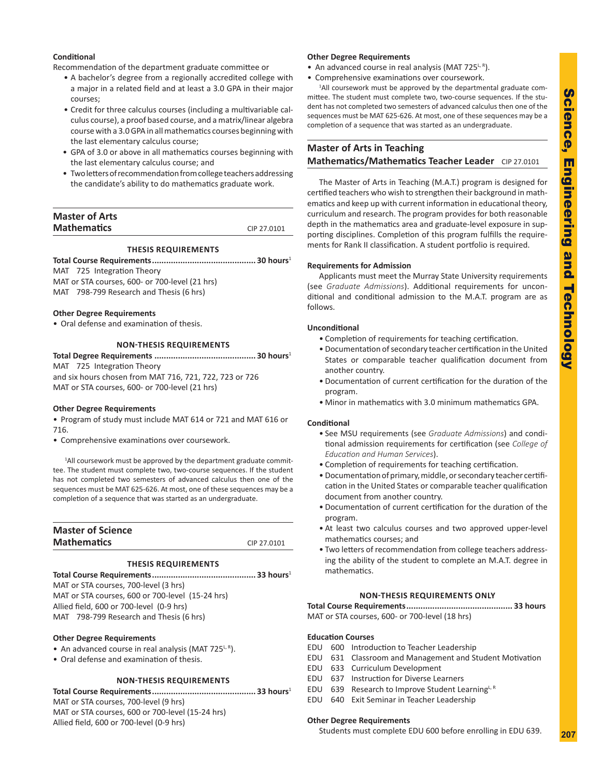### **Conditional**

Recommendation of the department graduate committee or

- A bachelor's degree from a regionally accredited college with a major in a related field and at least a 3.0 GPA in their major courses;
- Credit for three calculus courses (including a multivariable cal culus course), a proof based course, and a matrix/linear algebra course with a 3.0 GPA in all mathematics courses beginning with the last elementary calculus course;
- GPA of 3.0 or above in all mathematics courses beginning with the last elementary calculus course; and
- Two letters of recommendation from college teachers addressing the candidate's ability to do mathematics graduate work.

### **Master of Arts Mathematics** CIP 27.0101

### **THESIS REQUIREMENTS**

**Total Course Requirements............................................ 30 hours** 1 MAT 725 Integration Theory

MAT or STA courses, 600- or 700-level (21 hrs) MAT 798-799 Research and Thesis (6 hrs)

### **Other Degree Requirements**

• Oral defense and examination of thesis.

### **NON-THESIS REQUIREMENTS**

**Total Degree Requirements ........................................... 30 hours** 1 MAT 725 Integration Theory and six hours chosen from MAT 716, 721, 722, 723 or 726 MAT or STA courses, 600- or 700-level (21 hrs)

### **Other Degree Requirements**

• Program of study must include MAT 614 or 721 and MAT 616 or 716.

• Comprehensive examinations over coursework.

<sup>1</sup>All coursework must be approved by the department graduate committee. The student must complete two, two-course sequences. If the student has not completed two semesters of advanced calculus then one of the sequences must be MAT 625-626. At most, one of these sequences may be a completion of a sequence that was started as an undergraduate.

| <b>Master of Science</b> |             |
|--------------------------|-------------|
| <b>Mathematics</b>       | CIP 27.0101 |

### **THESIS REQUIREMENTS**

**Total Course Requirements............................................ 33 hours** 1 MAT or STA courses, 700-level (3 hrs) MAT or STA courses, 600 or 700-level (15-24 hrs) Allied field, 600 or 700-level (0-9 hrs) MAT 798-799 Research and Thesis (6 hrs)

### **Other Degree Requirements**

- An advanced course in real analysis (MAT 725<sup>L, R</sup>).<br>• Oral defense and examination of thesis.
- 

### **NON-THESIS REQUIREMENTS**

**Total Course Requirements............................................ 33 hours** 1

MAT or STA courses, 700-level (9 hrs) MAT or STA courses, 600 or 700-level (15-24 hrs) Allied field, 600 or 700-level (0-9 hrs)

### **Other Degree Requirements**

- An advanced course in real analysis (MAT 725 $L^R$ ).<br>• Comprehensive examinations over coursework.
- 

<sup>1</sup>All coursework must be approved by the departmental graduate committee. The student must complete two, two-course sequences. If the stu dent has not completed two semesters of advanced calculus then one of the sequences must be MAT 625-626. At most, one of these sequences may be a completion of a sequence that was started as an undergraduate.

### **Master of Arts in Teaching Mathematics/Mathematics Teacher Leader** CIP 27.0101

The Master of Arts in Teaching (M.A.T.) program is designed for certified teachers who wish to strengthen their background in math ematics and keep up with current information in educational theory, curriculum and research. The program provides for both reasonable depth in the mathematics area and graduate-level exposure in sup porting disciplines. Completion of this program fulfills the require ments for Rank II classification. A student portfolio is required.

### **Requirements for Admission**

Applicants must meet the Murray State University requirements (see *Graduate Admissions*). Additional requirements for uncon ditional and conditional admission to the M.A.T. program are as follows.

### **Unconditional**

- Completion of requirements for teaching certification.
- Documentation of secondary teacher certification in the United States or comparable teacher qualification document from another country.
- Documentation of current certification for the duration of the program.
- Minor in mathematics with 3.0 minimum mathematics GPA.

### **Conditional**

- See MSU requirements (see *Graduate Admissions*) and condi tional admission requirements for certification (see *College of Education and Human Services*).
- Completion of requirements for teaching certification.
- Documentation of primary, middle, or secondary teacher certifi cation in the United States or comparable teacher qualification document from another country.
- Documentation of current certification for the duration of the program.
- At least two calculus courses and two approved upper-level mathematics courses; and
- Two letters of recommendation from college teachers address ing the ability of the student to complete an M.A.T. degree in mathematics.

### **NON-THESIS REQUIREMENTS ONLY**

**Total Course Requirements............................................. 33 hours** MAT or STA courses, 600- or 700-level (18 hrs)

### **Education Courses**

- EDU 600 Introduction to Teacher Leadership
- EDU 631 Classroom and Management and Student Motivation
- EDU 633 Curriculum Development
- EDU 637 Instruction for Diverse Learners
- EDU 639 Research to Improve Student LearningL, R
- EDU 640 Exit Seminar in Teacher Leadership

### **Other Degree Requirements**

Students must complete EDU 600 before enrolling in EDU 639.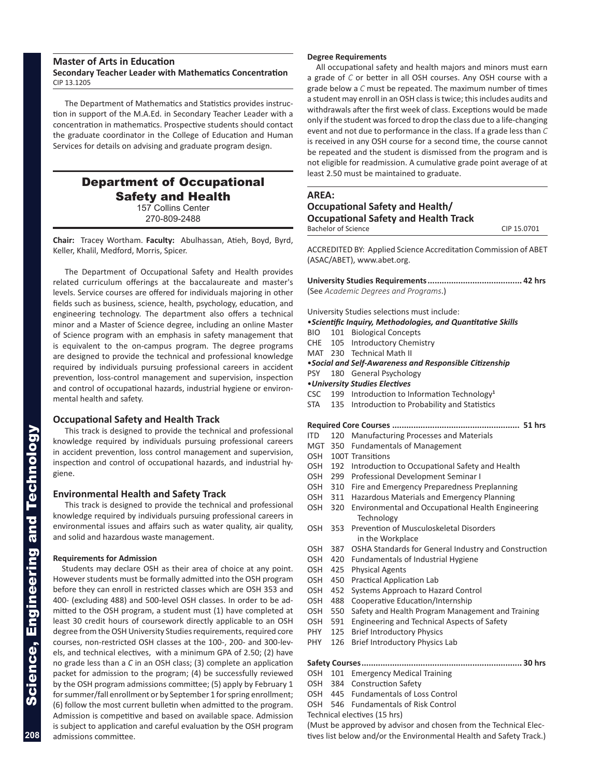### **Master of Arts in Education Secondary Teacher Leader with Mathematics Concentration** CIP 13.1205

The Department of Mathematics and Statistics provides instruc tion in support of the M.A.Ed. in Secondary Teacher Leader with a concentration in mathematics. Prospective students should contact the graduate coordinator in the College of Education and Human Services for details on advising and graduate program design.

### Department of Occupational Safety and Health 157 Collins Center

270-809-2488

**Chair:** Tracey Wortham. **Faculty:** Abulhassan, Atieh, Boyd, Byrd, Keller, Khalil, Medford, Morris, Spicer.

The Department of Occupational Safety and Health provides related curriculum offerings at the baccalaureate and master's levels. Service courses are offered for individuals majoring in other fields such as business, science, health, psychology, education, and engineering technology. The department also offers a technical minor and a Master of Science degree, including an online Master of Science program with an emphasis in safety management that is equivalent to the on-campus program. The degree programs are designed to provide the technical and professional knowledge required by individuals pursuing professional careers in accident prevention, loss-control management and supervision, inspection and control of occupational hazards, industrial hygiene or environ mental health and safety.

### **Occupational Safety and Health Track**

This track is designed to provide the technical and professional knowledge required by individuals pursuing professional careers in accident prevention, loss control management and supervision, inspection and control of occupational hazards, and industrial hy giene.

### **Environmental Health and Safety Track**

This track is designed to provide the technical and professional knowledge required by individuals pursuing professional careers in environmental issues and affairs such as water quality, air quality, and solid and hazardous waste management.

#### **Requirements for Admission**

Students may declare OSH as their area of choice at any point. However students must be formally admitted into the OSH program before they can enroll in restricted classes which are OSH 353 and 400- (excluding 488) and 500-level OSH classes. In order to be ad mitted to the OSH program, a student must (1) have completed at least 30 credit hours of coursework directly applicable to an OSH degree from the OSH University Studies requirements, required core courses, non-restricted OSH classes at the 100-, 200- and 300-lev els, and technical electives, with a minimum GPA of 2.50; (2) have no grade less than a *C* in an OSH class; (3) complete an application packet for admission to the program; (4) be successfully reviewed by the OSH program admissions committee; (5) apply by February 1 for summer/fall enrollment or by September 1 for spring enrollment; (6) follow the most current bulletin when admitted to the program. Admission is competitive and based on available space. Admission is subject to application and careful evaluation by the OSH program admissions committee.

#### **Degree Requirements**

All occupational safety and health majors and minors must earn a grade of *C* or better in all OSH courses. Any OSH course with a grade below a *C* must be repeated. The maximum number of times a student may enroll in an OSH class is twice; this includes audits and withdrawals after the first week of class. Exceptions would be made only if the student was forced to drop the class due to a life-changing event and not due to performance in the class. If a grade less than *C* is received in any OSH course for a second time, the course cannot be repeated and the student is dismissed from the program and is not eligible for readmission. A cumulative grade point average of at least 2.50 must be maintained to graduate.

### **AREA: Occupational Safety and Health/ Occupational Safety and Health Track** Bachelor of Science CIP 15.0701

ACCREDITED BY: Applied Science Accreditation Commission of ABET (ASAC/ABET), www.abet.org.

**University Studies Requirements........................................ 42 hrs**

|            |     | (See Academic Degrees and Programs.)                         |
|------------|-----|--------------------------------------------------------------|
|            |     | University Studies selections must include:                  |
|            |     | · Scientific Inquiry, Methodologies, and Quantitative Skills |
| BIO.       |     | 101 Biological Concepts                                      |
| CHE        |     | 105 Introductory Chemistry                                   |
|            |     | MAT 230 Technical Math II                                    |
|            |     | • Social and Self-Awareness and Responsible Citizenship      |
| <b>PSY</b> |     | 180 General Psychology                                       |
|            |     | • University Studies Electives                               |
| <b>CSC</b> |     | 199 Introduction to Information Technology <sup>1</sup>      |
| STA        |     | 135 Introduction to Probability and Statistics               |
|            |     |                                                              |
| ITD.       | 120 | Manufacturing Processes and Materials                        |
| MGT        |     | 350 Fundamentals of Management                               |
| OSH        |     | 100T Transitions                                             |
| OSH        |     | 192 Introduction to Occupational Safety and Health           |
| OSH 299    |     | Professional Development Seminar I                           |
| OSH        | 310 | Fire and Emergency Preparedness Preplanning                  |
| OSH 311    |     | Hazardous Materials and Emergency Planning                   |
| OSH        | 320 | Environmental and Occupational Health Engineering            |
|            |     | Technology                                                   |
| OSH        | 353 | Prevention of Musculoskeletal Disorders<br>in the Workplace  |
| OSH        | 387 | OSHA Standards for General Industry and Construction         |
| OSH        | 420 | Fundamentals of Industrial Hygiene                           |
| OSH        | 425 | <b>Physical Agents</b>                                       |
| OSH        | 450 | <b>Practical Application Lab</b>                             |
| OSH        | 452 | Systems Approach to Hazard Control                           |
| OSH.       | 488 | Cooperative Education/Internship                             |
| OSH        | 550 | Safety and Health Program Management and Training            |
| OSH        | 591 | Engineering and Technical Aspects of Safety                  |
| PHY        | 125 | <b>Brief Introductory Physics</b>                            |
| PHY        | 126 | Brief Introductory Physics Lab                               |
|            |     |                                                              |
| OSH        | 101 | <b>Emergency Medical Training</b>                            |
| OSH        |     | 384 Construction Safety                                      |
|            |     | OSH 445 Fundamentals of Loss Control                         |
| OSH        |     | 546 Fundamentals of Risk Control                             |
|            |     |                                                              |

(Must be approved by advisor and chosen from the Technical Elec tives list below and/or the Environmental Health and Safety Track.)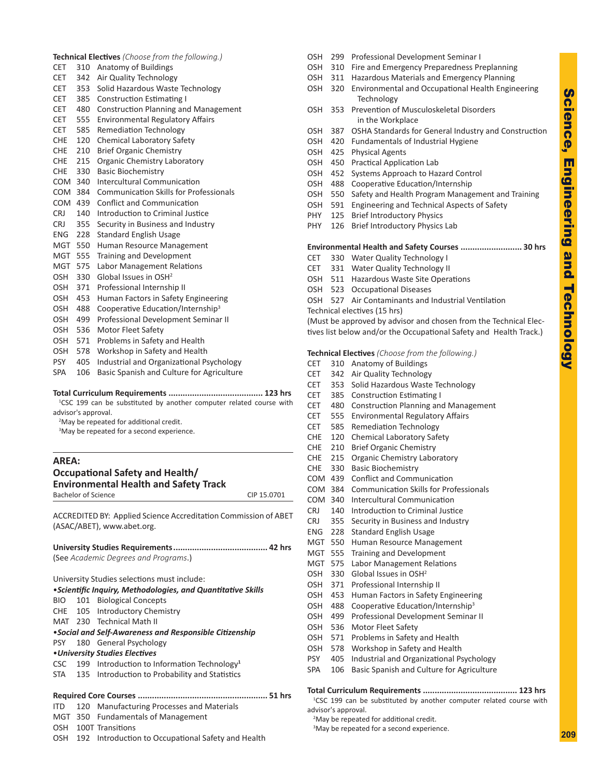**209**

| <b>Technical Electives</b> (Choose from the following.) |  |  |  |  |  |
|---------------------------------------------------------|--|--|--|--|--|
|---------------------------------------------------------|--|--|--|--|--|

- CET 310 Anatomy of Buildings
- CET 342 Air Quality Technology
- CET 353 Solid Hazardous Waste Technology
- CET 385 Construction Estimating I
- CET 480 Construction Planning and Management
- CET 555 Environmental Regulatory Affairs
- CET 585 Remediation Technology
- CHE 120 Chemical Laboratory Safety
- CHE 210 Brief Organic Chemistry CHE 215 Organic Chemistry Laboratory
- CHE 330 Basic Biochemistry
- COM 340 Intercultural Communication
- COM 384 Communication Skills for Professionals
- COM 439 Conflict and Communication
- CRJ 140 Introduction to Criminal Justice
- CRJ 355 Security in Business and Industry
- ENG 228 Standard English Usage
- MGT 550 Human Resource Management
- MGT 555 Training and Development
- MGT 575 Labor Management Relations
- OSH 330 Global Issues in OSH<sup>2</sup>
- OSH 371 Professional Internship II
- OSH 453 Human Factors in Safety Engineering
- OSH 488 Cooperative Education/Internship<sup>3</sup>
- OSH 499 Professional Development Seminar II
- OSH 536 Motor Fleet Safety
- OSH 571 Problems in Safety and Health
- OSH 578 Workshop in Safety and Health
- PSY 405 Industrial and Organizational Psychology
- SPA 106 Basic Spanish and Culture for Agriculture

#### **Total Curriculum Requirements ........................................ 123 hrs**

<sup>1</sup>CSC 199 can be substituted by another computer related course with advisor's approval.

<sup>2</sup>May be repeated for additional credit.

<sup>3</sup>May be repeated for a second experience.

### **AREA: Occupational Safety and Health/ Environmental Health and Safety Track**

| <b>Elivironnichter riceith end belcty hack</b> |             |
|------------------------------------------------|-------------|
| Bachelor of Science                            | CIP 15.0701 |
|                                                |             |

ACCREDITED BY: Applied Science Accreditation Commission of ABET (ASAC/ABET), www.abet.org.

|  | (See Academic Degrees and Programs.)                         |      |
|--|--------------------------------------------------------------|------|
|  | University Studies selections must include:                  |      |
|  | • Scientific Inquiry, Methodologies, and Quantitative Skills |      |
|  | BIO 101 Biological Concepts                                  |      |
|  | CHE 105 Introductory Chemistry                               |      |
|  | MAT 230 Technical Math II                                    |      |
|  | • Social and Self-Awareness and Responsible Citizenship      |      |
|  | PSY 180 General Psychology                                   |      |
|  | • University Studies Electives                               |      |
|  | CSC 199 Introduction to Information Technology <sup>1</sup>  |      |
|  | STA 135 Introduction to Probability and Statistics           |      |
|  |                                                              |      |
|  | .                                                            | -- - |

### **Required Core Courses ....................................................... 51 hrs**

- ITD 120 Manufacturing Processes and Materials MGT 350 Fundamentals of Management
- OSH 100T Transitions
- OSH 192 Introduction to Occupational Safety and Health
- OSH 299 Professional Development Seminar I
- OSH 310 Fire and Emergency Preparedness Preplanning
- OSH 311 Hazardous Materials and Emergency Planning
- OSH 320 Environmental and Occupational Health Engineering Technology
- OSH 353 Prevention of Musculoskeletal Disorders in the Workplace
- OSH 387 OSHA Standards for General Industry and Construction
- OSH 420 Fundamentals of Industrial Hygiene
- OSH 425 Physical Agents
- OSH 450 Practical Application Lab
- OSH 452 Systems Approach to Hazard Control
- OSH 488 Cooperative Education/Internship
- OSH 550 Safety and Health Program Management and Training
- OSH 591 Engineering and Technical Aspects of Safety
- PHY 125 Brief Introductory Physics
- PHY 126 Brief Introductory Physics Lab

### **Environmental Health and Safety Courses .......................... 30 hrs**

- CET 330 Water Quality Technology I
- CET 331 Water Quality Technology II
- OSH 511 Hazardous Waste Site Operations
- OSH 523 Occupational Diseases
- OSH 527 Air Contaminants and Industrial Ventilation

Technical electives (15 hrs) (Must be approved by advisor and chosen from the Technical Elec tives list below and/or the Occupational Safety and Health Track.)

#### **Technical Electives** *(Choose from the following.)*

- CET 310 Anatomy of Buildings
- CET 342 Air Quality Technology
- CET 353 Solid Hazardous Waste Technology
- CET 385 Construction Estimating I
- CET 480 Construction Planning and Management
- CET 555 Environmental Regulatory Affairs
- CET 585 Remediation Technology
- CHE 120 Chemical Laboratory Safety
- CHE 210 Brief Organic Chemistry
- CHE 215 Organic Chemistry Laboratory
- CHE 330 Basic Biochemistry
- COM 439 Conflict and Communication
- COM 384 Communication Skills for Professionals
- COM 340 Intercultural Communication
- CRJ 140 Introduction to Criminal Justice
- CRJ 355 Security in Business and Industry
- ENG 228 Standard English Usage
- MGT 550 Human Resource Management
- MGT 555 Training and Development
- MGT 575 Labor Management Relations
- OSH 330 Global Issues in OSH<sup>2</sup>
- OSH 371 Professional Internship II
- OSH 453 Human Factors in Safety Engineering
- OSH 488 Cooperative Education/Internship<sup>3</sup>
- OSH 499 Professional Development Seminar II
- OSH 536 Motor Fleet Safety
- OSH 571 Problems in Safety and Health
- OSH 578 Workshop in Safety and Health
- PSY 405 Industrial and Organizational Psychology
- SPA 106 Basic Spanish and Culture for Agriculture

#### **Total Curriculum Requirements ........................................ 123 hrs**

<sup>1</sup>CSC 199 can be substituted by another computer related course with advisor's approval.

<sup>2</sup>May be repeated for additional credit.

<sup>3</sup>May be repeated for a second experience.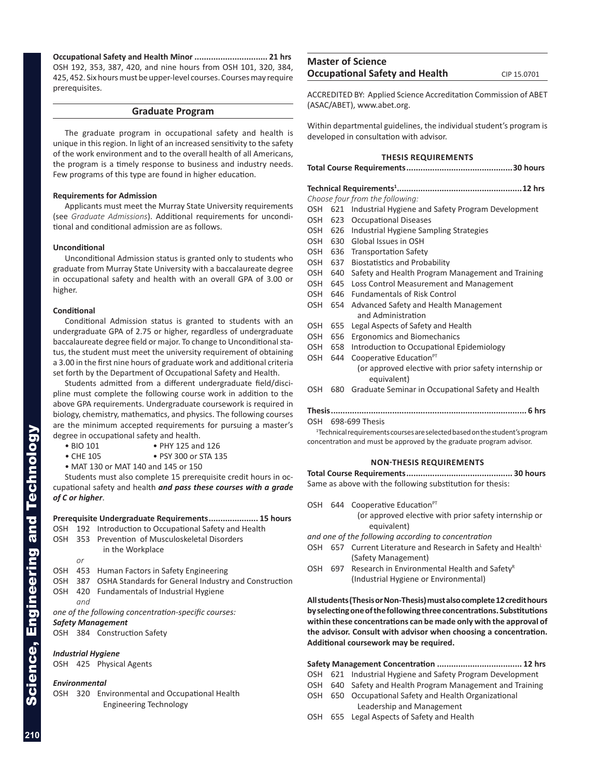**Occupational Safety and Health Minor ............................... 21 hrs** OSH 192, 353, 387, 420, and nine hours from OSH 101, 320, 384, 425, 452. Six hours must be upper-level courses. Courses may require prerequisites.

### **Graduate Program**

The graduate program in occupational safety and health is unique in this region. In light of an increased sensitivity to the safety of the work environment and to the overall health of all Americans, the program is a timely response to business and industry needs. Few programs of this type are found in higher education.

### **Requirements for Admission**

Applicants must meet the Murray State University requirements (see *Graduate Admissions*). Additional requirements for uncondi tional and conditional admission are as follows.

#### **Unconditional**

Unconditional Admission status is granted only to students who graduate from Murray State University with a baccalaureate degree in occupational safety and health with an overall GPA of 3.00 or higher.

#### **Conditional**

Conditional Admission status is granted to students with an undergraduate GPA of 2.75 or higher, regardless of undergraduate baccalaureate degree field or major. To change to Unconditional sta tus, the student must meet the university requirement of obtaining a 3.00 in the first nine hours of graduate work and additional criteria set forth by the Department of Occupational Safety and Health.

Students admitted from a different undergraduate field/disci pline must complete the following course work in addition to the above GPA requirements. Undergraduate coursework is required in biology, chemistry, mathematics, and physics. The following courses are the minimum accepted requirements for pursuing a master's degree in occupational safety and health.

- BIO 101 PHY 125 and 126
- CHE 105 PSY 300 or STA 135
- MAT 130 or MAT 140 and 145 or 150

Students must also complete 15 prerequisite credit hours in oc cupational safety and health *and pass these courses with a grade of C or higher* .

### **Prerequisite Undergraduate Requirements..................... 15 hours**

- OSH 192 Introduction to Occupational Safety and Health
- OSH 353 Prevention of Musculoskeletal Disorders
	- in the Workplace *or*
- OSH 453 Human Factors in Safety Engineering
- OSH 387 OSHA Standards for General Industry and Construction
- OSH 420 Fundamentals of Industrial Hygiene
- *and*
- *one of the following concentration-specific courses:*

### *Safety Management*

OSH 384 Construction Safety

### *Industrial Hygiene*

OSH 425 Physical Agents

### *Environmental*

OSH 320 Environmental and Occupational Health Engineering Technology

### **Master of Science Occupational Safety and Health** CIP 15.0701

ACCREDITED BY: Applied Science Accreditation Commission of ABET (ASAC/ABET), www.abet.org.

Within departmental guidelines, the individual student's program is developed in consultation with advisor.

### **THESIS REQUIREMENTS**

- **Technical Requirements 1 .....................................................12 hrs** *Choose four from the following:*
- OSH 621 Industrial Hygiene and Safety Program Development
- OSH 623 Occupational Diseases
- OSH 626 Industrial Hygiene Sampling Strategies
- OSH 630 Global Issues in OSH
- OSH 636 Transportation Safety
- OSH 637 Biostatistics and Probability
- OSH 640 Safety and Health Program Management and Training
- OSH 645 Loss Control Measurement and Management
- OSH 646 Fundamentals of Risk Control
- OSH 654 Advanced Safety and Health Management and Administration
- OSH 655 Legal Aspects of Safety and Health
- OSH 656 Ergonomics and Biomechanics
- OSH 658 Introduction to Occupational Epidemiology
- OSH 644 Cooperative Education<sup>PT</sup> (or approved elective with prior safety internship or equivalent)
- OSH 680 Graduate Seminar in Occupational Safety and Health

| OSH 698-699 Thesis |  |
|--------------------|--|

<sup>1</sup> Technical requirements courses are selected based on the student's program concentration and must be approved by the graduate program advisor.

#### **NON-THESIS REQUIREMENTS**

**Total Course Requirements............................................. 30 hours** Same as above with the following substitution for thesis:

- OSH 644 Cooperative Education<sup>PT</sup>
	- (or approved elective with prior safety internship or equivalent)
- *and one of the following according to concentration*
- OSH 657 Current Literature and Research in Safety and Health (Safety Management)
- OSH 697 Research in Environmental Health and Safety<sup>R</sup> (Industrial Hygiene or Environmental)

**All students (Thesis or Non-Thesis) must also complete 12 credit hours by selecting one of the following three concentrations. Substitutions within these concentrations can be made only with the approval of the advisor. Consult with advisor when choosing a concentration. Additional coursework may be required.**

### **Safety Management Concentration .................................... 12 hrs**

- OSH 621 Industrial Hygiene and Safety Program Development
- OSH 640 Safety and Health Program Management and Training
- OSH 650 Occupational Safety and Health Organizational Leadership and Management
- OSH 655 Legal Aspects of Safety and Health